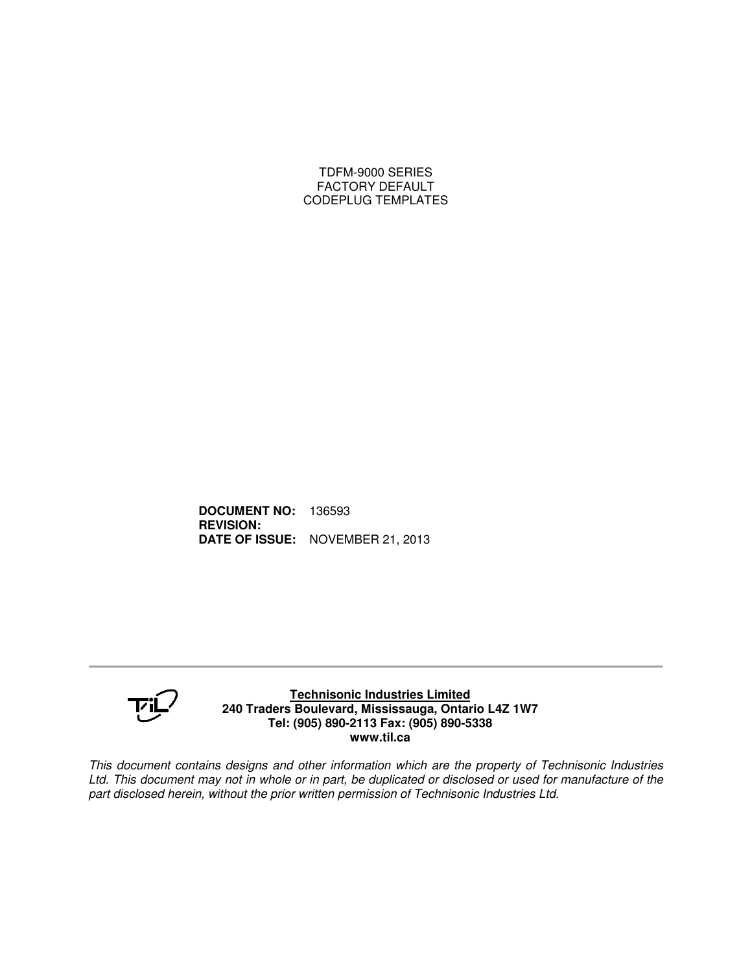### TDFM-9000 SERIES FACTORY DEFAULT CODEPLUG TEMPLATES

**DOCUMENT NO:** 136593 **REVISION: DATE OF ISSUE:** NOVEMBER 21, 2013



#### **Technisonic Industries Limited 240 Traders Boulevard, Mississauga, Ontario L4Z 1W7 Tel: (905) 890-2113 Fax: (905) 890-5338 www.til.ca**

*This document contains designs and other information which are the property of Technisonic Industries* Ltd. This document may not in whole or in part, be duplicated or disclosed or used for manufacture of the *part disclosed herein, without the prior written permission of Technisonic Industries Ltd.*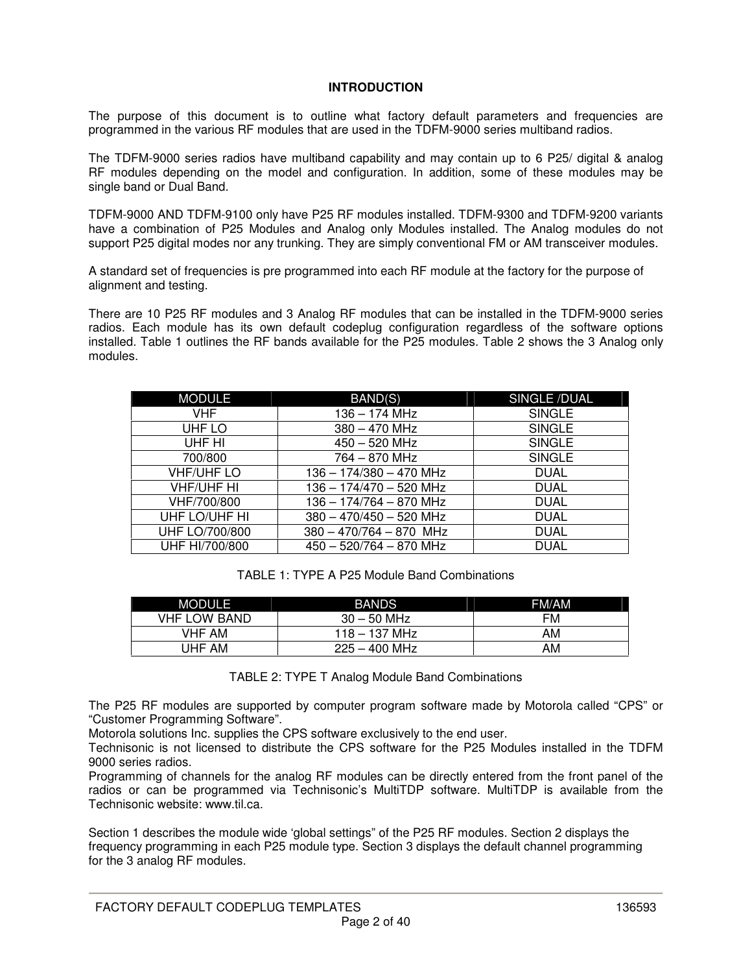## **INTRODUCTION**

The purpose of this document is to outline what factory default parameters and frequencies are programmed in the various RF modules that are used in the TDFM-9000 series multiband radios.

The TDFM-9000 series radios have multiband capability and may contain up to 6 P25/ digital & analog RF modules depending on the model and configuration. In addition, some of these modules may be single band or Dual Band.

TDFM-9000 AND TDFM-9100 only have P25 RF modules installed. TDFM-9300 and TDFM-9200 variants have a combination of P25 Modules and Analog only Modules installed. The Analog modules do not support P25 digital modes nor any trunking. They are simply conventional FM or AM transceiver modules.

A standard set of frequencies is pre programmed into each RF module at the factory for the purpose of alignment and testing.

There are 10 P25 RF modules and 3 Analog RF modules that can be installed in the TDFM-9000 series radios. Each module has its own default codeplug configuration regardless of the software options installed. Table 1 outlines the RF bands available for the P25 modules. Table 2 shows the 3 Analog only modules.

| <b>MODULE</b>     | BAND(S)                   | SINGLE/DUAL   |
|-------------------|---------------------------|---------------|
| VHF.              | $136 - 174$ MHz           | <b>SINGLE</b> |
| UHF LO            | $380 - 470$ MHz           | <b>SINGLE</b> |
| UHF HI            | $450 - 520$ MHz           | <b>SINGLE</b> |
| 700/800           | $764 - 870$ MHz           | <b>SINGLE</b> |
| VHF/UHF LO        | 136 - 174/380 - 470 MHz   | <b>DUAL</b>   |
| <b>VHF/UHF HI</b> | 136 - 174/470 - 520 MHz   | <b>DUAL</b>   |
| VHF/700/800       | 136 - 174/764 - 870 MHz   | <b>DUAL</b>   |
| UHF LO/UHF HI     | $380 - 470/450 - 520$ MHz | <b>DUAL</b>   |
| UHF LO/700/800    | $380 - 470/764 - 870$ MHz | <b>DUAL</b>   |
| UHF HI/700/800    | $450 - 520/764 - 870$ MHz | <b>DUAL</b>   |

| TABLE 1: TYPE A P25 Module Band Combinations |  |
|----------------------------------------------|--|
|----------------------------------------------|--|

| MODULE              | <b>BANDS</b>    | FM/AM |
|---------------------|-----------------|-------|
| <b>VHF LOW BAND</b> | $30 - 50$ MHz   | FM    |
| <b>VHF AM</b>       | $118 - 137$ MHz | AM    |
| UHF AM              | $225 - 400$ MHz | AM    |

TABLE 2: TYPE T Analog Module Band Combinations

The P25 RF modules are supported by computer program software made by Motorola called "CPS" or "Customer Programming Software".

Motorola solutions Inc. supplies the CPS software exclusively to the end user.

Technisonic is not licensed to distribute the CPS software for the P25 Modules installed in the TDFM 9000 series radios.

Programming of channels for the analog RF modules can be directly entered from the front panel of the radios or can be programmed via Technisonic's MultiTDP software. MultiTDP is available from the Technisonic website: www.til.ca.

Section 1 describes the module wide 'global settings" of the P25 RF modules. Section 2 displays the frequency programming in each P25 module type. Section 3 displays the default channel programming for the 3 analog RF modules.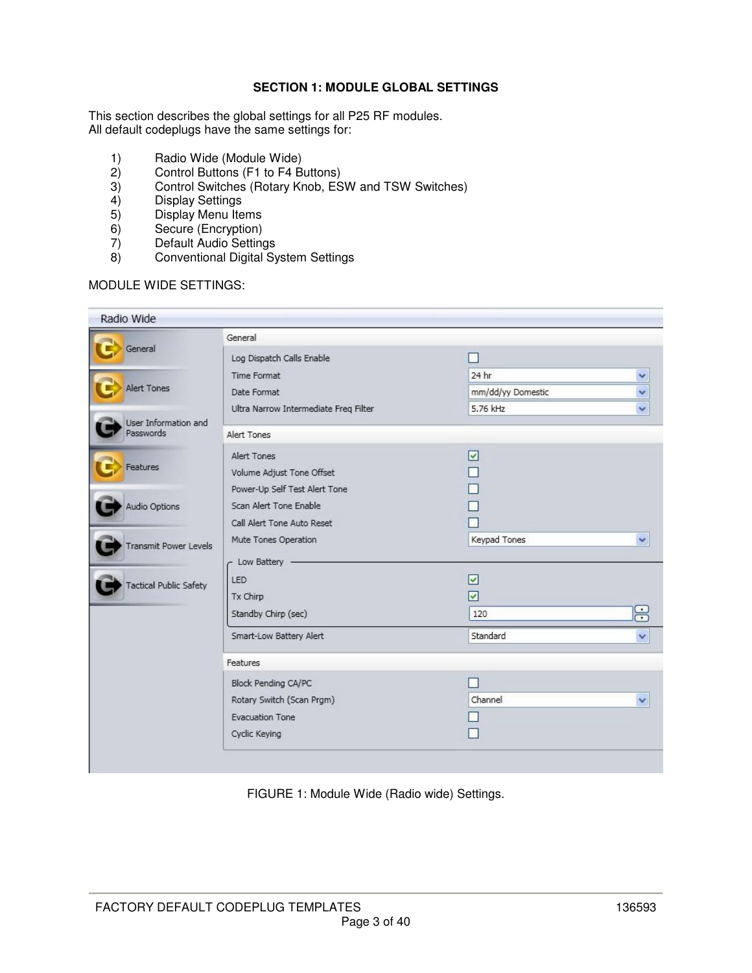## **SECTION 1: MODULE GLOBAL SETTINGS**

This section describes the global settings for all P25 RF modules. All default codeplugs have the same settings for:

- 1) Radio Wide (Module Wide)
- 
- 2) Control Buttons (F1 to F4 Buttons)<br>3) Control Switches (Rotary Knob, ES 3) Control Switches (Rotary Knob, ESW and TSW Switches)<br>4) Display Settings
- 4) Display Settings<br>5) Display Menu Ite
- Display Menu Items
- 6) Secure (Encryption)<br>7) Default Audio Setting
- 7) Default Audio Settings<br>8) Conventional Digital Sy
- 8) Conventional Digital System Settings

## MODULE WIDE SETTINGS:

| Radio Wide                        |                                       |                         |       |
|-----------------------------------|---------------------------------------|-------------------------|-------|
|                                   | General                               |                         |       |
| General                           | Log Dispatch Calls Enable             |                         |       |
|                                   | Time Format                           | 24 hr                   |       |
| <b>Alert Tones</b>                | Date Format                           | mm/dd/yy Domestic       |       |
|                                   | Ultra Narrow Intermediate Freq Filter | 5.76 kHz                |       |
| User Information and<br>Passwords | Alert Tones                           |                         |       |
|                                   | Alert Tones                           | $\overline{\mathsf{v}}$ |       |
| Features                          | Volume Adjust Tone Offset             |                         |       |
|                                   | Power-Up Self Test Alert Tone         |                         |       |
| <b>Audio Options</b>              | Scan Alert Tone Enable                |                         |       |
|                                   | Call Alert Tone Auto Reset            |                         |       |
| <b>Transmit Power Levels</b>      | Mute Tones Operation                  | Keypad Tones            | ٧     |
|                                   | c Low Battery                         |                         |       |
|                                   | <b>LED</b>                            | $\overline{\mathsf{v}}$ |       |
| <b>Tactical Public Safety</b>     | Tx Chirp                              | $\overline{\mathbf{v}}$ |       |
|                                   | Standby Chirp (sec)                   | 120                     | $\Xi$ |
|                                   | Smart-Low Battery Alert               | Standard                | v     |
|                                   | <b>Features</b>                       |                         |       |
|                                   | Block Pending CA/PC                   |                         |       |
|                                   | Rotary Switch (Scan Prgm)             | Channel                 | v     |
|                                   | <b>Evacuation Tone</b>                |                         |       |
|                                   | Cyclic Keying                         |                         |       |

FIGURE 1: Module Wide (Radio wide) Settings.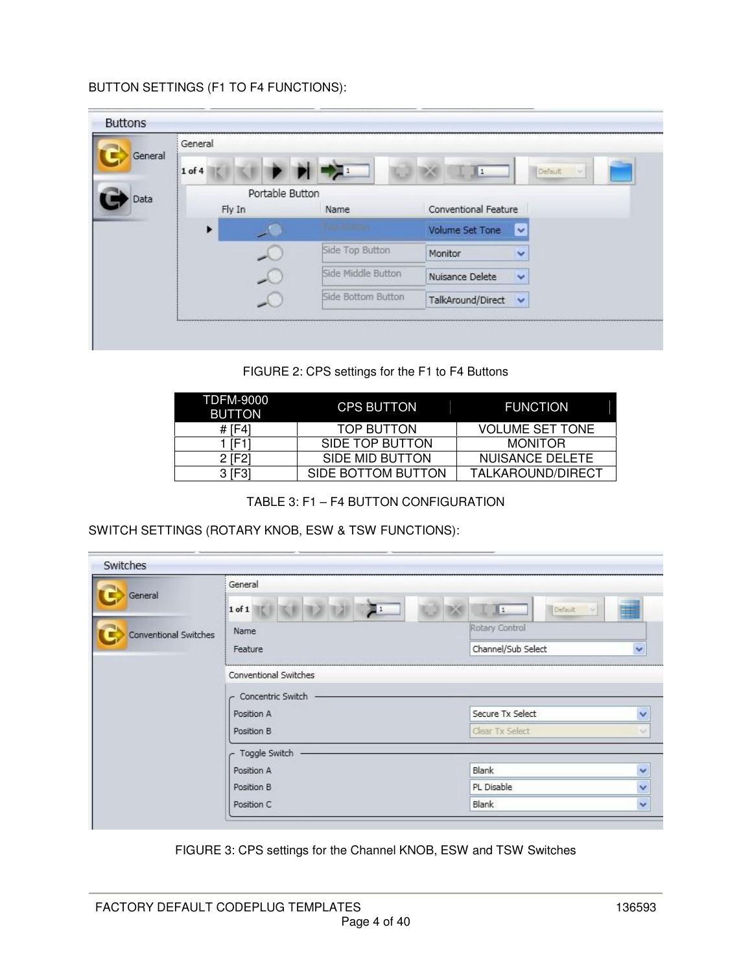## BUTTON SETTINGS (F1 TO F4 FUNCTIONS):

| General | General         |                    |                                   |         |
|---------|-----------------|--------------------|-----------------------------------|---------|
|         | $1$ of $4$      |                    | $\mathbf{1}$                      | Default |
| Data    | Portable Button |                    |                                   |         |
|         | Fly In          | Name               | Conventional Feature              |         |
|         |                 |                    | Volume Set Tone<br>$\checkmark$   |         |
|         |                 | Side Top Button    | Monitor<br>v                      |         |
|         |                 | Side Middle Button | Nuisance Delete<br>$\checkmark$   |         |
|         |                 | Side Bottom Button | TalkAround/Direct<br>$\checkmark$ |         |

FIGURE 2: CPS settings for the F1 to F4 Buttons

| TDFM-9000<br><b>BUTTON</b> | <b>CPS BUTTON</b>  | <b>FUNCTION</b>        |
|----------------------------|--------------------|------------------------|
| # 11-4                     | TOP BUTTON         | <b>VOLUME SET TONE</b> |
| י יFר ל                    | SIDE TOP BUTTON    | <b>MONITOR</b>         |
| 2 [F2]                     | SIDE MID BUTTON    | NUISANCE DELETE        |
| [F3]<br>3 I                | SIDE BOTTOM BUTTON | TALKAROUND/DIRECT      |

TABLE 3: F1 – F4 BUTTON CONFIGURATION

SWITCH SETTINGS (ROTARY KNOB, ESW & TSW FUNCTIONS):

| Switches              |                       |                                    |
|-----------------------|-----------------------|------------------------------------|
| General               | General               |                                    |
|                       | $1$ of $1$<br>運 1     | Default<br>B1.<br>w                |
| Conventional Switches | Name                  | Rotary Control                     |
|                       | Feature               | Channel/Sub Select<br>$\checkmark$ |
|                       | Conventional Switches |                                    |
|                       | Concentric Switch     |                                    |
|                       | Position A            | Secure Tx Select<br>$\checkmark$   |
|                       | Position B            | Clear Tx Select<br>v               |
|                       | Toggle Switch         |                                    |
|                       | Position A            | Blank<br>$\checkmark$              |
|                       | Position B            | $\checkmark$<br>PL Disable         |
|                       | Position C            | $\ddot{\phantom{0}}$<br>Blank      |

FIGURE 3: CPS settings for the Channel KNOB, ESW and TSW Switches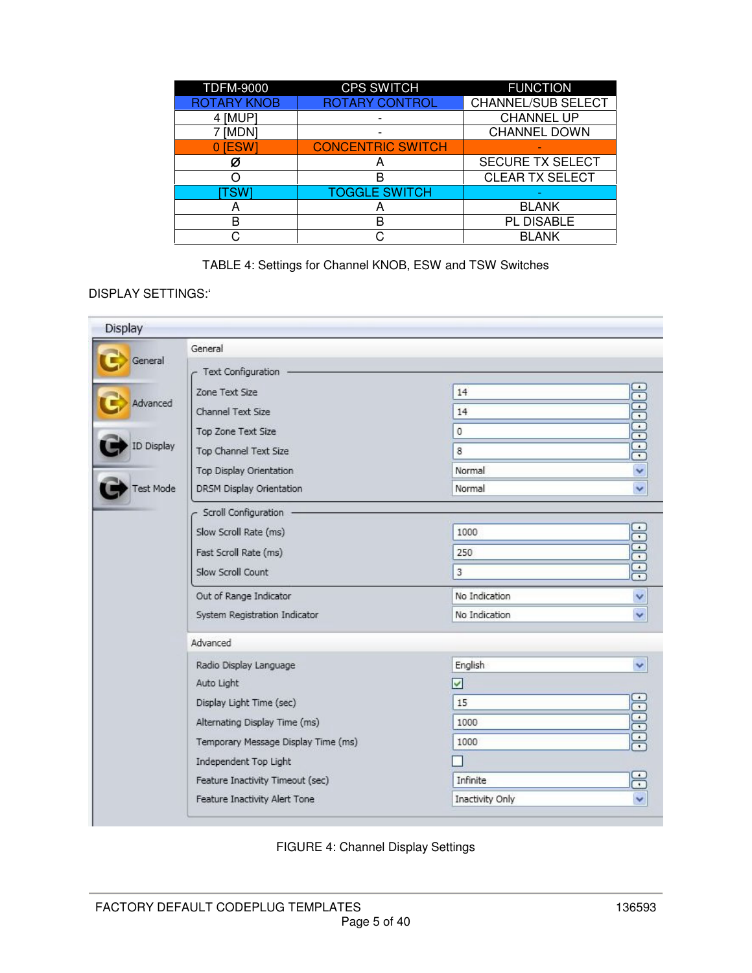| <b>TDFM-9000</b>   | <b>CPS SWITCH</b>        | <b>FUNCTION</b>           |
|--------------------|--------------------------|---------------------------|
| <b>ROTARY KNOB</b> | <b>ROTARY CONTROL</b>    | <b>CHANNEL/SUB SELECT</b> |
| 4 [MUP]            |                          | <b>CHANNEL UP</b>         |
| [MDN]              |                          | <b>CHANNEL DOWN</b>       |
| 0 <b>IESW</b>      | <b>CONCENTRIC SWITCH</b> |                           |
| Ø                  |                          | <b>SECURE TX SELECT</b>   |
|                    |                          | <b>CLEAR TX SELECT</b>    |
| TSWI               | <b>TOGGLE SWITCH</b>     |                           |
|                    |                          | <b>BLANK</b>              |
| в                  | B                        | PL DISABLE                |
|                    |                          | <b>BLANK</b>              |

TABLE 4: Settings for Channel KNOB, ESW and TSW Switches

## DISPLAY SETTINGS:'

|                  | General                             |                 |                                    |
|------------------|-------------------------------------|-----------------|------------------------------------|
| General          | Text Configuration                  |                 |                                    |
|                  | Zone Text Size                      | 14              |                                    |
| Advanced         | Channel Text Size                   | 14              | <b>BEBEEBEEB</b>                   |
|                  | Top Zone Text Size                  | $\mathbf 0$     |                                    |
| ID Display       | Top Channel Text Size               | 8               |                                    |
|                  | Top Display Orientation             | Normal          | $\ddot{\phantom{0}}$               |
| <b>Test Mode</b> | DRSM Display Orientation            | Normal          | $\ddot{\phantom{1}}$               |
|                  | Scroll Configuration                |                 |                                    |
|                  | Slow Scroll Rate (ms)               | 1000            |                                    |
|                  | Fast Scroll Rate (ms)               | 250             |                                    |
|                  | Slow Scroll Count                   | 3               |                                    |
|                  | Out of Range Indicator              | No Indication   | v                                  |
|                  | System Registration Indicator       | No Indication   | $\checkmark$                       |
|                  | Advanced                            |                 |                                    |
|                  | Radio Display Language              | English         |                                    |
|                  | Auto Light                          | $\checkmark$    |                                    |
|                  | Display Light Time (sec)            | 15              | <b>JUULE</b>                       |
|                  | Alternating Display Time (ms)       | 1000            |                                    |
|                  | Temporary Message Display Time (ms) | 1000            |                                    |
|                  | Independent Top Light               |                 |                                    |
|                  | Feature Inactivity Timeout (sec)    | Infinite        | $\sim$<br>$\overline{\phantom{a}}$ |
|                  | Feature Inactivity Alert Tone       | Inactivity Only |                                    |

FIGURE 4: Channel Display Settings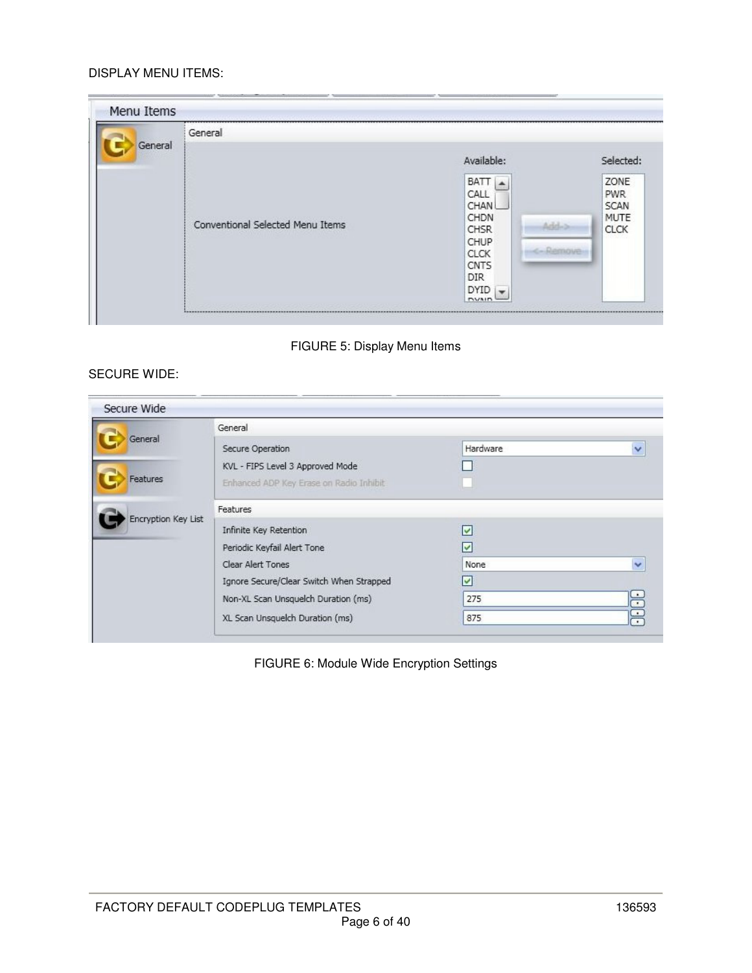### DISPLAY MENU ITEMS:

| General | General                          |                                                                                                                                                              |                                                                 |
|---------|----------------------------------|--------------------------------------------------------------------------------------------------------------------------------------------------------------|-----------------------------------------------------------------|
|         |                                  | Available:                                                                                                                                                   | Selected:                                                       |
|         | Conventional Selected Menu Items | <b>BATT</b><br>CALL<br>CHAN<br>CHDN<br>Arbitra<br>CHSR.<br>CHUP<br><b>CLCK</b><br><b>CNTS</b><br><b>DIR</b><br><b>DYID</b><br>$\blacksquare$<br><b>DVAID</b> | ZONE<br><b>PWR</b><br><b>SCAN</b><br><b>MUTE</b><br><b>CLCK</b> |

# FIGURE 5: Display Menu Items

## SECURE WIDE:

|                     | General                                  |                       |              |
|---------------------|------------------------------------------|-----------------------|--------------|
| General             | Secure Operation                         | Hardware              | $\checkmark$ |
|                     | KVL - FIPS Level 3 Approved Mode         |                       |              |
| Features            | Enhanced ADP Key Erase on Radio Inhibit  |                       |              |
| Encryption Key List | Features                                 |                       |              |
|                     | Infinite Key Retention                   | M                     |              |
|                     | Periodic Keyfail Alert Tone              | lv                    |              |
|                     | Clear Alert Tones                        | None                  |              |
|                     | Ignore Secure/Clear Switch When Strapped | $\blacktriangleright$ |              |
|                     | Non-XL Scan Unsquelch Duration (ms)      | 275                   | ÷            |
|                     | XL Scan Unsquelch Duration (ms)          | 875                   | $\cdot$      |

FIGURE 6: Module Wide Encryption Settings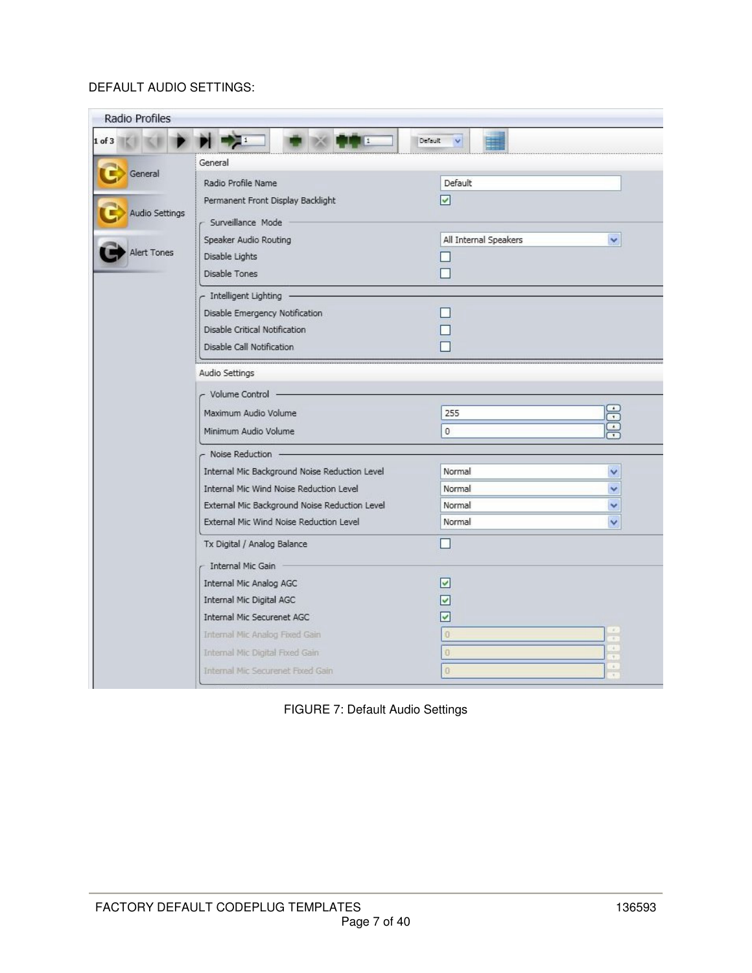# DEFAULT AUDIO SETTINGS:

| Radio Profiles                           |                                                                                                                                          |                                                                  |  |
|------------------------------------------|------------------------------------------------------------------------------------------------------------------------------------------|------------------------------------------------------------------|--|
| $1$ of $3$                               | <b>PIEN</b><br>Ŀ1                                                                                                                        | Default<br>$\vee$                                                |  |
|                                          | General                                                                                                                                  |                                                                  |  |
| General<br>Audio Settings<br>Alert Tones | Radio Profile Name<br>Permanent Front Display Backlight<br>Surveillance Mode<br>Speaker Audio Routing<br>Disable Lights<br>Disable Tones | Default<br>$\checkmark$<br>All Internal Speakers<br>$\checkmark$ |  |
|                                          | Intelligent Lighting                                                                                                                     |                                                                  |  |
|                                          | Disable Emergency Notification<br>Disable Critical Notification<br>Disable Call Notification                                             |                                                                  |  |
|                                          | Audio Settings                                                                                                                           |                                                                  |  |
|                                          | Volume Control -                                                                                                                         |                                                                  |  |
|                                          | Maximum Audio Volume                                                                                                                     | 뜭<br>255                                                         |  |
|                                          | Minimum Audio Volume                                                                                                                     | <b>Ex</b><br>$\mathbf{0}$                                        |  |
|                                          | - Noise Reduction                                                                                                                        |                                                                  |  |
|                                          | Internal Mic Background Noise Reduction Level                                                                                            | Normal<br>Ÿ                                                      |  |
|                                          | Internal Mic Wind Noise Reduction Level                                                                                                  | Normal                                                           |  |
|                                          | External Mic Background Noise Reduction Level<br>External Mic Wind Noise Reduction Level                                                 | Normal                                                           |  |
|                                          |                                                                                                                                          | Normal                                                           |  |
|                                          | Tx Digital / Analog Balance                                                                                                              |                                                                  |  |
|                                          | Internal Mic Gain                                                                                                                        |                                                                  |  |
|                                          | Internal Mic Analog AGC<br>Internal Mic Digital AGC                                                                                      | V                                                                |  |
|                                          | Internal Mic Securenet AGC                                                                                                               | V                                                                |  |
|                                          | Internal Mic Analog Fixed Gain                                                                                                           | $\mathcal{L}$<br>O<br>$\frac{1}{\pi}$                            |  |
|                                          | Internal Mic Digital Fixed Gain                                                                                                          | $\frac{1}{2}$<br>Ð<br>T                                          |  |
|                                          | Internal Mic Securenet Fixed Gain                                                                                                        | $\mathcal{L}_{\mathcal{L}}$<br>ö<br>$\overline{\mathcal{L}}$     |  |

FIGURE 7: Default Audio Settings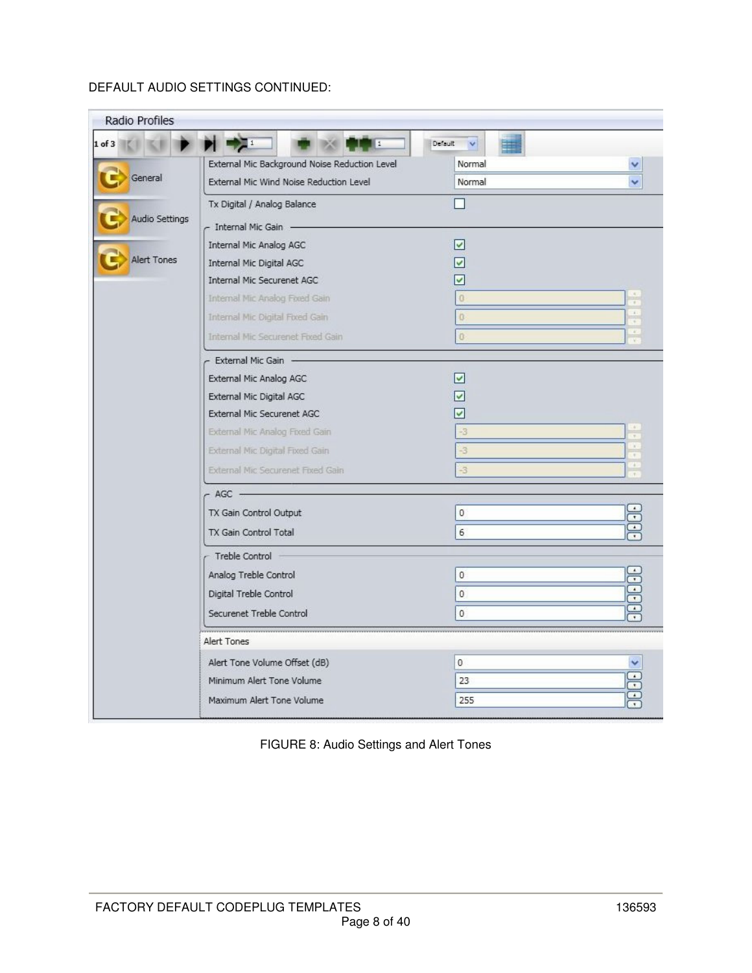# DEFAULT AUDIO SETTINGS CONTINUED:

| Radio Profiles     |                                               |                                                                                                                                                                       |                                                    |  |  |  |
|--------------------|-----------------------------------------------|-----------------------------------------------------------------------------------------------------------------------------------------------------------------------|----------------------------------------------------|--|--|--|
| $1$ of $3$         | $\frac{1}{2}$<br><b>THE</b>                   | Default V                                                                                                                                                             |                                                    |  |  |  |
|                    | External Mic Background Noise Reduction Level | Normal                                                                                                                                                                |                                                    |  |  |  |
| General            | External Mic Wind Noise Reduction Level       | Normal                                                                                                                                                                |                                                    |  |  |  |
|                    | Tx Digital / Analog Balance                   |                                                                                                                                                                       |                                                    |  |  |  |
| Audio Settings     | - Internal Mic Gain                           |                                                                                                                                                                       |                                                    |  |  |  |
|                    | Internal Mic Analog AGC                       | $\overline{\mathsf{v}}$                                                                                                                                               |                                                    |  |  |  |
| <b>Alert Tones</b> | Internal Mic Digital AGC                      | v                                                                                                                                                                     |                                                    |  |  |  |
|                    | Internal Mic Securenet AGC                    | ✓                                                                                                                                                                     |                                                    |  |  |  |
|                    | Internal Mic Analog Fored Gain                | $\Omega$                                                                                                                                                              | $\mathcal{R}$<br>Ŧ                                 |  |  |  |
|                    | Internal Mic Digital Fored Gain               | $\bf{0}$                                                                                                                                                              | $\mathcal{L}$                                      |  |  |  |
|                    | <b>Internal Mic Securenet Fixed Gain</b>      | $\overline{0}$                                                                                                                                                        | W.                                                 |  |  |  |
|                    | - External Mic Gain                           |                                                                                                                                                                       |                                                    |  |  |  |
|                    | External Mic Analog AGC                       | $\overline{\mathsf{v}}$                                                                                                                                               |                                                    |  |  |  |
|                    | External Mic Digital AGC                      | ✓                                                                                                                                                                     |                                                    |  |  |  |
|                    | External Mic Securenet AGC                    | ✓                                                                                                                                                                     |                                                    |  |  |  |
|                    | External Mic Analog Fixed Gain                | -3                                                                                                                                                                    |                                                    |  |  |  |
|                    | External Mic Digital Fixed Gain               | $-3$                                                                                                                                                                  | $\sim$<br>Ŧ                                        |  |  |  |
|                    | External Mic Securenet Fixed Gain             | $\begin{array}{c} \begin{array}{c} \begin{array}{c} \begin{array}{c} \end{array} \end{array} \end{array} \end{array} \end{array}$<br>$-3$<br>$\overline{\mathcal{F}}$ |                                                    |  |  |  |
|                    | $-$ AGC $-$                                   |                                                                                                                                                                       |                                                    |  |  |  |
|                    | TX Gain Control Output                        | $\overline{0}$                                                                                                                                                        | 등                                                  |  |  |  |
|                    | TX Gain Control Total                         | 6                                                                                                                                                                     | E                                                  |  |  |  |
|                    | Treble Control                                |                                                                                                                                                                       |                                                    |  |  |  |
|                    | Analog Treble Control                         | $\mathbf 0$                                                                                                                                                           |                                                    |  |  |  |
|                    | Digital Treble Control                        | $\theta$                                                                                                                                                              |                                                    |  |  |  |
|                    | Securenet Treble Control                      | 0                                                                                                                                                                     | 88886                                              |  |  |  |
|                    | Alert Tones                                   |                                                                                                                                                                       |                                                    |  |  |  |
|                    | Alert Tone Volume Offset (dB)                 | 0                                                                                                                                                                     | Ÿ                                                  |  |  |  |
|                    | Minimum Alert Tone Volume                     | 23                                                                                                                                                                    | $\frac{1}{\sqrt{2}}$                               |  |  |  |
|                    | Maximum Alert Tone Volume                     | 255                                                                                                                                                                   | $\bf \hat{\mathbb{C}}$<br>$\overline{\phantom{a}}$ |  |  |  |
|                    |                                               |                                                                                                                                                                       |                                                    |  |  |  |

FIGURE 8: Audio Settings and Alert Tones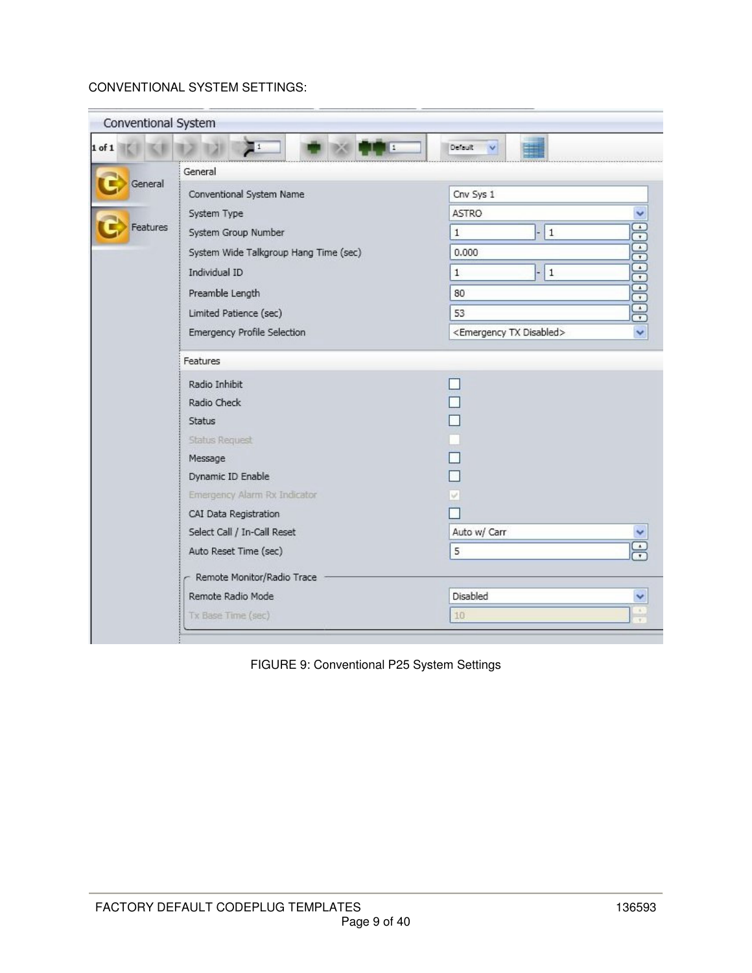# CONVENTIONAL SYSTEM SETTINGS:

| Conventional System |                                       |                                           |  |  |  |  |
|---------------------|---------------------------------------|-------------------------------------------|--|--|--|--|
| $1$ of $1$          | $\blacksquare$ 1<br>1                 | Default<br>$\checkmark$                   |  |  |  |  |
|                     | General                               |                                           |  |  |  |  |
| General             | Conventional System Name              | Cnv Sys 1                                 |  |  |  |  |
|                     | System Type                           | <b>ASTRO</b>                              |  |  |  |  |
| Features            | System Group Number                   | $\vert$ 1<br>$\mathbf{1}$                 |  |  |  |  |
|                     | System Wide Talkgroup Hang Time (sec) | 0.000                                     |  |  |  |  |
|                     | Individual ID                         | $\mathbf{1}$<br>$\mathbf{1}$              |  |  |  |  |
|                     | Preamble Length                       | 80                                        |  |  |  |  |
|                     | Limited Patience (sec)                | <b>EGGGGGGGGGSS</b><br>53                 |  |  |  |  |
|                     | Emergency Profile Selection           | <emergency disabled="" tx=""></emergency> |  |  |  |  |
|                     | Features                              |                                           |  |  |  |  |
|                     | Radio Inhibit                         | $\mathcal{L}$                             |  |  |  |  |
|                     | Radio Check                           |                                           |  |  |  |  |
|                     | <b>Status</b>                         |                                           |  |  |  |  |
|                     | <b>Status Request</b>                 |                                           |  |  |  |  |
|                     | Message                               |                                           |  |  |  |  |
|                     | Dynamic ID Enable                     |                                           |  |  |  |  |
|                     | Emergency Alarm Rx Indicator          |                                           |  |  |  |  |
|                     | CAI Data Registration                 |                                           |  |  |  |  |
|                     | Select Call / In-Call Reset           | Auto w/ Carr                              |  |  |  |  |
|                     | Auto Reset Time (sec)                 | 5                                         |  |  |  |  |
|                     | Remote Monitor/Radio Trace            |                                           |  |  |  |  |
|                     | Remote Radio Mode                     | Disabled                                  |  |  |  |  |
|                     | Tx Base Time (sec)                    | 10                                        |  |  |  |  |
|                     |                                       |                                           |  |  |  |  |

FIGURE 9: Conventional P25 System Settings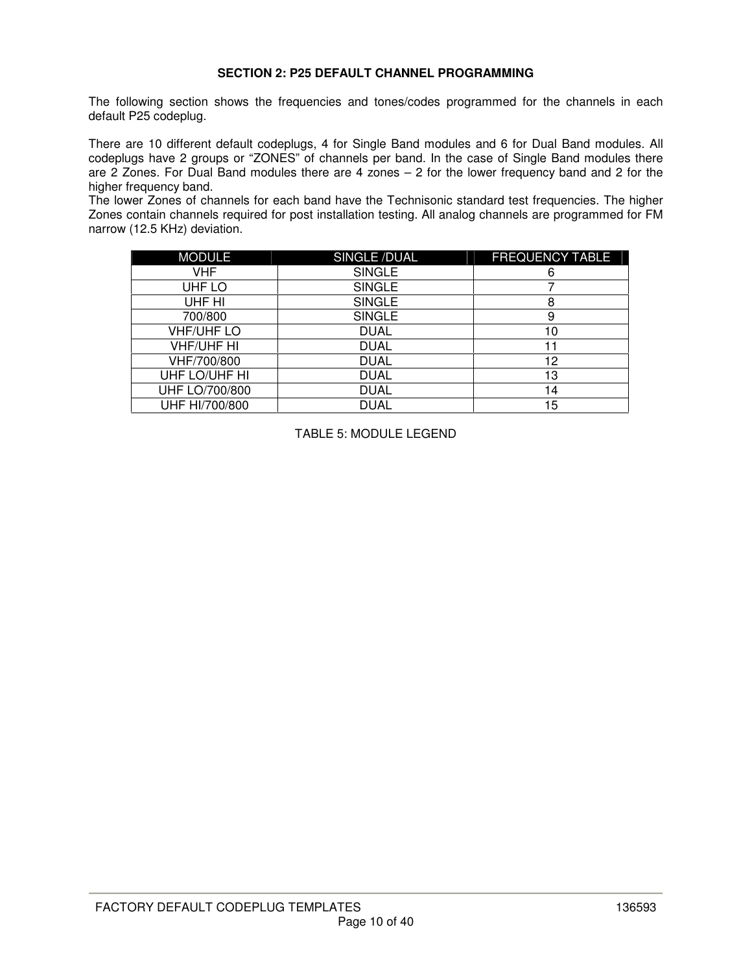### **SECTION 2: P25 DEFAULT CHANNEL PROGRAMMING**

The following section shows the frequencies and tones/codes programmed for the channels in each default P25 codeplug.

There are 10 different default codeplugs, 4 for Single Band modules and 6 for Dual Band modules. All codeplugs have 2 groups or "ZONES" of channels per band. In the case of Single Band modules there are 2 Zones. For Dual Band modules there are 4 zones – 2 for the lower frequency band and 2 for the higher frequency band.

The lower Zones of channels for each band have the Technisonic standard test frequencies. The higher Zones contain channels required for post installation testing. All analog channels are programmed for FM narrow (12.5 KHz) deviation.

| <b>MODULE</b>     | <b>SINGLE/DUAL</b> | <b>FREQUENCY TABLE</b> |
|-------------------|--------------------|------------------------|
| VHF.              | <b>SINGLE</b>      | 6                      |
| UHF LO            | <b>SINGLE</b>      |                        |
| UHF HI            | <b>SINGLE</b>      | 8                      |
| 700/800           | <b>SINGLE</b>      | 9                      |
| <b>VHF/UHF LO</b> | <b>DUAL</b>        | 10                     |
| <b>VHF/UHF HI</b> | <b>DUAL</b>        |                        |
| VHF/700/800       | <b>DUAL</b>        | 12                     |
| UHF LO/UHF HI     | <b>DUAL</b>        | 13                     |
| UHF LO/700/800    | <b>DUAL</b>        | 14                     |
| UHF HI/700/800    | DUAL               | 5                      |

TABLE 5: MODULE LEGEND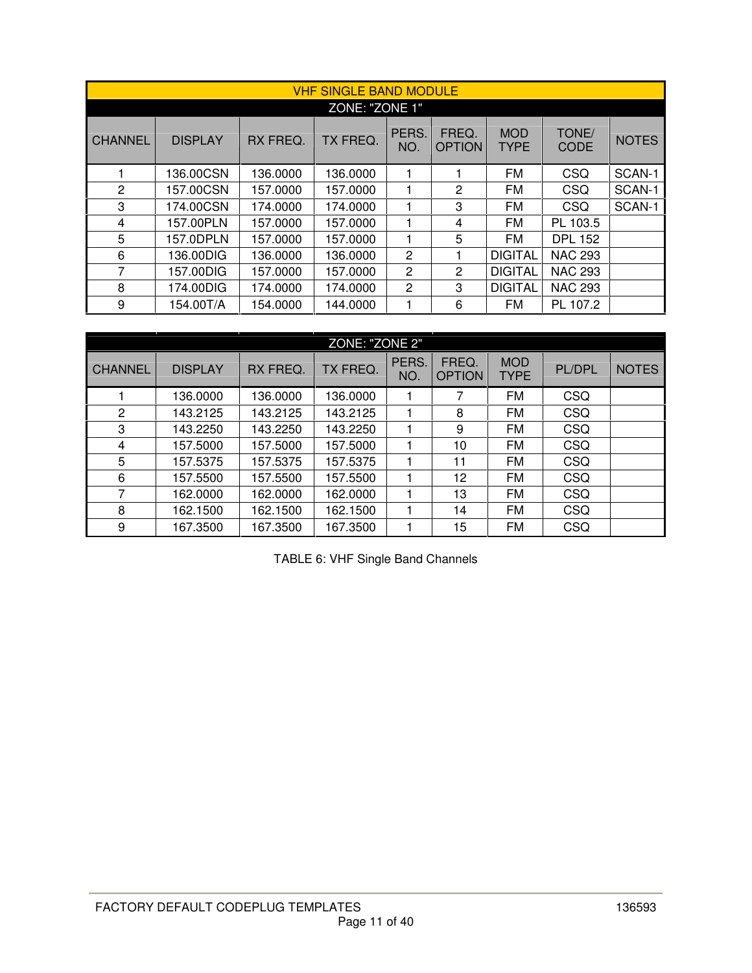|                |                |          | <b>VHF SINGLE BAND MODULE</b> |                |                         |                           |                      |              |  |  |
|----------------|----------------|----------|-------------------------------|----------------|-------------------------|---------------------------|----------------------|--------------|--|--|
| ZONE: "ZONE 1" |                |          |                               |                |                         |                           |                      |              |  |  |
| <b>CHANNEL</b> | <b>DISPLAY</b> | RX FREQ. | TX FREQ.                      | PERS.<br>NO.   | FREQ.<br><b>OPTION</b>  | <b>MOD</b><br><b>TYPE</b> | TONE/<br><b>CODE</b> | <b>NOTES</b> |  |  |
|                | 136.00CSN      | 136.0000 | 136.0000                      |                |                         | <b>FM</b>                 | CSQ                  | SCAN-1       |  |  |
| $\overline{2}$ | 157.00CSN      | 157.0000 | 157.0000                      |                | 2                       | <b>FM</b>                 | <b>CSQ</b>           | SCAN-1       |  |  |
| 3              | 174.00CSN      | 174.0000 | 174.0000                      |                | 3                       | <b>FM</b>                 | CSQ                  | SCAN-1       |  |  |
| 4              | 157.00PLN      | 157.0000 | 157.0000                      | 1              | $\overline{\mathbf{4}}$ | FM                        | PL 103.5             |              |  |  |
| 5              | 157.0DPLN      | 157.0000 | 157.0000                      |                | 5                       | <b>FM</b>                 | <b>DPL 152</b>       |              |  |  |
| 6              | 136.00DIG      | 136.0000 | 136.0000                      | 2              |                         | <b>DIGITAL</b>            | <b>NAC 293</b>       |              |  |  |
| 7              | 157.00DIG      | 157.0000 | 157.0000                      | $\overline{c}$ | 2                       | <b>DIGITAL</b>            | <b>NAC 293</b>       |              |  |  |
| 8              | 174.00DIG      | 174.0000 | 174.0000                      | $\overline{c}$ | 3                       | <b>DIGITAL</b>            | <b>NAC 293</b>       |              |  |  |
| 9              | 154.00T/A      | 154.0000 | 144.0000                      |                | 6                       | FM                        | PL 107.2             |              |  |  |

|                | ZONE: "ZONE 2" |          |          |              |                        |                           |            |              |  |  |
|----------------|----------------|----------|----------|--------------|------------------------|---------------------------|------------|--------------|--|--|
| <b>CHANNEL</b> | <b>DISPLAY</b> | RX FREQ. | TX FREQ. | PERS.<br>NO. | FREQ.<br><b>OPTION</b> | <b>MOD</b><br><b>TYPE</b> | PL/DPL     | <b>NOTES</b> |  |  |
|                | 136.0000       | 136.0000 | 136.0000 |              | 7                      | <b>FM</b>                 | <b>CSQ</b> |              |  |  |
| 2              | 143.2125       | 143.2125 | 143.2125 |              | 8                      | <b>FM</b>                 | <b>CSQ</b> |              |  |  |
| 3              | 143.2250       | 143.2250 | 143.2250 |              | 9                      | <b>FM</b>                 | <b>CSQ</b> |              |  |  |
| 4              | 157.5000       | 157.5000 | 157.5000 |              | 10                     | <b>FM</b>                 | <b>CSQ</b> |              |  |  |
| 5              | 157.5375       | 157.5375 | 157.5375 |              | 11                     | FM                        | <b>CSQ</b> |              |  |  |
| 6              | 157.5500       | 157.5500 | 157.5500 |              | 12                     | FM                        | <b>CSQ</b> |              |  |  |
| 7              | 162.0000       | 162.0000 | 162.0000 |              | 13                     | FM                        | <b>CSQ</b> |              |  |  |
| 8              | 162.1500       | 162.1500 | 162.1500 |              | 14                     | FM                        | <b>CSQ</b> |              |  |  |
| 9              | 167.3500       | 167.3500 | 167.3500 |              | 15                     | FM                        | <b>CSQ</b> |              |  |  |

TABLE 6: VHF Single Band Channels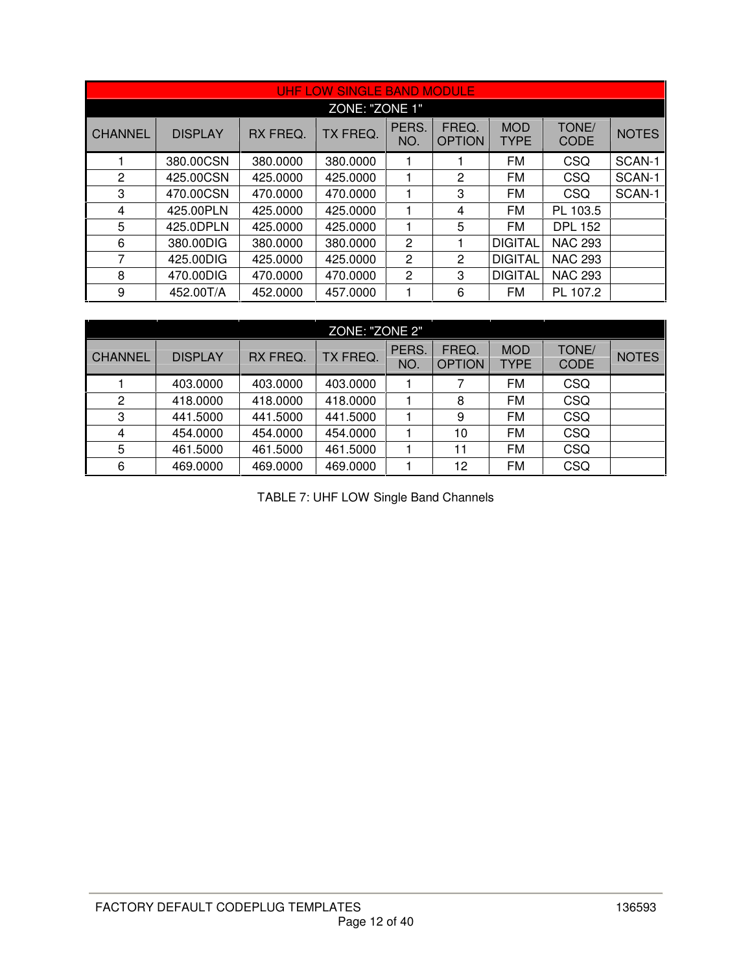|                |                |          | UHF LOW SINGLE BAND MODULE |                |                        |                    |                      |              |  |  |  |  |
|----------------|----------------|----------|----------------------------|----------------|------------------------|--------------------|----------------------|--------------|--|--|--|--|
|                | ZONE: "ZONE 1" |          |                            |                |                        |                    |                      |              |  |  |  |  |
| <b>CHANNEL</b> | <b>DISPLAY</b> | RX FREQ. | TX FREQ.                   | PERS.<br>NO.   | FREQ.<br><b>OPTION</b> | <b>MOD</b><br>TYPE | TONE/<br><b>CODE</b> | <b>NOTES</b> |  |  |  |  |
|                | 380.00CSN      | 380,0000 | 380,0000                   |                |                        | <b>FM</b>          | CSQ                  | SCAN-1       |  |  |  |  |
| 2              | 425.00CSN      | 425,0000 | 425.0000                   |                | 2                      | FM                 | CSQ                  | SCAN-1       |  |  |  |  |
| 3              | 470.00CSN      | 470.0000 | 470.0000                   |                | 3                      | FM                 | CSQ                  | SCAN-1       |  |  |  |  |
| 4              | 425.00PLN      | 425.0000 | 425.0000                   |                | 4                      | FM                 | PL 103.5             |              |  |  |  |  |
| 5              | 425.0DPLN      | 425,0000 | 425.0000                   |                | 5                      | FM                 | <b>DPL 152</b>       |              |  |  |  |  |
| 6              | 380.00DIG      | 380.0000 | 380.0000                   | 2              | 1                      | <b>DIGITAL</b>     | <b>NAC 293</b>       |              |  |  |  |  |
| 7              | 425.00DIG      | 425,0000 | 425.0000                   | 2              | 2                      | <b>DIGITAL</b>     | <b>NAC 293</b>       |              |  |  |  |  |
| 8              | 470.00DIG      | 470,0000 | 470.0000                   | $\overline{2}$ | 3                      | <b>DIGITAL</b>     | <b>NAC 293</b>       |              |  |  |  |  |
| 9              | 452.00T/A      | 452,0000 | 457.0000                   |                | 6                      | FM                 | PL 107.2             |              |  |  |  |  |

|                | ZONE: "ZONE 2" |          |          |                    |                        |                           |                      |              |  |  |  |
|----------------|----------------|----------|----------|--------------------|------------------------|---------------------------|----------------------|--------------|--|--|--|
| <b>CHANNEL</b> | <b>DISPLAY</b> | RX FREQ. | TX FREQ. | <b>PERS</b><br>NO. | FREQ.<br><b>OPTION</b> | <b>MOD</b><br><b>TYPE</b> | TONE/<br><b>CODE</b> | <b>NOTES</b> |  |  |  |
|                | 403.0000       | 403.0000 | 403.0000 |                    | 7                      | <b>FM</b>                 | <b>CSQ</b>           |              |  |  |  |
| 2              | 418.0000       | 418.0000 | 418.0000 |                    | 8                      | FM                        | <b>CSQ</b>           |              |  |  |  |
| 3              | 441.5000       | 441.5000 | 441.5000 |                    | 9                      | <b>FM</b>                 | <b>CSQ</b>           |              |  |  |  |
| $\overline{4}$ | 454.0000       | 454.0000 | 454.0000 |                    | 10                     | <b>FM</b>                 | CSQ                  |              |  |  |  |
| 5              | 461.5000       | 461.5000 | 461.5000 |                    | 11                     | FM                        | <b>CSQ</b>           |              |  |  |  |
| 6              | 469,0000       | 469,0000 | 469,0000 |                    | 12                     | <b>FM</b>                 | CSQ                  |              |  |  |  |

TABLE 7: UHF LOW Single Band Channels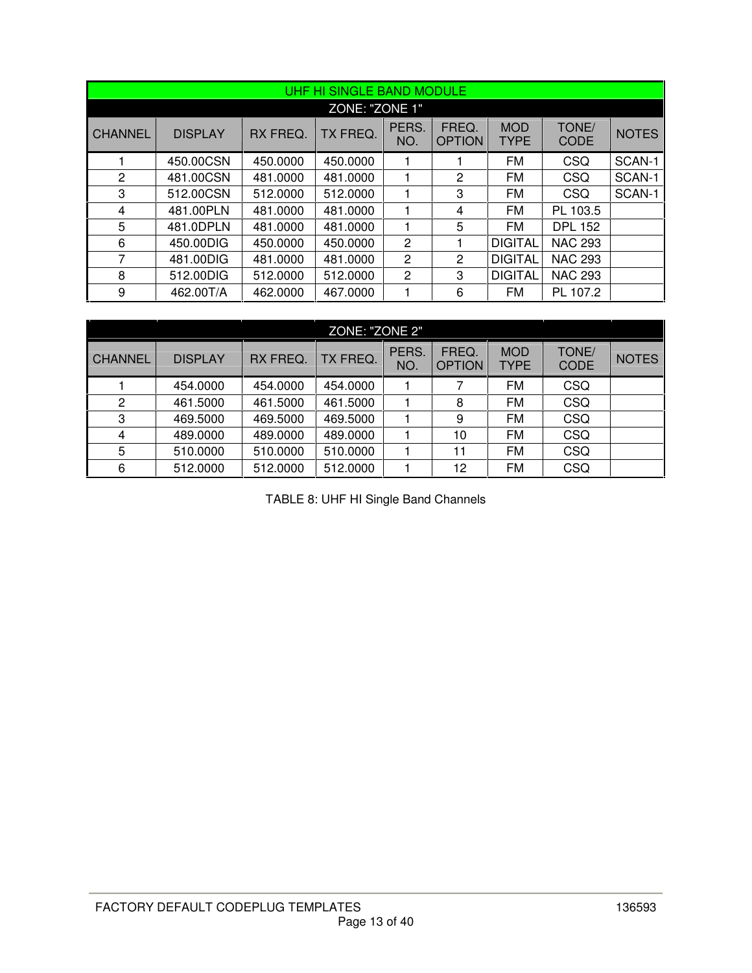|                |                |          | UHF HI SINGLE BAND MODULE |              |                        |                    |                      |              |
|----------------|----------------|----------|---------------------------|--------------|------------------------|--------------------|----------------------|--------------|
|                |                |          | ZONE: "ZONE 1"            |              |                        |                    |                      |              |
| <b>CHANNEL</b> | <b>DISPLAY</b> | RX FREQ. | TX FREQ.                  | PERS.<br>NO. | FREQ.<br><b>OPTION</b> | <b>MOD</b><br>TYPE | TONE/<br><b>CODE</b> | <b>NOTES</b> |
|                | 450.00CSN      | 450.0000 | 450.0000                  |              |                        | FM                 | CSQ                  | SCAN-1       |
| 2              | 481.00CSN      | 481.0000 | 481.0000                  | 1            | $\overline{2}$         | <b>FM</b>          | CSQ                  | SCAN-1       |
| 3              | 512.00CSN      | 512.0000 | 512.0000                  | 1            | 3                      | <b>FM</b>          | CSQ                  | SCAN-1       |
| 4              | 481.00PLN      | 481.0000 | 481.0000                  | 1            | 4                      | FM                 | PL 103.5             |              |
| 5              | 481.0DPLN      | 481.0000 | 481.0000                  | 1            | 5                      | <b>FM</b>          | <b>DPL 152</b>       |              |
| 6              | 450.00DIG      | 450.0000 | 450.0000                  | 2            | 1                      | <b>DIGITAL</b>     | <b>NAC 293</b>       |              |
| 7              | 481.00DIG      | 481.0000 | 481.0000                  | 2            | 2                      | <b>DIGITAL</b>     | <b>NAC 293</b>       |              |
| 8              | 512,00DIG      | 512,0000 | 512.0000                  | 2            | 3                      | <b>DIGITAL</b>     | <b>NAC 293</b>       |              |
| 9              | 462.00T/A      | 462,0000 | 467.0000                  |              | 6                      | <b>FM</b>          | PL 107.2             |              |

| ZONE: "ZONE 2" |                |          |          |              |                        |                           |                      |              |  |
|----------------|----------------|----------|----------|--------------|------------------------|---------------------------|----------------------|--------------|--|
| <b>CHANNEL</b> | <b>DISPLAY</b> | RX FREQ. | TX FREQ. | PERS.<br>NO. | FREQ.<br><b>OPTION</b> | <b>MOD</b><br><b>TYPE</b> | TONE/<br><b>CODE</b> | <b>NOTES</b> |  |
|                | 454.0000       | 454.0000 | 454.0000 |              |                        | FM                        | <b>CSQ</b>           |              |  |
| $\overline{2}$ | 461.5000       | 461.5000 | 461.5000 |              | 8                      | FM                        | <b>CSQ</b>           |              |  |
| 3              | 469.5000       | 469.5000 | 469.5000 |              | 9                      | <b>FM</b>                 | <b>CSQ</b>           |              |  |
| 4              | 489.0000       | 489.0000 | 489.0000 |              | 10                     | FM                        | <b>CSQ</b>           |              |  |
| 5              | 510.0000       | 510.0000 | 510.0000 |              | 11                     | FM                        | <b>CSQ</b>           |              |  |
| 6              | 512.0000       | 512.0000 | 512.0000 |              | 12                     | FM                        | CSQ                  |              |  |

TABLE 8: UHF HI Single Band Channels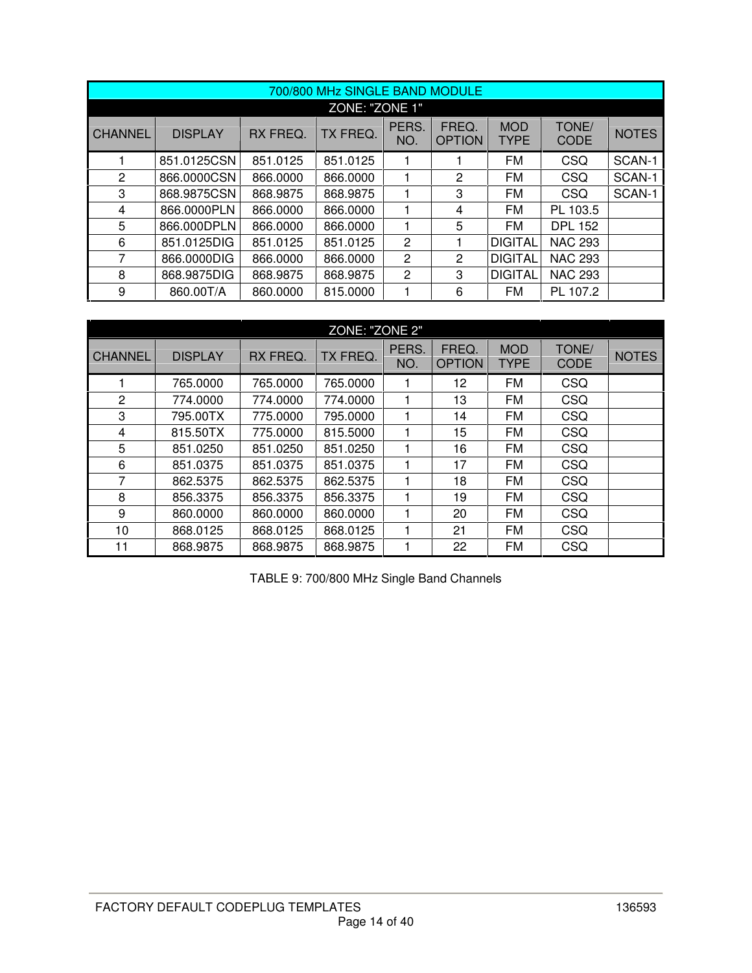|                |                |          | 700/800 MHz SINGLE BAND MODULE |              |                        |                           |                      |              |  |  |  |
|----------------|----------------|----------|--------------------------------|--------------|------------------------|---------------------------|----------------------|--------------|--|--|--|
| ZONE: "ZONE 1" |                |          |                                |              |                        |                           |                      |              |  |  |  |
| <b>CHANNEL</b> | <b>DISPLAY</b> | RX FREQ. | TX FREQ.                       | PERS.<br>NO. | FREQ.<br><b>OPTION</b> | <b>MOD</b><br><b>TYPE</b> | TONE/<br><b>CODE</b> | <b>NOTES</b> |  |  |  |
|                | 851.0125CSN    | 851.0125 | 851.0125                       |              |                        | <b>FM</b>                 | CSQ                  | SCAN-1       |  |  |  |
| 2              | 866,0000CSN    | 866,0000 | 866.0000                       |              | $\mathbf{2}$           | <b>FM</b>                 | CSQ                  | SCAN-1       |  |  |  |
| 3              | 868.9875CSN    | 868.9875 | 868.9875                       |              | 3                      | <b>FM</b>                 | CSQ                  | SCAN-1       |  |  |  |
| 4              | 866.0000PLN    | 866,0000 | 866.0000                       |              | 4                      | FM                        | PL 103.5             |              |  |  |  |
| 5              | 866.000DPLN    | 866,0000 | 866.0000                       |              | 5                      | FM                        | <b>DPL 152</b>       |              |  |  |  |
| 6              | 851.0125DIG    | 851.0125 | 851.0125                       | 2            |                        | <b>DIGITAL</b>            | <b>NAC 293</b>       |              |  |  |  |
| 7              | 866.0000DIG    | 866,0000 | 866.0000                       | $\mathbf{2}$ | 2                      | <b>DIGITAL</b>            | <b>NAC 293</b>       |              |  |  |  |
| 8              | 868.9875DIG    | 868,9875 | 868.9875                       | $\mathbf{2}$ | 3                      | <b>DIGITAL</b>            | <b>NAC 293</b>       |              |  |  |  |
| 9              | 860.00T/A      | 860.0000 | 815.0000                       |              | 6                      | <b>FM</b>                 | PL 107.2             |              |  |  |  |

|                | ZONE: "ZONE 2" |          |          |              |                        |                           |                      |              |  |  |  |
|----------------|----------------|----------|----------|--------------|------------------------|---------------------------|----------------------|--------------|--|--|--|
| <b>CHANNEL</b> | <b>DISPLAY</b> | RX FREQ. | TX FREQ. | PERS.<br>NO. | FREQ.<br><b>OPTION</b> | <b>MOD</b><br><b>TYPE</b> | TONE/<br><b>CODE</b> | <b>NOTES</b> |  |  |  |
|                | 765.0000       | 765.0000 | 765.0000 |              | 12                     | FM                        | CSQ                  |              |  |  |  |
| 2              | 774.0000       | 774.0000 | 774.0000 |              | 13                     | FM                        | CSQ                  |              |  |  |  |
| 3              | 795.00TX       | 775.0000 | 795.0000 | 1            | 14                     | FM                        | <b>CSQ</b>           |              |  |  |  |
| 4              | 815.50TX       | 775.0000 | 815.5000 |              | 15                     | FM                        | <b>CSQ</b>           |              |  |  |  |
| 5              | 851.0250       | 851.0250 | 851.0250 |              | 16                     | FM                        | CSQ                  |              |  |  |  |
| 6              | 851.0375       | 851.0375 | 851.0375 |              | 17                     | FM                        | CSQ                  |              |  |  |  |
| 7              | 862.5375       | 862.5375 | 862.5375 |              | 18                     | FM                        | <b>CSQ</b>           |              |  |  |  |
| 8              | 856.3375       | 856.3375 | 856.3375 |              | 19                     | <b>FM</b>                 | CSQ                  |              |  |  |  |
| 9              | 860,0000       | 860,0000 | 860.0000 |              | 20                     | FM                        | <b>CSQ</b>           |              |  |  |  |
| 10             | 868.0125       | 868.0125 | 868.0125 |              | 21                     | FM                        | CSQ                  |              |  |  |  |
| 11             | 868.9875       | 868.9875 | 868.9875 |              | 22                     | FM                        | CSQ                  |              |  |  |  |

TABLE 9: 700/800 MHz Single Band Channels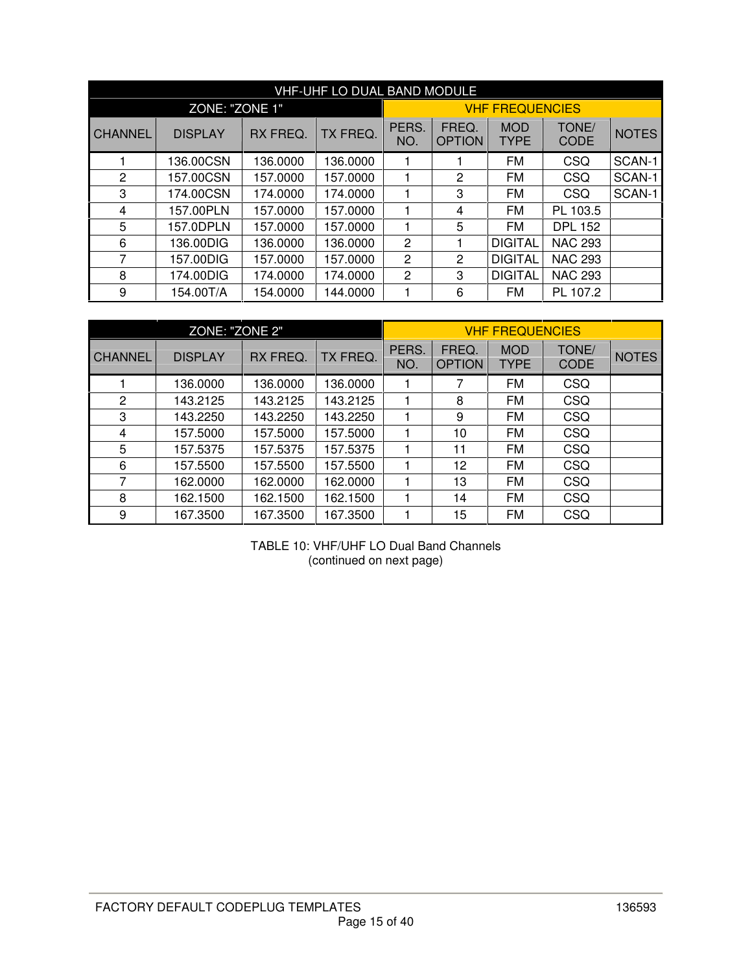|                |                |          | <b>VHF-UHF LO DUAL BAND MODULE</b> |              |                        |                           |                      |              |
|----------------|----------------|----------|------------------------------------|--------------|------------------------|---------------------------|----------------------|--------------|
|                | ZONE: "ZONE 1" |          |                                    |              |                        | <b>VHF FREQUENCIES</b>    |                      |              |
| <b>CHANNEL</b> | <b>DISPLAY</b> | RX FREQ. | TX FREQ.                           | PERS.<br>NO. | FREQ.<br><b>OPTION</b> | <b>MOD</b><br><b>TYPE</b> | TONE/<br><b>CODE</b> | <b>NOTES</b> |
|                | 136.00CSN      | 136.0000 | 136,0000                           |              |                        | <b>FM</b>                 | CSQ                  | SCAN-1       |
| $\overline{2}$ | 157.00CSN      | 157.0000 | 157.0000                           |              | $\overline{2}$         | FM                        | CSQ                  | SCAN-1       |
| 3              | 174.00CSN      | 174.0000 | 174.0000                           | 1            | 3                      | <b>FM</b>                 | CSQ                  | SCAN-1       |
| 4              | 157.00PLN      | 157.0000 | 157.0000                           |              | 4                      | FM                        | PL 103.5             |              |
| 5              | 157.0DPLN      | 157.0000 | 157.0000                           |              | 5                      | FM                        | <b>DPL 152</b>       |              |
| 6              | 136.00DIG      | 136.0000 | 136,0000                           | 2            |                        | <b>DIGITAL</b>            | <b>NAC 293</b>       |              |
| 7              | 157.00DIG      | 157.0000 | 157.0000                           | 2            | 2                      | <b>DIGITAL</b>            | <b>NAC 293</b>       |              |
| 8              | 174.00DIG      | 174.0000 | 174.0000                           | 2            | 3                      | <b>DIGITAL</b>            | <b>NAC 293</b>       |              |
| 9              | 154.00T/A      | 154.0000 | 144.0000                           |              | 6                      | FM                        | PL 107.2             |              |

|                | ZONE: "ZONE 2" |          |          |              |                        | <b>VHF FREQUENCIES</b> |                      |              |
|----------------|----------------|----------|----------|--------------|------------------------|------------------------|----------------------|--------------|
| <b>CHANNEL</b> | <b>DISPLAY</b> | RX FREQ. | TX FREQ. | PERS.<br>NO. | FREQ.<br><b>OPTION</b> | <b>MOD</b><br>TYPE     | TONE/<br><b>CODE</b> | <b>NOTES</b> |
|                | 136,0000       | 136.0000 | 136.0000 |              | 7                      | FM                     | <b>CSQ</b>           |              |
| 2              | 143.2125       | 143.2125 | 143.2125 |              | 8                      | <b>FM</b>              | <b>CSQ</b>           |              |
| 3              | 143.2250       | 143.2250 | 143.2250 |              | 9                      | <b>FM</b>              | <b>CSQ</b>           |              |
| 4              | 157.5000       | 157.5000 | 157.5000 |              | 10                     | <b>FM</b>              | <b>CSQ</b>           |              |
| 5              | 157.5375       | 157.5375 | 157.5375 |              | 11                     | <b>FM</b>              | <b>CSQ</b>           |              |
| 6              | 157.5500       | 157.5500 | 157.5500 |              | 12                     | <b>FM</b>              | <b>CSQ</b>           |              |
| 7              | 162.0000       | 162.0000 | 162.0000 |              | 13                     | <b>FM</b>              | <b>CSQ</b>           |              |
| 8              | 162.1500       | 162.1500 | 162.1500 |              | 14                     | <b>FM</b>              | <b>CSQ</b>           |              |
| 9              | 167.3500       | 167.3500 | 167.3500 |              | 15                     | FM                     | <b>CSQ</b>           |              |

TABLE 10: VHF/UHF LO Dual Band Channels (continued on next page)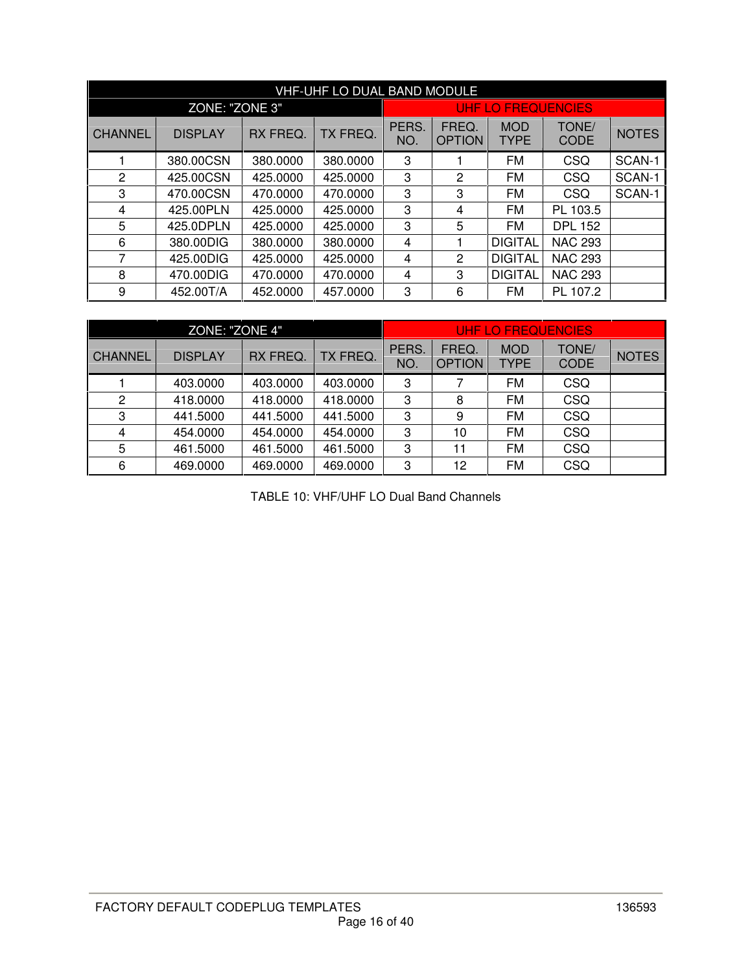|                | VHF-UHF LO DUAL BAND MODULE |          |          |              |                        |                           |                      |              |  |  |  |
|----------------|-----------------------------|----------|----------|--------------|------------------------|---------------------------|----------------------|--------------|--|--|--|
|                | ZONE: "ZONE 3"              |          |          |              |                        | UHF LO FREQUENCIES        |                      |              |  |  |  |
| <b>CHANNEL</b> | <b>DISPLAY</b>              | RX FREQ. | TX FREQ. | PERS.<br>NO. | FREQ.<br><b>OPTION</b> | <b>MOD</b><br><b>TYPE</b> | TONE/<br><b>CODE</b> | <b>NOTES</b> |  |  |  |
|                | 380.00CSN                   | 380.0000 | 380.0000 | 3            |                        | FM                        | CSQ                  | SCAN-1       |  |  |  |
| 2              | 425.00CSN                   | 425.0000 | 425.0000 | 3            | $\mathbf{2}$           | <b>FM</b>                 | CSQ                  | SCAN-1       |  |  |  |
| 3              | 470.00CSN                   | 470.0000 | 470.0000 | 3            | 3                      | <b>FM</b>                 | CSQ                  | SCAN-1       |  |  |  |
| 4              | 425.00PLN                   | 425.0000 | 425.0000 | 3            | 4                      | FM                        | PL 103.5             |              |  |  |  |
| 5              | 425.0DPLN                   | 425.0000 | 425.0000 | 3            | 5                      | FM                        | <b>DPL 152</b>       |              |  |  |  |
| 6              | 380.00DIG                   | 380.0000 | 380.0000 | 4            |                        | <b>DIGITAL</b>            | <b>NAC 293</b>       |              |  |  |  |
| 7              | 425.00DIG                   | 425,0000 | 425.0000 | 4            | 2                      | <b>DIGITAL</b>            | <b>NAC 293</b>       |              |  |  |  |
| 8              | 470.00DIG                   | 470,0000 | 470.0000 | 4            | 3                      | <b>DIGITAL</b>            | <b>NAC 293</b>       |              |  |  |  |
| 9              | 452.00T/A                   | 452.0000 | 457.0000 | 3            | 6                      | FM                        | PL 107.2             |              |  |  |  |

|                | ZONE: "ZONE 4" |          |          |              |                        | UHF LO FREQUENCIES        |                      |              |
|----------------|----------------|----------|----------|--------------|------------------------|---------------------------|----------------------|--------------|
| <b>CHANNEL</b> | <b>DISPLAY</b> | RX FREQ. | TX FREQ. | PERS.<br>NO. | FREQ.<br><b>OPTION</b> | <b>MOD</b><br><b>TYPE</b> | TONE/<br><b>CODE</b> | <b>NOTES</b> |
|                | 403.0000       | 403.0000 | 403.0000 | 3            | 7                      | FM                        | CSQ                  |              |
| 2              | 418.0000       | 418.0000 | 418.0000 | 3            | 8                      | FM                        | <b>CSQ</b>           |              |
| 3              | 441.5000       | 441.5000 | 441.5000 | 3            | 9                      | FM                        | <b>CSQ</b>           |              |
| $\overline{4}$ | 454.0000       | 454.0000 | 454.0000 | 3            | 10                     | FM                        | CSQ                  |              |
| 5              | 461.5000       | 461.5000 | 461.5000 | 3            | 11                     | FM                        | <b>CSQ</b>           |              |
| 6              | 469,0000       | 469.0000 | 469.0000 | 3            | 12                     | FM                        | CSQ                  |              |

TABLE 10: VHF/UHF LO Dual Band Channels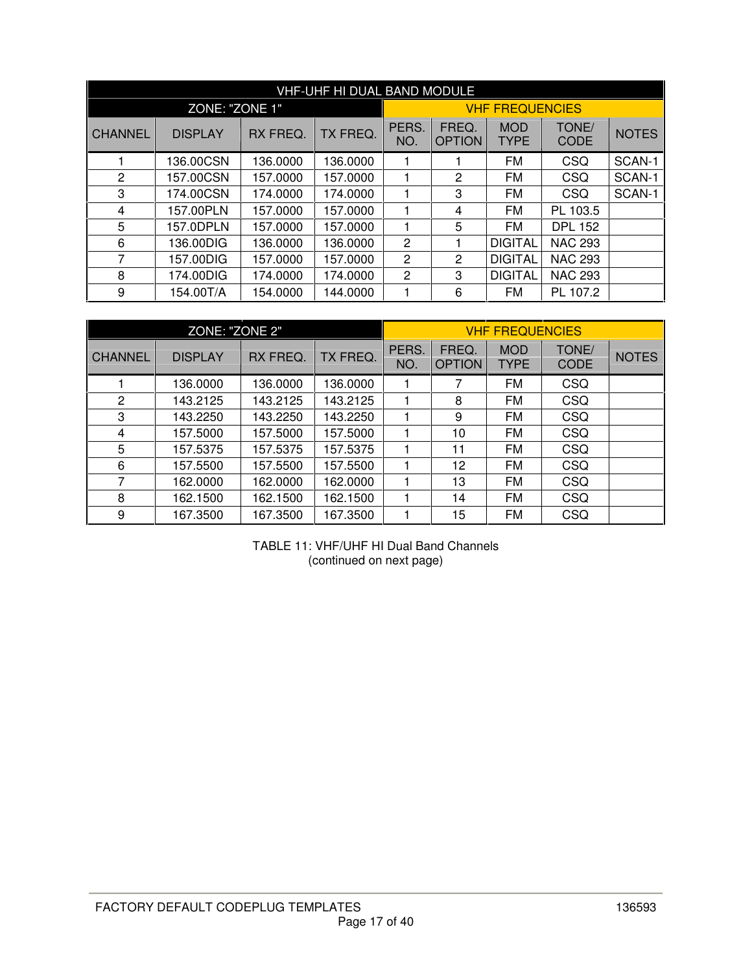|                |                |          | VHF-UHF HI DUAL BAND MODULE |              |                        |                           |                      |              |
|----------------|----------------|----------|-----------------------------|--------------|------------------------|---------------------------|----------------------|--------------|
|                | ZONE: "ZONE 1" |          |                             |              |                        | <b>VHF FREQUENCIES</b>    |                      |              |
| <b>CHANNEL</b> | <b>DISPLAY</b> | RX FREQ. | TX FREQ.                    | PERS.<br>NO. | FREQ.<br><b>OPTION</b> | <b>MOD</b><br><b>TYPE</b> | TONE/<br><b>CODE</b> | <b>NOTES</b> |
|                | 136.00CSN      | 136.0000 | 136.0000                    |              |                        | FM                        | <b>CSQ</b>           | SCAN-1       |
| 2              | 157.00CSN      | 157.0000 | 157.0000                    | 1            | 2                      | FM                        | <b>CSQ</b>           | SCAN-1       |
| 3              | 174.00CSN      | 174.0000 | 174.0000                    | 1            | 3                      | FM                        | CSQ                  | SCAN-1       |
| 4              | 157.00PLN      | 157.0000 | 157.0000                    |              | 4                      | <b>FM</b>                 | PL 103.5             |              |
| 5              | 157.0DPLN      | 157.0000 | 157.0000                    |              | 5                      | FM                        | <b>DPL 152</b>       |              |
| 6              | 136,00DIG      | 136.0000 | 136.0000                    | 2            |                        | <b>DIGITAL</b>            | <b>NAC 293</b>       |              |
| 7              | 157.00DIG      | 157.0000 | 157.0000                    | 2            | 2                      | <b>DIGITAL</b>            | <b>NAC 293</b>       |              |
| 8              | 174.00DIG      | 174.0000 | 174.0000                    | 2            | 3                      | <b>DIGITAL</b>            | <b>NAC 293</b>       |              |
| 9              | 154.00T/A      | 154.0000 | 144.0000                    |              | 6                      | FM                        | PL 107.2             |              |

|                | ZONE: "ZONE 2" |          |          |              |                        | <b>VHF FREQUENCIES</b>    |                      |              |
|----------------|----------------|----------|----------|--------------|------------------------|---------------------------|----------------------|--------------|
| <b>CHANNEL</b> | <b>DISPLAY</b> | RX FREQ. | TX FREQ. | PERS.<br>NO. | FREQ.<br><b>OPTION</b> | <b>MOD</b><br><b>TYPE</b> | TONE/<br><b>CODE</b> | <b>NOTES</b> |
|                | 136,0000       | 136.0000 | 136.0000 |              | 7                      | <b>FM</b>                 | CSQ                  |              |
| 2              | 143.2125       | 143.2125 | 143.2125 |              | 8                      | <b>FM</b>                 | <b>CSQ</b>           |              |
| 3              | 143.2250       | 143.2250 | 143.2250 |              | 9                      | FM                        | <b>CSQ</b>           |              |
| 4              | 157.5000       | 157.5000 | 157.5000 |              | 10                     | FM                        | CSQ                  |              |
| 5              | 157.5375       | 157.5375 | 157.5375 |              | 11                     | FM                        | <b>CSQ</b>           |              |
| 6              | 157.5500       | 157.5500 | 157.5500 |              | 12                     | <b>FM</b>                 | CSQ                  |              |
| 7              | 162.0000       | 162.0000 | 162.0000 |              | 13                     | <b>FM</b>                 | CSQ                  |              |
| 8              | 162.1500       | 162.1500 | 162.1500 |              | 14                     | FM                        | CSQ                  |              |
| 9              | 167.3500       | 167.3500 | 167.3500 |              | 15                     | FM                        | <b>CSQ</b>           |              |

TABLE 11: VHF/UHF HI Dual Band Channels (continued on next page)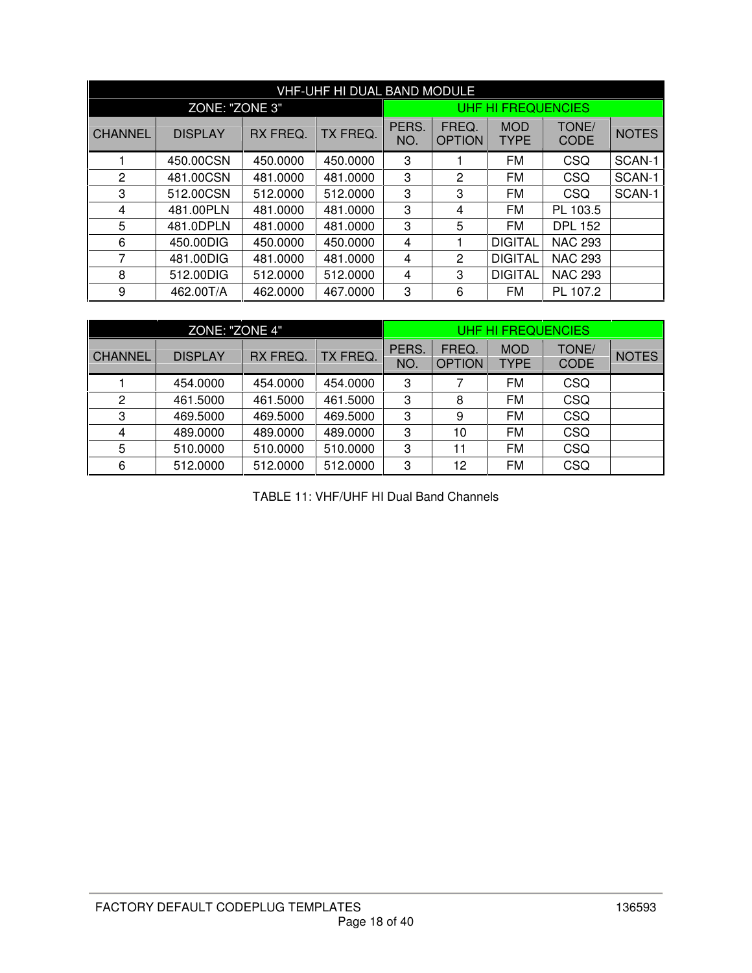|                | <b>VHF-UHF HI DUAL BAND MODULE</b> |          |          |              |                        |                           |                      |              |  |  |  |
|----------------|------------------------------------|----------|----------|--------------|------------------------|---------------------------|----------------------|--------------|--|--|--|
|                | ZONE: "ZONE 3"                     |          |          |              |                        | UHF HI FREQUENCIES        |                      |              |  |  |  |
| <b>CHANNEL</b> | <b>DISPLAY</b>                     | RX FREQ. | TX FREQ. | PERS.<br>NO. | FREQ.<br><b>OPTION</b> | <b>MOD</b><br><b>TYPE</b> | TONE/<br><b>CODE</b> | <b>NOTES</b> |  |  |  |
|                | 450.00CSN                          | 450.0000 | 450.0000 | 3            |                        | FM                        | CSQ                  | SCAN-1       |  |  |  |
| 2              | 481.00CSN                          | 481.0000 | 481.0000 | 3            | 2                      | <b>FM</b>                 | CSQ                  | SCAN-1       |  |  |  |
| 3              | 512.00CSN                          | 512.0000 | 512.0000 | 3            | 3                      | FM                        | CSQ                  | SCAN-1       |  |  |  |
| 4              | 481.00PLN                          | 481.0000 | 481.0000 | 3            | 4                      | FM                        | PL 103.5             |              |  |  |  |
| 5              | 481.0DPLN                          | 481.0000 | 481.0000 | 3            | 5                      | <b>FM</b>                 | <b>DPL 152</b>       |              |  |  |  |
| 6              | 450.00DIG                          | 450.0000 | 450.0000 | 4            |                        | <b>DIGITAL</b>            | <b>NAC 293</b>       |              |  |  |  |
| 7              | 481.00DIG                          | 481.0000 | 481.0000 | 4            | 2                      | <b>DIGITAL</b>            | <b>NAC 293</b>       |              |  |  |  |
| 8              | 512.00DIG                          | 512.0000 | 512.0000 | 4            | 3                      | <b>DIGITAL</b>            | <b>NAC 293</b>       |              |  |  |  |
| 9              | 462.00T/A                          | 462,0000 | 467.0000 | 3            | 6                      | <b>FM</b>                 | PL 107.2             |              |  |  |  |

|                | ZONE: "ZONE 4" |          |          |              |                        | <b>UHF HI FREQUENCIES</b> |                      |              |
|----------------|----------------|----------|----------|--------------|------------------------|---------------------------|----------------------|--------------|
| <b>CHANNEL</b> | <b>DISPLAY</b> | RX FREQ. | TX FREQ. | PERS.<br>NO. | FREQ.<br><b>OPTION</b> | <b>MOD</b><br><b>TYPE</b> | TONE/<br><b>CODE</b> | <b>NOTES</b> |
|                | 454.0000       | 454.0000 | 454.0000 | 3            |                        | FM                        | CSQ                  |              |
| 2              | 461.5000       | 461.5000 | 461.5000 | 3            | 8                      | FM                        | <b>CSQ</b>           |              |
| 3              | 469.5000       | 469.5000 | 469.5000 | 3            | 9                      | FM                        | <b>CSQ</b>           |              |
| 4              | 489.0000       | 489.0000 | 489.0000 | 3            | 10                     | FM                        | <b>CSQ</b>           |              |
| 5              | 510.0000       | 510.0000 | 510.0000 | 3            | 11                     | FM                        | CSQ                  |              |
| 6              | 512.0000       | 512,0000 | 512.0000 | 3            | 12                     | FM                        | CSQ                  |              |

TABLE 11: VHF/UHF HI Dual Band Channels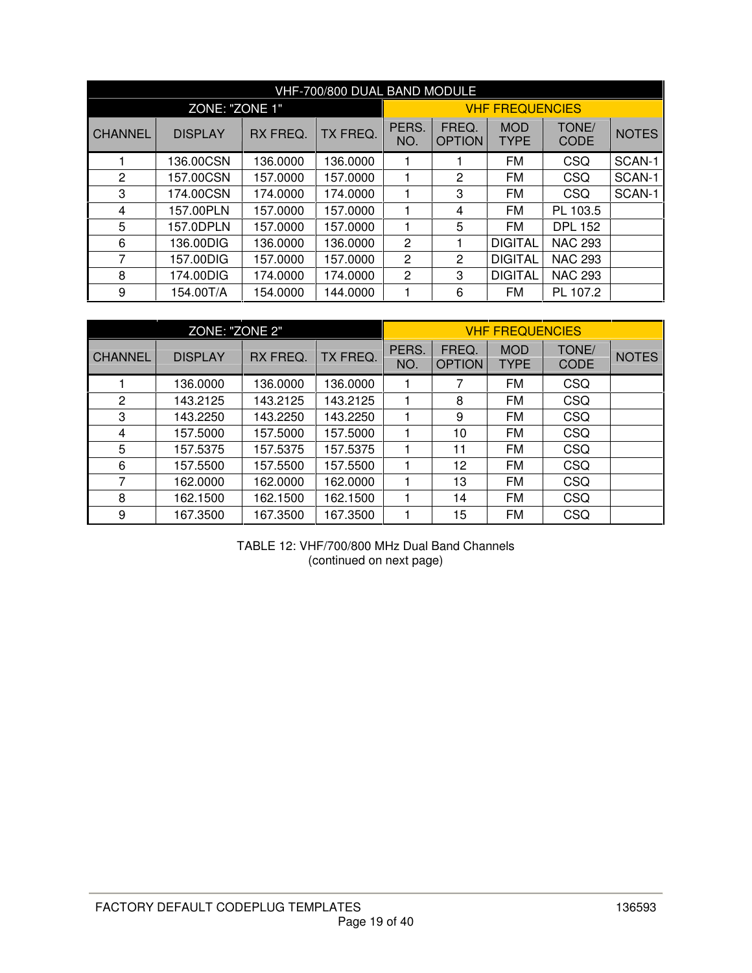|                |                |          | VHF-700/800 DUAL BAND MODULE |                |                        |                           |                      |              |
|----------------|----------------|----------|------------------------------|----------------|------------------------|---------------------------|----------------------|--------------|
|                | ZONE: "ZONE 1" |          |                              |                |                        | <b>VHF FREQUENCIES</b>    |                      |              |
| <b>CHANNEL</b> | <b>DISPLAY</b> | RX FREQ. | TX FREQ.                     | PERS.<br>NO.   | FREQ.<br><b>OPTION</b> | <b>MOD</b><br><b>TYPE</b> | TONE/<br><b>CODE</b> | <b>NOTES</b> |
|                | 136.00CSN      | 136.0000 | 136,0000                     |                |                        | FM                        | CSQ                  | SCAN-1       |
| 2              | 157.00CSN      | 157.0000 | 157.0000                     |                | $\mathbf{2}$           | FM                        | CSQ                  | SCAN-1       |
| 3              | 174.00CSN      | 174.0000 | 174.0000                     |                | 3                      | FM                        | <b>CSQ</b>           | SCAN-1       |
| 4              | 157.00PLN      | 157.0000 | 157.0000                     |                | 4                      | FM                        | PL 103.5             |              |
| 5              | 157.0DPLN      | 157.0000 | 157.0000                     |                | 5                      | FM                        | <b>DPL 152</b>       |              |
| 6              | 136.00DIG      | 136.0000 | 136,0000                     | $\overline{2}$ |                        | <b>DIGITAL</b>            | <b>NAC 293</b>       |              |
| 7              | 157.00DIG      | 157.0000 | 157.0000                     | 2              | 2                      | <b>DIGITAL</b>            | <b>NAC 293</b>       |              |
| 8              | 174.00DIG      | 174.0000 | 174.0000                     | $\overline{2}$ | 3                      | <b>DIGITAL</b>            | <b>NAC 293</b>       |              |
| 9              | 154.00T/A      | 154.0000 | 144.0000                     |                | 6                      | FM                        | PL 107.2             |              |

|                | ZONE: "ZONE 2" |          |          |              |                        | <b>VHF FREQUENCIES</b>    |                      |              |
|----------------|----------------|----------|----------|--------------|------------------------|---------------------------|----------------------|--------------|
| <b>CHANNEL</b> | <b>DISPLAY</b> | RX FREQ. | TX FREQ. | PERS.<br>NO. | FREQ.<br><b>OPTION</b> | <b>MOD</b><br><b>TYPE</b> | TONE/<br><b>CODE</b> | <b>NOTES</b> |
|                | 136.0000       | 136.0000 | 136.0000 |              | 7                      | <b>FM</b>                 | <b>CSQ</b>           |              |
| $\overline{2}$ | 143.2125       | 143.2125 | 143.2125 |              | 8                      | <b>FM</b>                 | CSQ                  |              |
| 3              | 143.2250       | 143.2250 | 143.2250 |              | 9                      | <b>FM</b>                 | <b>CSQ</b>           |              |
| 4              | 157.5000       | 157.5000 | 157.5000 |              | 10                     | <b>FM</b>                 | <b>CSQ</b>           |              |
| 5              | 157.5375       | 157.5375 | 157.5375 |              | 11                     | <b>FM</b>                 | <b>CSQ</b>           |              |
| 6              | 157.5500       | 157.5500 | 157.5500 |              | 12                     | <b>FM</b>                 | <b>CSQ</b>           |              |
| 7              | 162.0000       | 162.0000 | 162.0000 |              | 13                     | <b>FM</b>                 | CSQ                  |              |
| 8              | 162.1500       | 162.1500 | 162.1500 |              | 14                     | <b>FM</b>                 | CSQ                  |              |
| 9              | 167.3500       | 167.3500 | 167.3500 |              | 15                     | <b>FM</b>                 | CSQ                  |              |

TABLE 12: VHF/700/800 MHz Dual Band Channels (continued on next page)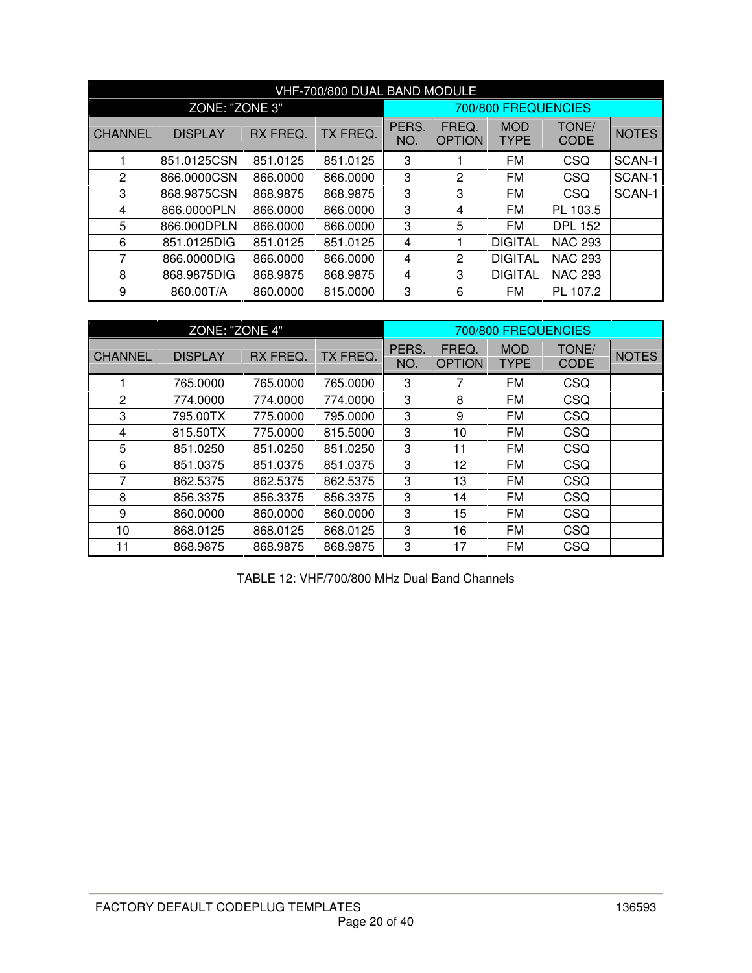|                | VHF-700/800 DUAL BAND MODULE |          |          |              |                        |                           |                      |              |  |  |  |
|----------------|------------------------------|----------|----------|--------------|------------------------|---------------------------|----------------------|--------------|--|--|--|
|                | ZONE: "ZONE 3"               |          |          |              |                        | 700/800 FREQUENCIES       |                      |              |  |  |  |
| <b>CHANNEL</b> | <b>DISPLAY</b>               | RX FREQ. | TX FREQ. | PERS.<br>NO. | FREQ.<br><b>OPTION</b> | <b>MOD</b><br><b>TYPE</b> | TONE/<br><b>CODE</b> | <b>NOTES</b> |  |  |  |
|                | 851.0125CSN                  | 851.0125 | 851.0125 | 3            |                        | FM                        | CSQ                  | SCAN-1       |  |  |  |
| 2              | 866.0000CSN                  | 866.0000 | 866.0000 | 3            | 2                      | <b>FM</b>                 | CSQ                  | SCAN-1       |  |  |  |
| 3              | 868.9875CSN                  | 868.9875 | 868.9875 | 3            | 3                      | FM                        | <b>CSQ</b>           | SCAN-1       |  |  |  |
| 4              | 866.0000PLN                  | 866,0000 | 866.0000 | 3            | 4                      | FM                        | PL 103.5             |              |  |  |  |
| 5              | 866.000DPLN                  | 866,0000 | 866,0000 | 3            | 5                      | FM                        | <b>DPL 152</b>       |              |  |  |  |
| 6              | 851.0125DIG                  | 851.0125 | 851.0125 | 4            |                        | <b>DIGITAL</b>            | <b>NAC 293</b>       |              |  |  |  |
| 7              | 866.0000DIG                  | 866,0000 | 866.0000 | 4            | 2                      | <b>DIGITAL</b>            | <b>NAC 293</b>       |              |  |  |  |
| 8              | 868.9875DIG                  | 868,9875 | 868,9875 | 4            | 3                      | <b>DIGITAL</b>            | <b>NAC 293</b>       |              |  |  |  |
| 9              | 860.00T/A                    | 860,0000 | 815.0000 | 3            | 6                      | FM                        | PL 107.2             |              |  |  |  |

|                | ZONE: "ZONE 4" |          |          |              |                        | 700/800 FREQUENCIES       |                      |              |
|----------------|----------------|----------|----------|--------------|------------------------|---------------------------|----------------------|--------------|
| <b>CHANNEL</b> | <b>DISPLAY</b> | RX FREQ. | TX FREQ. | PERS.<br>NO. | FREQ.<br><b>OPTION</b> | <b>MOD</b><br><b>TYPE</b> | TONE/<br><b>CODE</b> | <b>NOTES</b> |
| 1              | 765.0000       | 765.0000 | 765.0000 | 3            | 7                      | FM                        | CSQ                  |              |
| $\mathbf{2}$   | 774.0000       | 774.0000 | 774.0000 | 3            | 8                      | FM                        | CSQ                  |              |
| 3              | 795.00TX       | 775,0000 | 795.0000 | 3            | 9                      | <b>FM</b>                 | CSQ                  |              |
| 4              | 815,50TX       | 775,0000 | 815.5000 | 3            | 10                     | FM                        | CSQ                  |              |
| 5              | 851.0250       | 851.0250 | 851.0250 | 3            | 11                     | FM                        | CSQ                  |              |
| 6              | 851.0375       | 851.0375 | 851.0375 | 3            | 12                     | FM                        | CSQ                  |              |
| 7              | 862.5375       | 862.5375 | 862.5375 | 3            | 13                     | <b>FM</b>                 | CSQ                  |              |
| 8              | 856.3375       | 856.3375 | 856.3375 | 3            | 14                     | <b>FM</b>                 | CSQ                  |              |
| 9              | 860.0000       | 860,0000 | 860.0000 | 3            | 15                     | FM                        | CSQ                  |              |
| 10             | 868.0125       | 868.0125 | 868.0125 | 3            | 16                     | <b>FM</b>                 | CSQ                  |              |
| 11             | 868.9875       | 868.9875 | 868.9875 | 3            | 17                     | <b>FM</b>                 | CSQ                  |              |

TABLE 12: VHF/700/800 MHz Dual Band Channels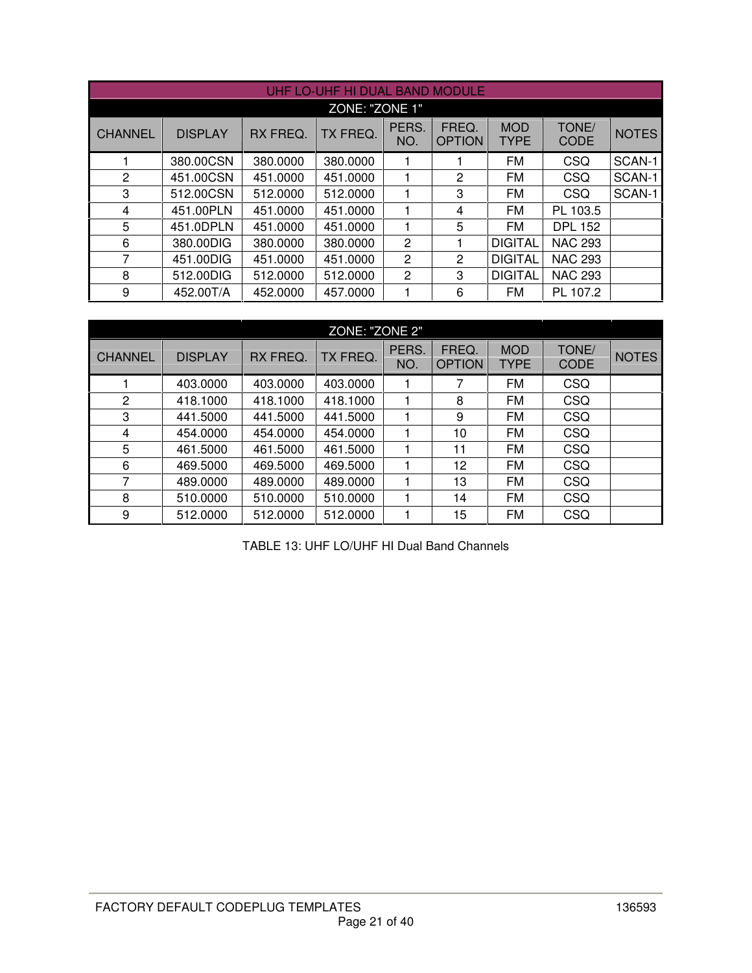|                |                |          | UHF LO-UHF HI DUAL BAND MODULE |                |                        |                           |                      |              |  |  |
|----------------|----------------|----------|--------------------------------|----------------|------------------------|---------------------------|----------------------|--------------|--|--|
| ZONE: "ZONE 1" |                |          |                                |                |                        |                           |                      |              |  |  |
| <b>CHANNEL</b> | <b>DISPLAY</b> | RX FREQ. | TX FREQ.                       | PERS.<br>NO.   | FREQ.<br><b>OPTION</b> | <b>MOD</b><br><b>TYPE</b> | TONE/<br><b>CODE</b> | <b>NOTES</b> |  |  |
|                | 380.00CSN      | 380,0000 | 380.0000                       |                |                        | <b>FM</b>                 | CSQ                  | SCAN-1       |  |  |
| $\overline{2}$ | 451.00CSN      | 451.0000 | 451.0000                       |                | $\overline{c}$         | <b>FM</b>                 | <b>CSQ</b>           | SCAN-1       |  |  |
| 3              | 512.00CSN      | 512.0000 | 512.0000                       |                | 3                      | <b>FM</b>                 | <b>CSQ</b>           | SCAN-1       |  |  |
| 4              | 451.00PLN      | 451.0000 | 451.0000                       |                | 4                      | FM                        | PL 103.5             |              |  |  |
| 5              | 451.0DPLN      | 451.0000 | 451.0000                       |                | 5                      | <b>FM</b>                 | <b>DPL 152</b>       |              |  |  |
| 6              | 380.00DIG      | 380,0000 | 380.0000                       | $\overline{2}$ | 1                      | <b>DIGITAL</b>            | <b>NAC 293</b>       |              |  |  |
| $\overline{7}$ | 451.00DIG      | 451.0000 | 451.0000                       | 2              | $\overline{c}$         | <b>DIGITAL</b>            | <b>NAC 293</b>       |              |  |  |
| 8              | 512.00DIG      | 512,0000 | 512.0000                       | 2              | 3                      | <b>DIGITAL</b>            | <b>NAC 293</b>       |              |  |  |
| 9              | 452.00T/A      | 452,0000 | 457.0000                       |                | 6                      | FM                        | PL 107.2             |              |  |  |

|                | ZONE: "ZONE 2"             |          |          |              |                        |                           |                      |              |  |  |  |  |
|----------------|----------------------------|----------|----------|--------------|------------------------|---------------------------|----------------------|--------------|--|--|--|--|
| <b>CHANNEL</b> | RX FREQ.<br><b>DISPLAY</b> |          | TX FREQ. | PERS.<br>NO. | FREQ.<br><b>OPTION</b> | <b>MOD</b><br><b>TYPE</b> | TONE/<br><b>CODE</b> | <b>NOTES</b> |  |  |  |  |
|                | 403.0000                   | 403.0000 | 403.0000 |              | 7                      | <b>FM</b>                 | <b>CSQ</b>           |              |  |  |  |  |
| $\overline{2}$ | 418.1000                   | 418.1000 | 418.1000 |              | 8                      | <b>FM</b>                 | CSQ                  |              |  |  |  |  |
| 3              | 441.5000                   | 441.5000 | 441.5000 |              | 9                      | <b>FM</b>                 | <b>CSQ</b>           |              |  |  |  |  |
| 4              | 454.0000                   | 454.0000 | 454.0000 |              | 10                     | <b>FM</b>                 | <b>CSQ</b>           |              |  |  |  |  |
| 5              | 461.5000                   | 461.5000 | 461.5000 |              | 11                     | <b>FM</b>                 | <b>CSQ</b>           |              |  |  |  |  |
| 6              | 469.5000                   | 469,5000 | 469.5000 |              | 12                     | FM                        | <b>CSQ</b>           |              |  |  |  |  |
| 7              | 489,0000                   | 489,0000 | 489,0000 |              | 13                     | <b>FM</b>                 | <b>CSQ</b>           |              |  |  |  |  |
| 8              | 510,0000                   | 510,0000 | 510.0000 |              | 14                     | <b>FM</b>                 | <b>CSQ</b>           |              |  |  |  |  |
| 9              | 512,0000                   | 512,0000 | 512.0000 |              | 15                     | <b>FM</b>                 | <b>CSQ</b>           |              |  |  |  |  |

TABLE 13: UHF LO/UHF HI Dual Band Channels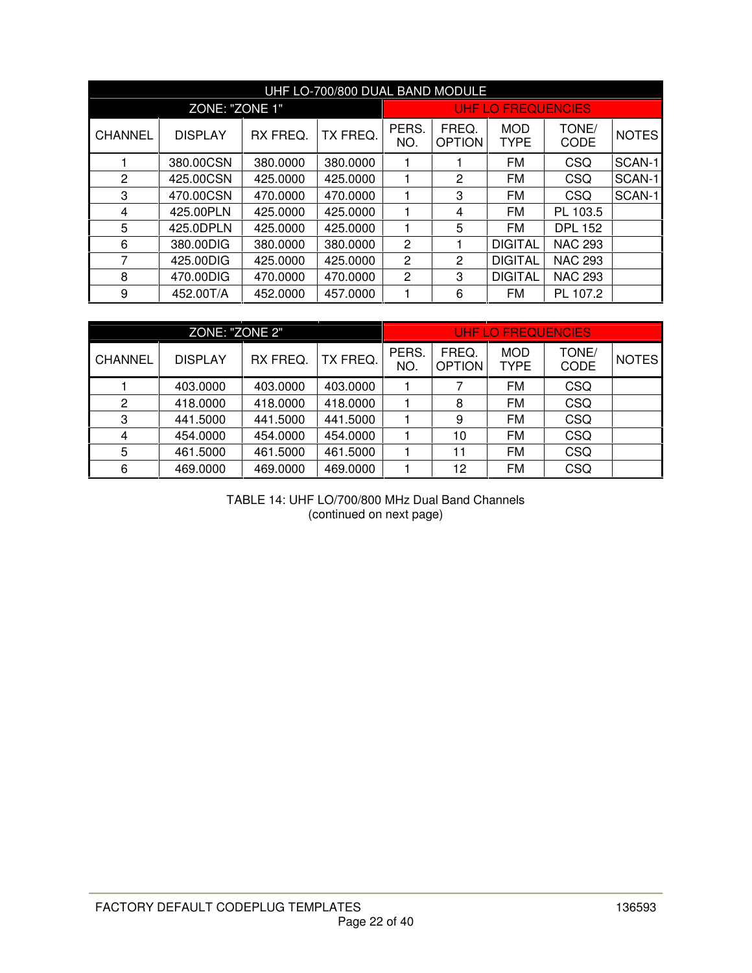|                |                                                                                    |          | UHF LO-700/800 DUAL BAND MODULE |                        |                           |                           |                |        |
|----------------|------------------------------------------------------------------------------------|----------|---------------------------------|------------------------|---------------------------|---------------------------|----------------|--------|
|                | ZONE: "ZONE 1"                                                                     |          |                                 |                        |                           | <b>UHF LO FREQUENCIES</b> |                |        |
| <b>CHANNEL</b> | TX FREQ.<br><b>DISPLAY</b><br>RX FREQ.<br>NO.<br>380.00CSN<br>380.0000<br>380,0000 |          | PERS.                           | FREQ.<br><b>OPTION</b> | <b>MOD</b><br><b>TYPE</b> | TONE/<br><b>CODE</b>      | <b>NOTES</b>   |        |
|                |                                                                                    |          |                                 |                        |                           | FM                        | CSQ            | SCAN-1 |
| 2              | 425.00CSN                                                                          | 425.0000 | 425.0000                        | 1                      | 2                         | FM                        | CSQ            | SCAN-1 |
| 3              | 470.00CSN                                                                          | 470.0000 | 470.0000                        | 3                      |                           | <b>FM</b>                 | CSQ            | SCAN-1 |
| 4              | 425.00PLN                                                                          | 425.0000 | 425.0000                        | 1                      | 4                         | FM                        | PL 103.5       |        |
| 5              | 425.0DPLN                                                                          | 425.0000 | 425.0000                        | 1                      | 5                         | FM                        | <b>DPL 152</b> |        |
| 6              | 380.00DIG                                                                          | 380,0000 | 380.0000                        | 2                      |                           | <b>DIGITAL</b>            | <b>NAC 293</b> |        |
| 7              | 425.00DIG                                                                          | 425.0000 | 425.0000                        | 2                      | 2                         | <b>DIGITAL</b>            | <b>NAC 293</b> |        |
| 8              | 470.00DIG                                                                          | 470,0000 | 470.0000                        | 2                      | 3                         | <b>DIGITAL</b>            | <b>NAC 293</b> |        |
| 9              | 452.00T/A                                                                          | 452.0000 | 457.0000                        |                        | 6                         | FM                        | PL 107.2       |        |

|                | ZONE: "ZONE 2" |          |          | UHF LO FRÉQUENCIES |                        |                    |               |              |  |
|----------------|----------------|----------|----------|--------------------|------------------------|--------------------|---------------|--------------|--|
| CHANNEL        | <b>DISPLAY</b> | RX FREQ. | TX FREQ. | PERS.<br>NO.       | FREQ.<br><b>OPTION</b> | <b>MOD</b><br>TYPE | TONE/<br>CODE | <b>NOTES</b> |  |
|                | 403,0000       | 403.0000 | 403.0000 |                    | 7                      | <b>FM</b>          | CSQ           |              |  |
| $\overline{c}$ | 418.0000       | 418.0000 | 418.0000 |                    | 8                      | <b>FM</b>          | <b>CSQ</b>    |              |  |
| 3              | 441.5000       | 441.5000 | 441.5000 |                    | 9                      | FM                 | <b>CSQ</b>    |              |  |
| $\overline{4}$ | 454.0000       | 454.0000 | 454.0000 |                    | 10                     | FM                 | <b>CSQ</b>    |              |  |
| 5              | 461.5000       | 461.5000 | 461.5000 |                    | 11                     | FM                 | CSQ           |              |  |
| 6              | 469.0000       | 469.0000 | 469.0000 |                    | 12                     | FM                 | <b>CSQ</b>    |              |  |

TABLE 14: UHF LO/700/800 MHz Dual Band Channels (continued on next page)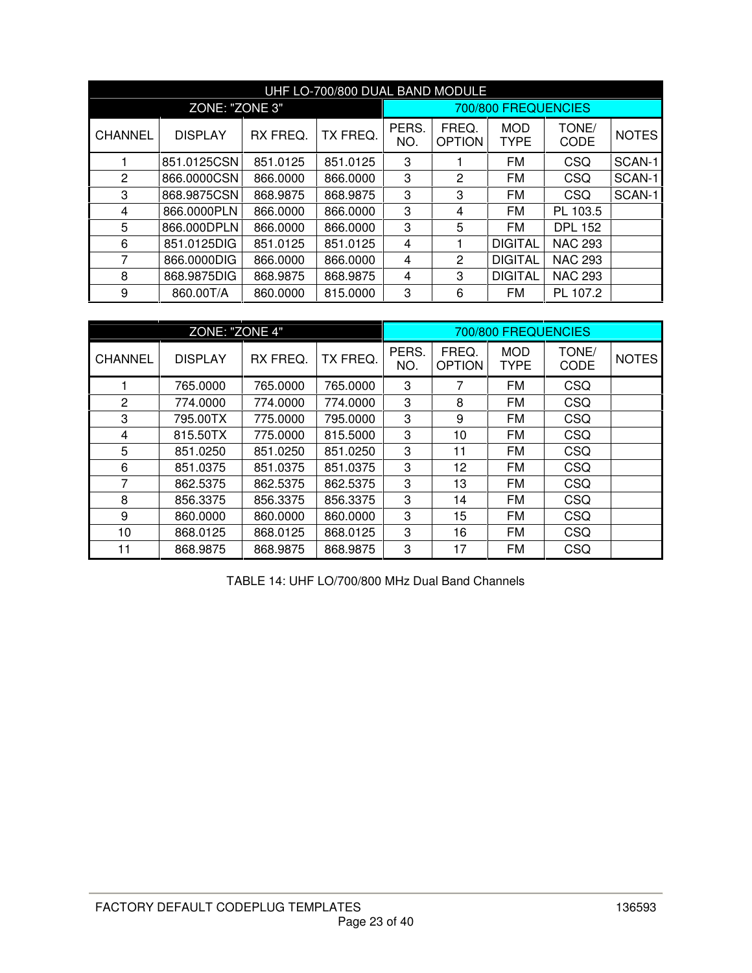|                |                |                                      | UHF LO-700/800 DUAL BAND MODULE |                        |                           |                      |                |        |
|----------------|----------------|--------------------------------------|---------------------------------|------------------------|---------------------------|----------------------|----------------|--------|
|                | ZONE: "ZONE 3" |                                      |                                 | 700/800 FREQUENCIES    |                           |                      |                |        |
| <b>CHANNEL</b> | <b>DISPLAY</b> | PERS.<br>RX FREQ.<br>TX FREQ.<br>NO. |                                 | FREQ.<br><b>OPTION</b> | <b>MOD</b><br><b>TYPE</b> | TONE/<br><b>CODE</b> | <b>NOTES</b>   |        |
|                | 851.0125CSN    | 851.0125                             | 851.0125                        | 3                      |                           | <b>FM</b>            | <b>CSQ</b>     | SCAN-1 |
| $\overline{2}$ | 866.0000CSN    | 866.0000                             | 866.0000                        | 3                      | 2                         | FM                   | CSQ            | SCAN-1 |
| 3              | 868.9875CSN    | 868.9875<br>868.9875                 |                                 | 3<br>3                 | <b>FM</b>                 | <b>CSQ</b>           | SCAN-1         |        |
| 4              | 866.0000PLN    | 866,0000                             | 866,0000                        | 3                      | 4                         | FM                   | PL 103.5       |        |
| 5              | 866.000DPLN    | 866,0000                             | 866.0000                        | 3                      | 5                         | FM                   | <b>DPL 152</b> |        |
| 6              | 851.0125DIG    | 851.0125                             | 851.0125                        | 4                      |                           | <b>DIGITAL</b>       | <b>NAC 293</b> |        |
| 7              | 866.0000DIG    | 866,0000                             | 866.0000                        | 4                      | 2                         | <b>DIGITAL</b>       | <b>NAC 293</b> |        |
| 8              | 868.9875DIG    | 868.9875                             | 868.9875                        | 4                      | 3                         | <b>DIGITAL</b>       | <b>NAC 293</b> |        |
| 9              | 860.00T/A      | 860,0000                             | 815.0000                        | 3                      | 6                         | FM                   | PL 107.2       |        |

|                | ZONE: "ZONE 4" |          |          |              |                        | 700/800 FREQUENCIES       |               |              |
|----------------|----------------|----------|----------|--------------|------------------------|---------------------------|---------------|--------------|
| <b>CHANNEL</b> | <b>DISPLAY</b> | RX FREQ. | TX FREQ. | PERS.<br>NO. | FREQ.<br><b>OPTION</b> | <b>MOD</b><br><b>TYPE</b> | TONE/<br>CODE | <b>NOTES</b> |
|                | 765.0000       | 765.0000 | 765.0000 | 3            | 7                      | <b>FM</b>                 | CSQ           |              |
| 2              | 774.0000       | 774.0000 | 774.0000 | 3            | 8                      | FM                        | CSQ           |              |
| 3              | 795.00TX       | 775,0000 | 795,0000 | 3            | 9                      | FM                        | CSQ           |              |
| 4              | 815.50TX       | 775.0000 | 815.5000 | 3            | 10                     | <b>FM</b>                 | CSQ           |              |
| 5              | 851.0250       | 851.0250 | 851.0250 | 3            | 11                     | FM                        | <b>CSQ</b>    |              |
| 6              | 851.0375       | 851.0375 | 851.0375 | 3            | 12                     | <b>FM</b>                 | CSQ           |              |
| 7              | 862.5375       | 862.5375 | 862.5375 | 3            | 13                     | <b>FM</b>                 | <b>CSQ</b>    |              |
| 8              | 856.3375       | 856.3375 | 856.3375 | 3            | 14                     | <b>FM</b>                 | CSQ           |              |
| 9              | 860.0000       | 860.0000 | 860.0000 | 3            | 15                     | <b>FM</b>                 | CSQ           |              |
| 10             | 868.0125       | 868.0125 | 868.0125 | 3            | 16                     | <b>FM</b>                 | CSQ           |              |
| 11             | 868.9875       | 868.9875 | 868.9875 | 3            | 17                     | FM                        | <b>CSQ</b>    |              |

TABLE 14: UHF LO/700/800 MHz Dual Band Channels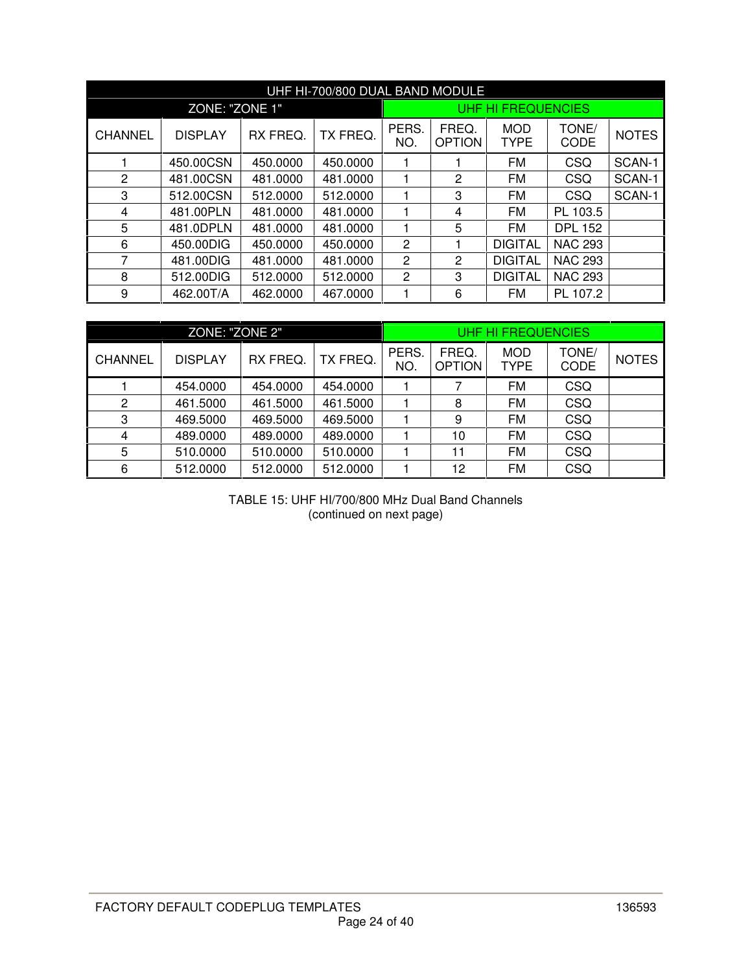|                |                |                                                                                                                                                          | UHF HI-700/800 DUAL BAND MODULE |                    |              |                |                |        |
|----------------|----------------|----------------------------------------------------------------------------------------------------------------------------------------------------------|---------------------------------|--------------------|--------------|----------------|----------------|--------|
|                | ZONE: "ZONE 1" |                                                                                                                                                          |                                 | UHF HI FREQUENCIES |              |                |                |        |
| <b>CHANNEL</b> | <b>DISPLAY</b> | PERS.<br>FREQ.<br><b>MOD</b><br>TONE/<br>TX FREQ.<br>RX FREQ.<br><b>CODE</b><br>NO.<br><b>OPTION</b><br><b>TYPE</b><br>FM<br>CSQ<br>450.0000<br>450.0000 |                                 |                    | <b>NOTES</b> |                |                |        |
|                | 450.00CSN      |                                                                                                                                                          |                                 |                    |              |                |                | SCAN-1 |
| 2              | 481.00CSN      | 481.0000                                                                                                                                                 | 481.0000                        |                    | 2            | <b>FM</b>      | CSQ            | SCAN-1 |
| 3              | 512.00CSN      | 512,0000                                                                                                                                                 | 512,0000                        |                    | 3            | <b>FM</b>      | CSQ            | SCAN-1 |
| 4              | 481.00PLN      | 481.0000                                                                                                                                                 | 481.0000                        |                    | 4            | FM             | PL 103.5       |        |
| 5              | 481.0DPLN      | 481.0000                                                                                                                                                 | 481.0000                        |                    | 5            | <b>FM</b>      | <b>DPL 152</b> |        |
| 6              | 450.00DIG      | 450.0000                                                                                                                                                 | 450,0000                        | $\overline{c}$     | 1            | <b>DIGITAL</b> | <b>NAC 293</b> |        |
| 7              | 481.00DIG      | 481.0000                                                                                                                                                 | 481.0000                        | 2                  | 2            | <b>DIGITAL</b> | <b>NAC 293</b> |        |
| 8              | 512,00DIG      | 512,0000                                                                                                                                                 | 512.0000                        | $\mathbf{2}$       | 3            | <b>DIGITAL</b> | <b>NAC 293</b> |        |
| 9              | 462.00T/A      | 462,0000                                                                                                                                                 | 467.0000                        |                    | 6            | FM             | PL 107.2       |        |

|                | ZONE: "ZONE 2" |          |          | <b>UHF HI FREQUENCIES</b> |                        |                           |               |              |  |
|----------------|----------------|----------|----------|---------------------------|------------------------|---------------------------|---------------|--------------|--|
| <b>CHANNEL</b> | <b>DISPLAY</b> | RX FREQ. | TX FREQ. | PERS.<br>NO.              | FREQ.<br><b>OPTION</b> | <b>MOD</b><br><b>TYPE</b> | TONE/<br>CODE | <b>NOTES</b> |  |
|                | 454.0000       | 454.0000 | 454.0000 |                           |                        | <b>FM</b>                 | <b>CSQ</b>    |              |  |
| 2              | 461.5000       | 461.5000 | 461.5000 |                           | 8                      | <b>FM</b>                 | <b>CSQ</b>    |              |  |
| 3              | 469.5000       | 469.5000 | 469.5000 |                           | 9                      | FM                        | <b>CSQ</b>    |              |  |
| $\overline{4}$ | 489,0000       | 489.0000 | 489.0000 |                           | 10                     | FM                        | <b>CSQ</b>    |              |  |
| 5              | 510.0000       | 510.0000 | 510.0000 |                           | 11                     | FM                        | <b>CSQ</b>    |              |  |
| 6              | 512.0000       | 512.0000 | 512.0000 |                           | 12                     | FM                        | <b>CSQ</b>    |              |  |

TABLE 15: UHF HI/700/800 MHz Dual Band Channels (continued on next page)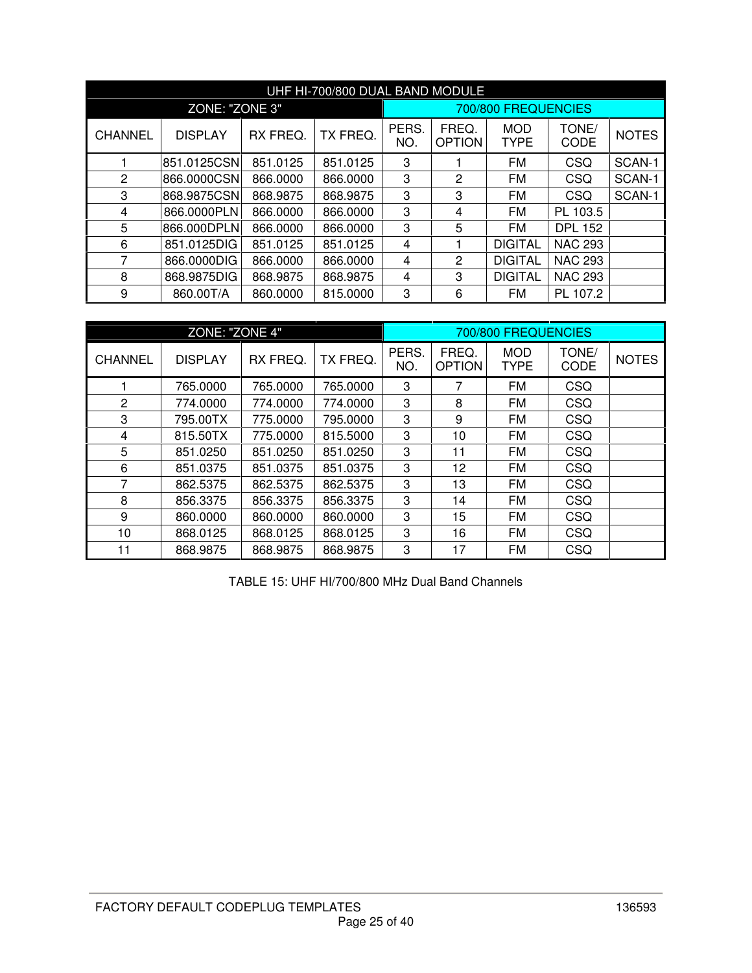|                |                                                                               |          | UHF HI-700/800 DUAL BAND MODULE |                        |                           |                      |                |        |
|----------------|-------------------------------------------------------------------------------|----------|---------------------------------|------------------------|---------------------------|----------------------|----------------|--------|
|                | ZONE: "ZONE 3"                                                                |          |                                 | 700/800 FREQUENCIES    |                           |                      |                |        |
| <b>CHANNEL</b> | TX FREQ.<br>RX FREQ.<br><b>DISPLAY</b><br>851.0125CSN<br>851.0125<br>851.0125 |          | PERS.<br>NO.                    | FREQ.<br><b>OPTION</b> | <b>MOD</b><br><b>TYPE</b> | TONE/<br><b>CODE</b> | <b>NOTES</b>   |        |
|                |                                                                               |          |                                 | 3                      |                           | <b>FM</b>            | CSQ            | SCAN-1 |
| $\overline{2}$ | 866.0000CSN                                                                   | 866,0000 | 866,0000                        | 3                      | 2                         | <b>FM</b>            | CSQ            | SCAN-1 |
| 3              | 868.9875CSN                                                                   | 868.9875 | 868.9875                        | 3                      | 3                         | <b>FM</b>            | CSQ            | SCAN-1 |
| 4              | 866.0000PLN                                                                   | 866.0000 | 866.0000                        | 3                      | 4                         | <b>FM</b>            | PL 103.5       |        |
| 5              | 866.000DPLN                                                                   | 866,0000 | 866,0000                        | 3                      | 5                         | <b>FM</b>            | <b>DPL 152</b> |        |
| 6              | 851.0125DIG                                                                   | 851.0125 | 851.0125                        | 4                      |                           | <b>DIGITAL</b>       | <b>NAC 293</b> |        |
| 7              | 866.0000DIG                                                                   | 866.0000 | 866.0000                        | 4                      | 2                         | <b>DIGITAL</b>       | <b>NAC 293</b> |        |
| 8              | 868.9875DIG                                                                   | 868.9875 | 868.9875                        | 4                      | 3                         | <b>DIGITAL</b>       | <b>NAC 293</b> |        |
| 9              | 860.00T/A                                                                     | 860,0000 | 815.0000                        | 3                      | 6                         | FM                   | PL 107.2       |        |

|                | ZONE: "ZONE 4" |          |          |              |                        | 700/800 FREQUENCIES       |               |              |
|----------------|----------------|----------|----------|--------------|------------------------|---------------------------|---------------|--------------|
| <b>CHANNEL</b> | <b>DISPLAY</b> | RX FREQ. | TX FREQ. | PERS.<br>NO. | FREQ.<br><b>OPTION</b> | <b>MOD</b><br><b>TYPE</b> | TONE/<br>CODE | <b>NOTES</b> |
|                | 765.0000       | 765.0000 | 765.0000 | 3            | 7                      | <b>FM</b>                 | <b>CSQ</b>    |              |
| $\overline{2}$ | 774.0000       | 774.0000 | 774.0000 | 3            | 8                      | <b>FM</b>                 | CSQ           |              |
| 3              | 795.00TX       | 775.0000 | 795.0000 | 3            | 9                      | <b>FM</b>                 | CSQ           |              |
| 4              | 815.50TX       | 775.0000 | 815.5000 | 3            | 10                     | FM                        | CSQ           |              |
| 5              | 851.0250       | 851.0250 | 851.0250 | 3            | 11                     | FM                        | CSQ           |              |
| 6              | 851.0375       | 851.0375 | 851.0375 | 3            | 12                     | <b>FM</b>                 | CSQ           |              |
| 7              | 862.5375       | 862.5375 | 862.5375 | 3            | 13                     | <b>FM</b>                 | <b>CSQ</b>    |              |
| 8              | 856.3375       | 856.3375 | 856.3375 | 3            | 14                     | <b>FM</b>                 | CSQ           |              |
| 9              | 860,0000       | 860,0000 | 860.0000 | 3            | 15                     | <b>FM</b>                 | <b>CSQ</b>    |              |
| 10             | 868.0125       | 868.0125 | 868.0125 | 3            | 16                     | <b>FM</b>                 | <b>CSQ</b>    |              |
| 11             | 868.9875       | 868.9875 | 868.9875 | 3            | 17                     | <b>FM</b>                 | CSQ           |              |

TABLE 15: UHF HI/700/800 MHz Dual Band Channels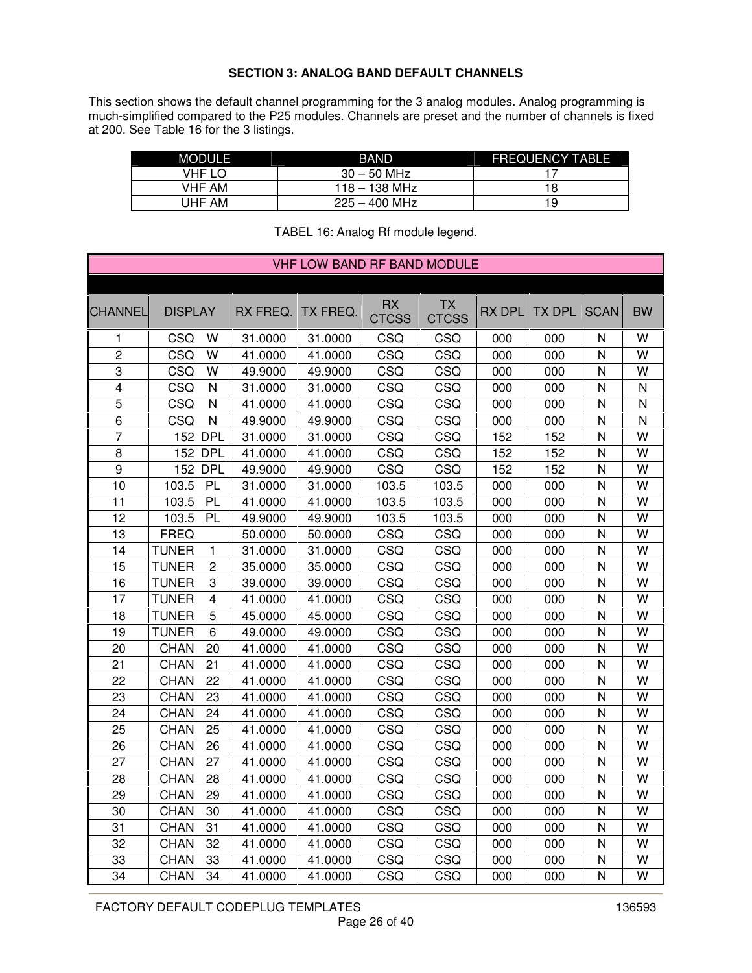### **SECTION 3: ANALOG BAND DEFAULT CHANNELS**

This section shows the default channel programming for the 3 analog modules. Analog programming is much-simplified compared to the P25 modules. Channels are preset and the number of channels is fixed at 200. See Table 16 for the 3 listings.

| <b>MODULE</b> | BAND            | <b>FREQUENCY TABLE</b> |
|---------------|-----------------|------------------------|
| VHF LO        | $30 - 50$ MHz   |                        |
| <b>VHF AM</b> | $118 - 138$ MHz | 18                     |
| UHF AM        | $225 - 400$ MHz | 19                     |

|                         |                |                         |          | <b>VHF LOW BAND RF BAND MODULE</b> |                    |                           |               |               |              |           |
|-------------------------|----------------|-------------------------|----------|------------------------------------|--------------------|---------------------------|---------------|---------------|--------------|-----------|
|                         |                |                         |          |                                    |                    |                           |               |               |              |           |
| <b>CHANNEL</b>          | <b>DISPLAY</b> |                         | RX FREQ. | TX FREQ.                           | RX<br><b>CTCSS</b> | <b>TX</b><br><b>CTCSS</b> | <b>RX DPL</b> | <b>TX DPL</b> | <b>SCAN</b>  | <b>BW</b> |
| 1                       | CSQ            | W                       | 31.0000  | 31.0000                            | CSQ                | CSQ                       | 000           | 000           | $\mathsf{N}$ | W         |
| $\overline{c}$          | CSQ            | W                       | 41.0000  | 41.0000                            | CSQ                | CSQ                       | 000           | 000           | $\mathsf{N}$ | W         |
| 3                       | CSQ            | W                       | 49.9000  | 49.9000                            | CSQ                | CSQ                       | 000           | 000           | $\mathsf{N}$ | W         |
| $\overline{\mathbf{4}}$ | CSQ            | $\mathsf{N}$            | 31.0000  | 31.0000                            | CSQ                | CSQ                       | 000           | 000           | $\mathsf{N}$ | N         |
| 5                       | CSQ            | N                       | 41.0000  | 41.0000                            | CSQ                | CSQ                       | 000           | 000           | $\mathsf{N}$ | N         |
| 6                       | CSQ            | N                       | 49.9000  | 49.9000                            | CSQ                | CSQ                       | 000           | 000           | $\mathsf{N}$ | N         |
| $\overline{7}$          | 152 DPL        |                         | 31.0000  | 31.0000                            | CSQ                | CSQ                       | 152           | 152           | $\mathsf{N}$ | W         |
| 8                       |                | <b>152 DPL</b>          | 41.0000  | 41.0000                            | CSQ                | CSQ                       | 152           | 152           | $\mathsf{N}$ | W         |
| 9                       | 152            | <b>DPL</b>              | 49.9000  | 49.9000                            | CSQ                | CSQ                       | 152           | 152           | $\mathsf{N}$ | W         |
| 10                      | 103.5          | PL                      | 31.0000  | 31.0000                            | 103.5              | 103.5                     | 000           | 000           | $\mathsf{N}$ | W         |
| 11                      | 103.5          | PL                      | 41.0000  | 41.0000                            | 103.5              | 103.5                     | 000           | 000           | $\mathsf{N}$ | W         |
| 12                      | 103.5          | PL                      | 49.9000  | 49.9000                            | 103.5              | 103.5                     | 000           | 000           | $\mathsf{N}$ | W         |
| 13                      | <b>FREQ</b>    |                         | 50.0000  | 50.0000                            | CSQ                | CSQ                       | 000           | 000           | $\mathsf{N}$ | W         |
| 14                      | <b>TUNER</b>   | 1                       | 31.0000  | 31.0000                            | CSQ                | CSQ                       | 000           | 000           | $\mathsf{N}$ | W         |
| 15                      | <b>TUNER</b>   | $\overline{c}$          | 35.0000  | 35.0000                            | CSQ                | CSQ                       | 000           | 000           | $\mathsf{N}$ | W         |
| 16                      | <b>TUNER</b>   | 3                       | 39.0000  | 39.0000                            | CSQ                | CSQ                       | 000           | 000           | $\mathsf{N}$ | W         |
| 17                      | <b>TUNER</b>   | $\overline{\mathbf{4}}$ | 41.0000  | 41.0000                            | CSQ                | CSQ                       | 000           | 000           | $\mathsf{N}$ | W         |
| 18                      | <b>TUNER</b>   | 5                       | 45.0000  | 45.0000                            | CSQ                | CSQ                       | 000           | 000           | $\mathsf{N}$ | W         |
| 19                      | <b>TUNER</b>   | 6                       | 49.0000  | 49.0000                            | CSQ                | CSQ                       | 000           | 000           | $\mathsf{N}$ | W         |
| 20                      | <b>CHAN</b>    | 20                      | 41.0000  | 41.0000                            | CSQ                | CSQ                       | 000           | 000           | $\mathsf{N}$ | W         |
| 21                      | <b>CHAN</b>    | 21                      | 41.0000  | 41.0000                            | CSQ                | CSQ                       | 000           | 000           | $\mathsf{N}$ | W         |
| 22                      | <b>CHAN</b>    | 22                      | 41.0000  | 41.0000                            | CSQ                | CSQ                       | 000           | 000           | $\mathsf{N}$ | W         |
| 23                      | <b>CHAN</b>    | 23                      | 41.0000  | 41.0000                            | CSQ                | CSQ                       | 000           | 000           | $\mathsf{N}$ | W         |
| 24                      | <b>CHAN</b>    | 24                      | 41.0000  | 41.0000                            | CSQ                | CSQ                       | 000           | 000           | $\mathsf{N}$ | W         |
| 25                      | <b>CHAN</b>    | 25                      | 41.0000  | 41.0000                            | CSQ                | CSQ                       | 000           | 000           | $\mathsf{N}$ | W         |
| 26                      | <b>CHAN</b>    | 26                      | 41.0000  | 41.0000                            | CSQ                | CSQ                       | 000           | 000           | $\mathsf{N}$ | W         |
| 27                      | <b>CHAN</b>    | 27                      | 41.0000  | 41.0000                            | CSQ                | CSQ                       | 000           | 000           | $\mathsf{N}$ | W         |
| 28                      | <b>CHAN</b>    | 28                      | 41.0000  | 41.0000                            | CSQ                | CSQ                       | 000           | 000           | $\mathsf{N}$ | W         |
| 29                      | <b>CHAN</b>    | 29                      | 41.0000  | 41.0000                            | CSQ                | CSQ                       | 000           | 000           | $\mathsf{N}$ | W         |
| 30                      | <b>CHAN</b>    | 30                      | 41.0000  | 41.0000                            | CSQ                | CSQ                       | 000           | 000           | $\mathsf{N}$ | W         |
| 31                      | <b>CHAN</b>    | 31                      | 41.0000  | 41.0000                            | CSQ                | CSQ                       | 000           | 000           | $\mathsf{N}$ | W         |
| 32                      | <b>CHAN</b>    | 32                      | 41.0000  | 41.0000                            | CSQ                | CSQ                       | 000           | 000           | N            | W         |
| 33                      | <b>CHAN</b>    | 33                      | 41.0000  | 41.0000                            | CSQ                | CSQ                       | 000           | 000           | N            | W         |
| 34                      | <b>CHAN</b>    | 34                      | 41.0000  | 41.0000                            | CSQ                | CSQ                       | 000           | 000           | N            | W         |

#### TABEL 16: Analog Rf module legend.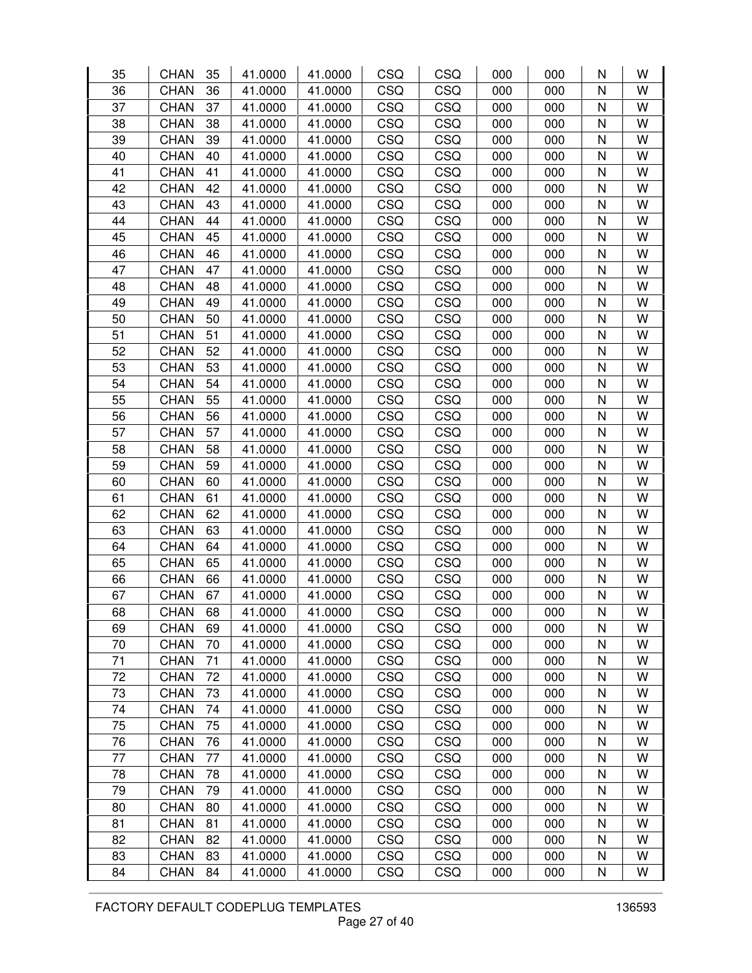| 35 | <b>CHAN</b> | 35 | 41.0000 | 41.0000 | CSQ | CSQ        | 000 | 000 | N | W |
|----|-------------|----|---------|---------|-----|------------|-----|-----|---|---|
| 36 | <b>CHAN</b> | 36 | 41.0000 | 41.0000 | CSQ | CSQ        | 000 | 000 | N | W |
| 37 | <b>CHAN</b> | 37 | 41.0000 | 41.0000 | CSQ | CSQ        | 000 | 000 | N | W |
| 38 | <b>CHAN</b> | 38 | 41.0000 | 41.0000 | CSQ | CSQ        | 000 | 000 | N | W |
| 39 | <b>CHAN</b> | 39 | 41.0000 | 41.0000 | CSQ | CSQ        | 000 | 000 | N | W |
| 40 | <b>CHAN</b> | 40 | 41.0000 | 41.0000 | CSQ | CSQ        | 000 | 000 | N | W |
| 41 | <b>CHAN</b> | 41 | 41.0000 | 41.0000 | CSQ | CSQ        | 000 | 000 | N | W |
| 42 | <b>CHAN</b> | 42 | 41.0000 | 41.0000 | CSQ | CSQ        | 000 | 000 | N | W |
| 43 | <b>CHAN</b> | 43 | 41.0000 | 41.0000 | CSQ | CSQ        | 000 | 000 | N | W |
| 44 | <b>CHAN</b> | 44 | 41.0000 | 41.0000 | CSQ | CSQ        | 000 | 000 | N | W |
| 45 | <b>CHAN</b> | 45 | 41.0000 | 41.0000 | CSQ | CSQ        | 000 | 000 | N | W |
| 46 | <b>CHAN</b> | 46 | 41.0000 | 41.0000 | CSQ | CSQ        | 000 | 000 | N | W |
| 47 | <b>CHAN</b> | 47 | 41.0000 | 41.0000 | CSQ | CSQ        | 000 | 000 | N | W |
| 48 | <b>CHAN</b> | 48 | 41.0000 | 41.0000 | CSQ | CSQ        | 000 | 000 | N | W |
| 49 | <b>CHAN</b> | 49 | 41.0000 | 41.0000 | CSQ | CSQ        | 000 | 000 | N | W |
| 50 | <b>CHAN</b> | 50 | 41.0000 | 41.0000 | CSQ | CSQ        | 000 | 000 | N | W |
| 51 | <b>CHAN</b> | 51 | 41.0000 | 41.0000 | CSQ | CSQ        | 000 | 000 | N | W |
| 52 | <b>CHAN</b> | 52 | 41.0000 | 41.0000 | CSQ | CSQ        | 000 | 000 | N | W |
| 53 | <b>CHAN</b> | 53 | 41.0000 | 41.0000 | CSQ | CSQ        | 000 | 000 | N | W |
| 54 | <b>CHAN</b> | 54 | 41.0000 | 41.0000 | CSQ | CSQ        | 000 | 000 | N | W |
| 55 | <b>CHAN</b> | 55 | 41.0000 | 41.0000 | CSQ | CSQ        | 000 | 000 | N | W |
| 56 | <b>CHAN</b> | 56 | 41.0000 | 41.0000 | CSQ | CSQ        | 000 | 000 | N | W |
| 57 | <b>CHAN</b> | 57 | 41.0000 | 41.0000 | CSQ | CSQ        | 000 | 000 | N | W |
| 58 | <b>CHAN</b> | 58 | 41.0000 | 41.0000 | CSQ | CSQ        | 000 | 000 | N | W |
| 59 | <b>CHAN</b> | 59 | 41.0000 | 41.0000 | CSQ | CSQ        | 000 | 000 | N | W |
| 60 | <b>CHAN</b> | 60 | 41.0000 | 41.0000 | CSQ | CSQ        | 000 | 000 | N | W |
| 61 | <b>CHAN</b> | 61 | 41.0000 | 41.0000 | CSQ | CSQ        | 000 | 000 | N | W |
| 62 | <b>CHAN</b> | 62 | 41.0000 | 41.0000 | CSQ | CSQ        | 000 | 000 | N | W |
| 63 | <b>CHAN</b> | 63 | 41.0000 | 41.0000 | CSQ | CSQ        | 000 | 000 | N | W |
| 64 | <b>CHAN</b> | 64 | 41.0000 | 41.0000 | CSQ | CSQ        | 000 | 000 | N | W |
| 65 | <b>CHAN</b> | 65 | 41.0000 | 41.0000 | CSQ | CSQ        | 000 | 000 | N | W |
| 66 | <b>CHAN</b> | 66 | 41.0000 | 41.0000 | CSQ | CSQ        | 000 | 000 | N | W |
| 67 | <b>CHAN</b> | 67 | 41.0000 | 41.0000 | CSQ | CSQ        | 000 | 000 | N | W |
| 68 | <b>CHAN</b> | 68 | 41.0000 | 41.0000 | CSQ | CSQ        | 000 | 000 | N | W |
| 69 | <b>CHAN</b> | 69 | 41.0000 | 41.0000 | CSQ | CSQ        | 000 | 000 | N | W |
| 70 | <b>CHAN</b> | 70 | 41.0000 | 41.0000 | CSQ | CSQ        | 000 | 000 | N | W |
| 71 | <b>CHAN</b> | 71 | 41.0000 | 41.0000 | CSQ | <b>CSQ</b> | 000 | 000 | N | W |
| 72 | <b>CHAN</b> | 72 | 41.0000 | 41.0000 | CSQ | CSQ        | 000 | 000 | N | W |
| 73 | <b>CHAN</b> | 73 | 41.0000 | 41.0000 | CSQ | CSQ        | 000 | 000 | N | W |
| 74 | <b>CHAN</b> | 74 | 41.0000 | 41.0000 | CSQ | CSQ        | 000 | 000 | N | W |
| 75 | <b>CHAN</b> | 75 | 41.0000 | 41.0000 | CSQ | CSQ        | 000 | 000 | N | W |
| 76 | <b>CHAN</b> | 76 | 41.0000 | 41.0000 | CSQ | CSQ        | 000 | 000 | N | W |
| 77 | <b>CHAN</b> | 77 | 41.0000 | 41.0000 | CSQ | <b>CSQ</b> | 000 | 000 | N | W |
| 78 | <b>CHAN</b> | 78 | 41.0000 | 41.0000 | CSQ | <b>CSQ</b> | 000 | 000 | N | W |
| 79 | <b>CHAN</b> | 79 | 41.0000 | 41.0000 | CSQ | <b>CSQ</b> | 000 | 000 | N | W |
| 80 | <b>CHAN</b> | 80 | 41.0000 | 41.0000 | CSQ | CSQ        | 000 | 000 | N | W |
| 81 | <b>CHAN</b> | 81 | 41.0000 | 41.0000 | CSQ | CSQ        | 000 | 000 | N | W |
| 82 | <b>CHAN</b> | 82 | 41.0000 | 41.0000 | CSQ | CSQ        | 000 | 000 | N | W |
| 83 | <b>CHAN</b> | 83 | 41.0000 | 41.0000 | CSQ | CSQ        | 000 | 000 | N | W |
| 84 | <b>CHAN</b> | 84 | 41.0000 | 41.0000 | CSQ | CSQ        | 000 | 000 | N | W |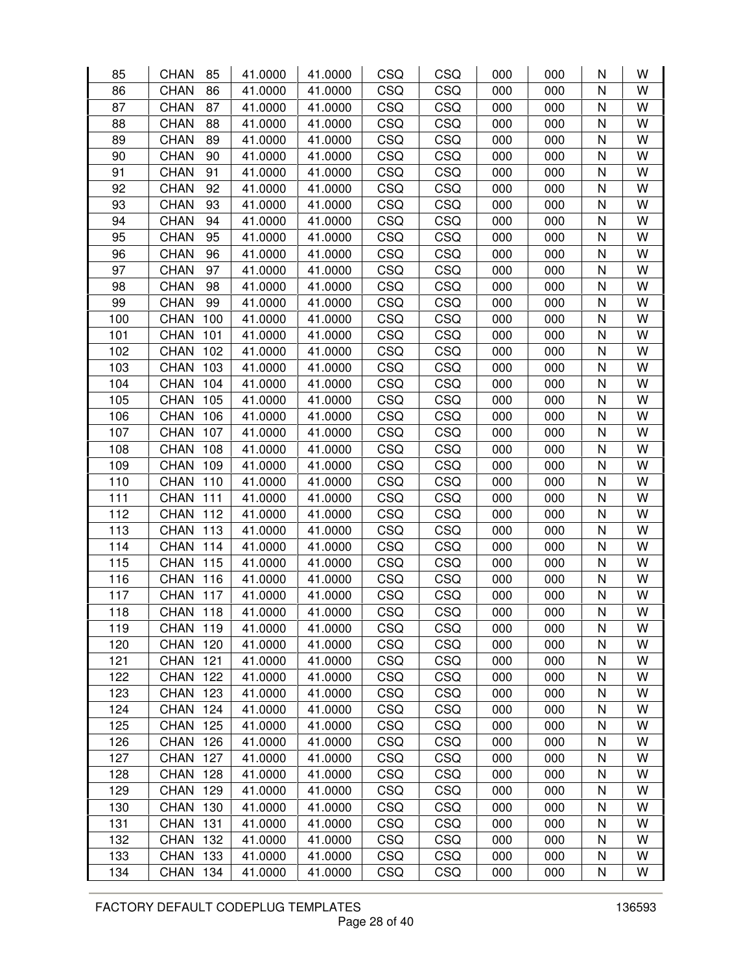| 85  | <b>CHAN</b><br>85  | 41.0000 | 41.0000 | CSQ        | CSQ        | 000 | 000 | N | W |
|-----|--------------------|---------|---------|------------|------------|-----|-----|---|---|
| 86  | <b>CHAN</b><br>86  | 41.0000 | 41.0000 | CSQ        | CSQ        | 000 | 000 | N | W |
| 87  | <b>CHAN</b><br>87  | 41.0000 | 41.0000 | CSQ        | CSQ        | 000 | 000 | N | W |
| 88  | <b>CHAN</b><br>88  | 41.0000 | 41.0000 | CSQ        | CSQ        | 000 | 000 | N | W |
| 89  | <b>CHAN</b><br>89  | 41.0000 | 41.0000 | CSQ        | CSQ        | 000 | 000 | N | W |
| 90  | <b>CHAN</b><br>90  | 41.0000 | 41.0000 | CSQ        | CSQ        | 000 | 000 | N | W |
| 91  | <b>CHAN</b><br>91  | 41.0000 | 41.0000 | CSQ        | CSQ        | 000 | 000 | N | W |
| 92  | <b>CHAN</b><br>92  | 41.0000 | 41.0000 | CSQ        | CSQ        | 000 | 000 | N | W |
| 93  | <b>CHAN</b><br>93  | 41.0000 | 41.0000 | CSQ        | CSQ        | 000 | 000 | N | W |
| 94  | 94<br><b>CHAN</b>  | 41.0000 | 41.0000 | CSQ        | CSQ        | 000 | 000 | N | W |
| 95  | <b>CHAN</b><br>95  | 41.0000 | 41.0000 | CSQ        | CSQ        | 000 | 000 | N | W |
| 96  | <b>CHAN</b><br>96  | 41.0000 | 41.0000 | CSQ        | CSQ        | 000 | 000 | N | W |
| 97  | 97<br><b>CHAN</b>  | 41.0000 | 41.0000 | CSQ        | CSQ        | 000 | 000 | N | W |
| 98  | 98<br><b>CHAN</b>  | 41.0000 | 41.0000 | CSQ        | CSQ        | 000 | 000 | N | W |
| 99  | <b>CHAN</b><br>99  | 41.0000 | 41.0000 | CSQ        | CSQ        | 000 | 000 | N | W |
| 100 | <b>CHAN</b><br>100 | 41.0000 | 41.0000 | CSQ        | CSQ        | 000 | 000 | N | W |
| 101 | <b>CHAN</b><br>101 | 41.0000 | 41.0000 | CSQ        | CSQ        | 000 | 000 | N | W |
| 102 | <b>CHAN</b><br>102 | 41.0000 | 41.0000 | CSQ        | CSQ        | 000 | 000 | N | W |
| 103 | 103<br><b>CHAN</b> | 41.0000 | 41.0000 | CSQ        | CSQ        | 000 | 000 | N | W |
| 104 | <b>CHAN</b><br>104 | 41.0000 | 41.0000 | CSQ        | CSQ        | 000 | 000 | N | W |
| 105 | <b>CHAN</b><br>105 | 41.0000 | 41.0000 | CSQ        | CSQ        | 000 | 000 | N | W |
| 106 | <b>CHAN</b><br>106 | 41.0000 | 41.0000 | CSQ        | CSQ        | 000 | 000 | N | W |
| 107 | <b>CHAN</b><br>107 | 41.0000 | 41.0000 | CSQ        | CSQ        | 000 | 000 | N | W |
| 108 | <b>CHAN</b><br>108 | 41.0000 | 41.0000 | CSQ        | CSQ        | 000 | 000 | N | W |
| 109 | <b>CHAN</b><br>109 | 41.0000 | 41.0000 | CSQ        | CSQ        | 000 | 000 | N | W |
| 110 | <b>CHAN</b><br>110 | 41.0000 | 41.0000 | CSQ        | CSQ        | 000 | 000 | N | W |
| 111 | <b>CHAN</b><br>111 | 41.0000 | 41.0000 | CSQ        | CSQ        | 000 | 000 | N | W |
| 112 | <b>CHAN</b><br>112 | 41.0000 | 41.0000 | CSQ        | CSQ        | 000 | 000 | N | W |
| 113 | <b>CHAN</b><br>113 | 41.0000 | 41.0000 | CSQ        | CSQ        | 000 | 000 | N | W |
| 114 | <b>CHAN</b><br>114 | 41.0000 | 41.0000 | CSQ        | CSQ        | 000 | 000 | N | W |
| 115 | <b>CHAN</b><br>115 | 41.0000 | 41.0000 | CSQ        | CSQ        | 000 | 000 | N | W |
| 116 | <b>CHAN</b><br>116 | 41.0000 | 41.0000 | CSQ        | CSQ        | 000 | 000 | N | W |
| 117 | <b>CHAN</b><br>117 | 41.0000 | 41.0000 | CSQ        | CSQ        | 000 | 000 | N | W |
| 118 | <b>CHAN</b><br>118 | 41.0000 | 41.0000 | CSQ        | CSQ        | 000 | 000 | N | W |
| 119 | <b>CHAN</b><br>119 | 41.0000 | 41.0000 | CSQ        | CSQ        | 000 | 000 | N | W |
| 120 | <b>CHAN</b><br>120 | 41.0000 | 41.0000 | CSQ        | CSQ        | 000 | 000 | N | W |
| 121 | <b>CHAN</b><br>121 | 41.0000 | 41.0000 | CSQ        | <b>CSQ</b> | 000 | 000 | N | W |
| 122 | 122<br><b>CHAN</b> | 41.0000 | 41.0000 | CSQ        | CSQ        | 000 | 000 | N | W |
| 123 | <b>CHAN</b><br>123 | 41.0000 | 41.0000 | CSQ        | CSQ        | 000 | 000 | N | W |
| 124 | <b>CHAN</b><br>124 | 41.0000 | 41.0000 | CSQ        | CSQ        | 000 | 000 | N | W |
| 125 | <b>CHAN</b><br>125 | 41.0000 | 41.0000 | CSQ        | <b>CSQ</b> | 000 | 000 | N | W |
| 126 | <b>CHAN</b><br>126 | 41.0000 | 41.0000 | CSQ        | CSQ        | 000 | 000 | N | W |
| 127 | <b>CHAN</b><br>127 | 41.0000 | 41.0000 | CSQ        | <b>CSQ</b> | 000 | 000 | N | W |
| 128 | <b>CHAN</b><br>128 | 41.0000 | 41.0000 | CSQ        | <b>CSQ</b> | 000 | 000 | N | W |
| 129 | <b>CHAN</b><br>129 | 41.0000 | 41.0000 | CSQ        | <b>CSQ</b> | 000 | 000 | N | W |
| 130 | <b>CHAN</b><br>130 | 41.0000 | 41.0000 | CSQ        | CSQ        | 000 | 000 | N | W |
| 131 | <b>CHAN</b><br>131 | 41.0000 | 41.0000 | <b>CSQ</b> | <b>CSQ</b> | 000 | 000 | N | W |
| 132 | <b>CHAN</b><br>132 | 41.0000 | 41.0000 | CSQ        | CSQ        | 000 | 000 | N | W |
| 133 | <b>CHAN</b><br>133 | 41.0000 | 41.0000 | CSQ        | CSQ        | 000 | 000 | N | W |
| 134 | <b>CHAN</b><br>134 | 41.0000 | 41.0000 | CSQ        | CSQ        | 000 | 000 | N | W |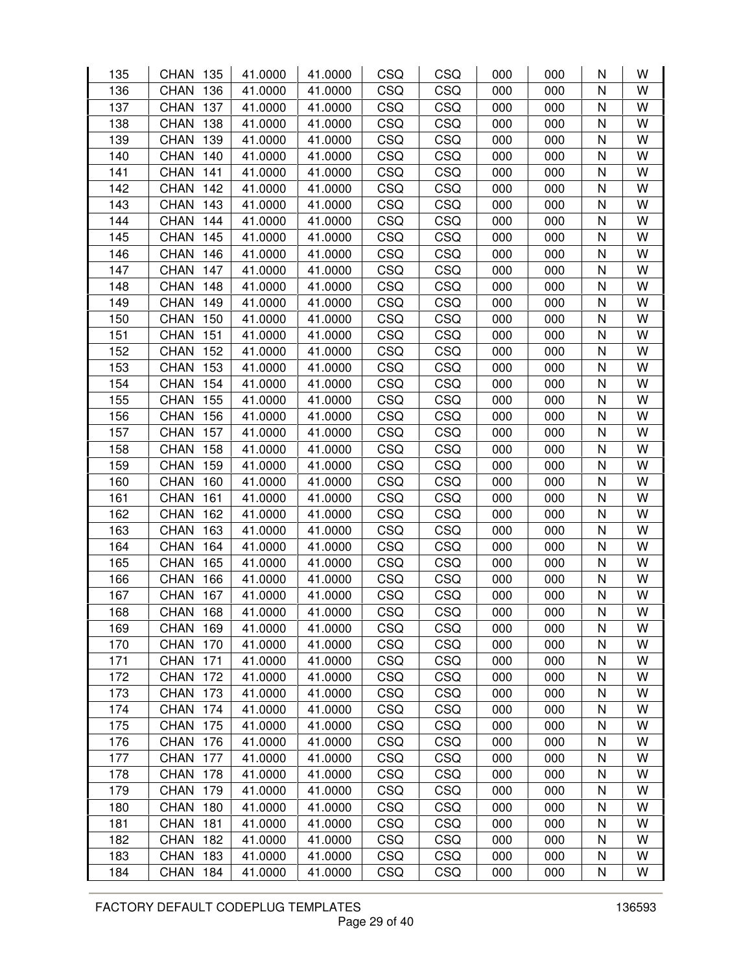| 135 | <b>CHAN</b><br>135 | 41.0000 | 41.0000 | CSQ | CSQ | 000 | 000 | N            | W |
|-----|--------------------|---------|---------|-----|-----|-----|-----|--------------|---|
| 136 | <b>CHAN</b><br>136 | 41.0000 | 41.0000 | CSQ | CSQ | 000 | 000 | N            | W |
| 137 | <b>CHAN</b><br>137 | 41.0000 | 41.0000 | CSQ | CSQ | 000 | 000 | N            | W |
| 138 | 138<br><b>CHAN</b> | 41.0000 | 41.0000 | CSQ | CSQ | 000 | 000 | N            | W |
| 139 | <b>CHAN</b><br>139 | 41.0000 | 41.0000 | CSQ | CSQ | 000 | 000 | $\mathsf{N}$ | W |
| 140 | <b>CHAN</b><br>140 | 41.0000 | 41.0000 | CSQ | CSQ | 000 | 000 | N            | W |
| 141 | <b>CHAN</b><br>141 | 41.0000 | 41.0000 | CSQ | CSQ | 000 | 000 | N            | W |
| 142 | <b>CHAN</b><br>142 | 41.0000 | 41.0000 | CSQ | CSQ | 000 | 000 | $\mathsf{N}$ | W |
| 143 | <b>CHAN</b><br>143 | 41.0000 | 41.0000 | CSQ | CSQ | 000 | 000 | N            | W |
| 144 | <b>CHAN</b><br>144 | 41.0000 | 41.0000 | CSQ | CSQ | 000 | 000 | N            | W |
| 145 | <b>CHAN</b><br>145 | 41.0000 | 41.0000 | CSQ | CSQ | 000 | 000 | N            | W |
| 146 | <b>CHAN</b><br>146 | 41.0000 | 41.0000 | CSQ | CSQ | 000 | 000 | N            | W |
| 147 | <b>CHAN</b><br>147 | 41.0000 | 41.0000 | CSQ | CSQ | 000 | 000 | N            | W |
| 148 | <b>CHAN</b><br>148 | 41.0000 | 41.0000 | CSQ | CSQ | 000 | 000 | N            | W |
| 149 | <b>CHAN</b><br>149 | 41.0000 | 41.0000 | CSQ | CSQ | 000 | 000 | N            | W |
| 150 | <b>CHAN</b><br>150 | 41.0000 | 41.0000 | CSQ | CSQ | 000 | 000 | N            | W |
| 151 | <b>CHAN</b><br>151 | 41.0000 | 41.0000 | CSQ | CSQ | 000 | 000 | N            | W |
| 152 | <b>CHAN</b><br>152 | 41.0000 | 41.0000 | CSQ | CSQ | 000 | 000 | N            | W |
| 153 | <b>CHAN</b><br>153 | 41.0000 | 41.0000 | CSQ | CSQ | 000 | 000 | N            | W |
| 154 | <b>CHAN</b><br>154 | 41.0000 | 41.0000 | CSQ | CSQ | 000 | 000 | N            | W |
| 155 | <b>CHAN</b><br>155 | 41.0000 | 41.0000 | CSQ | CSQ | 000 | 000 | N            | W |
| 156 | <b>CHAN</b><br>156 | 41.0000 | 41.0000 | CSQ | CSQ | 000 | 000 | N            | W |
| 157 | 157<br><b>CHAN</b> | 41.0000 | 41.0000 | CSQ | CSQ | 000 | 000 | N            | W |
| 158 | <b>CHAN</b><br>158 | 41.0000 | 41.0000 | CSQ | CSQ | 000 | 000 | N            | W |
| 159 | <b>CHAN</b><br>159 | 41.0000 | 41.0000 | CSQ | CSQ | 000 | 000 | N            | W |
| 160 | <b>CHAN</b><br>160 | 41.0000 | 41.0000 | CSQ | CSQ | 000 | 000 | N            | W |
| 161 | <b>CHAN</b><br>161 | 41.0000 | 41.0000 | CSQ | CSQ | 000 | 000 | N            | W |
| 162 | <b>CHAN</b><br>162 | 41.0000 | 41.0000 | CSQ | CSQ | 000 | 000 | N            | W |
| 163 | 163<br><b>CHAN</b> | 41.0000 | 41.0000 | CSQ | CSQ | 000 | 000 | $\mathsf{N}$ | W |
| 164 | <b>CHAN</b><br>164 | 41.0000 | 41.0000 | CSQ | CSQ | 000 | 000 | N            | W |
| 165 | <b>CHAN</b><br>165 | 41.0000 | 41.0000 | CSQ | CSQ | 000 | 000 | N            | W |
| 166 | <b>CHAN</b><br>166 | 41.0000 | 41.0000 | CSQ | CSQ | 000 | 000 | N            | W |
| 167 | <b>CHAN</b><br>167 | 41.0000 | 41.0000 | CSQ | CSQ | 000 | 000 | N            | W |
| 168 | <b>CHAN</b><br>168 | 41.0000 | 41.0000 | CSQ | CSQ | 000 | 000 | N            | W |
| 169 | <b>CHAN</b><br>169 | 41.0000 | 41.0000 | CSQ | CSQ | 000 | 000 | N            | W |
| 170 | <b>CHAN</b><br>170 | 41.0000 | 41.0000 | CSQ | CSQ | 000 | 000 | N            | W |
| 171 | <b>CHAN</b><br>171 | 41.0000 | 41.0000 | CSQ | CSQ | 000 | 000 | N            | W |
| 172 | <b>CHAN</b><br>172 | 41.0000 | 41.0000 | CSQ | CSQ | 000 | 000 | N            | W |
| 173 | <b>CHAN</b><br>173 | 41.0000 | 41.0000 | CSQ | CSQ | 000 | 000 | N            | W |
| 174 | <b>CHAN</b><br>174 | 41.0000 | 41.0000 | CSQ | CSQ | 000 | 000 | N            | W |
| 175 | <b>CHAN</b><br>175 | 41.0000 | 41.0000 | CSQ | CSQ | 000 | 000 | N            | W |
| 176 | <b>CHAN</b><br>176 | 41.0000 | 41.0000 | CSQ | CSQ | 000 | 000 | N            | W |
| 177 | <b>CHAN</b><br>177 | 41.0000 | 41.0000 | CSQ | CSQ | 000 | 000 | $\mathsf{N}$ | W |
| 178 | <b>CHAN</b><br>178 | 41.0000 | 41.0000 | CSQ | CSQ | 000 | 000 | N            | W |
| 179 | <b>CHAN</b><br>179 | 41.0000 | 41.0000 | CSQ | CSQ | 000 | 000 | N            | W |
| 180 | <b>CHAN</b><br>180 | 41.0000 | 41.0000 | CSQ | CSQ | 000 | 000 | N            | W |
| 181 | <b>CHAN</b><br>181 | 41.0000 | 41.0000 | CSQ | CSQ | 000 | 000 | N            | W |
| 182 | <b>CHAN</b><br>182 | 41.0000 | 41.0000 | CSQ | CSQ | 000 | 000 | N            | W |
| 183 | <b>CHAN</b><br>183 | 41.0000 | 41.0000 | CSQ | CSQ | 000 | 000 | N            | W |
| 184 | <b>CHAN</b><br>184 | 41.0000 | 41.0000 | CSQ | CSQ | 000 | 000 | N            | W |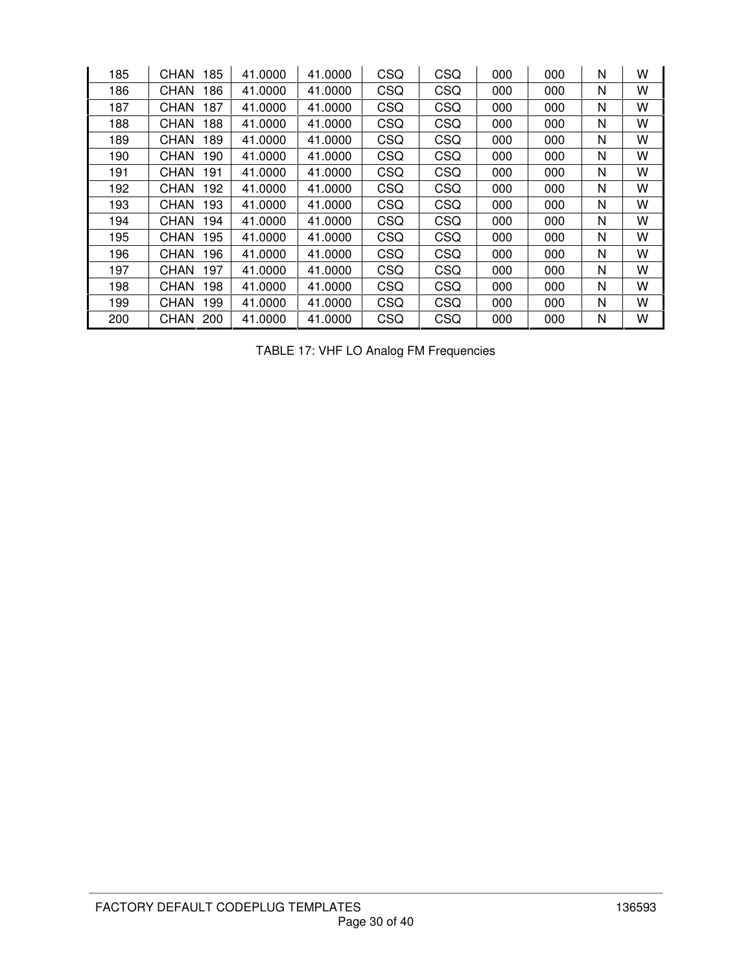| 185 | 185<br>CHAN        | 41.0000 | 41.0000 | CSQ | CSQ        | 000 | 000 | N | w |
|-----|--------------------|---------|---------|-----|------------|-----|-----|---|---|
| 186 | CHAN<br>186        | 41.0000 | 41.0000 | CSQ | <b>CSQ</b> | 000 | 000 | N | w |
| 187 | 187<br>CHAN        | 41.0000 | 41.0000 | CSQ | <b>CSQ</b> | 000 | 000 | N | W |
| 188 | 188<br><b>CHAN</b> | 41.0000 | 41.0000 | CSQ | CSQ        | 000 | 000 | N | W |
| 189 | CHAN<br>189        | 41.0000 | 41.0000 | CSQ | CSQ        | 000 | 000 | N | W |
| 190 | 190<br><b>CHAN</b> | 41.0000 | 41.0000 | CSQ | <b>CSQ</b> | 000 | 000 | N | W |
| 191 | <b>CHAN</b><br>191 | 41.0000 | 41.0000 | CSQ | CSQ        | 000 | 000 | N | W |
| 192 | <b>CHAN</b><br>192 | 41.0000 | 41.0000 | CSQ | CSQ        | 000 | 000 | N | w |
| 193 | 193<br><b>CHAN</b> | 41.0000 | 41.0000 | CSQ | <b>CSQ</b> | 000 | 000 | N | W |
| 194 | CHAN<br>194        | 41.0000 | 41.0000 | CSQ | <b>CSQ</b> | 000 | 000 | N | W |
| 195 | 195<br><b>CHAN</b> | 41.0000 | 41.0000 | CSQ | CSQ        | 000 | 000 | N | w |
| 196 | CHAN<br>196        | 41.0000 | 41.0000 | CSQ | CSQ        | 000 | 000 | N | W |
| 197 | 197<br><b>CHAN</b> | 41.0000 | 41.0000 | CSQ | CSQ        | 000 | 000 | N | W |
| 198 | CHAN<br>198        | 41.0000 | 41.0000 | CSQ | CSQ        | 000 | 000 | N | w |
| 199 | <b>CHAN</b><br>199 | 41.0000 | 41.0000 | CSQ | <b>CSQ</b> | 000 | 000 | N | W |
| 200 | CHAN<br>200        | 41.0000 | 41.0000 | CSQ | <b>CSQ</b> | 000 | 000 | N | W |

TABLE 17: VHF LO Analog FM Frequencies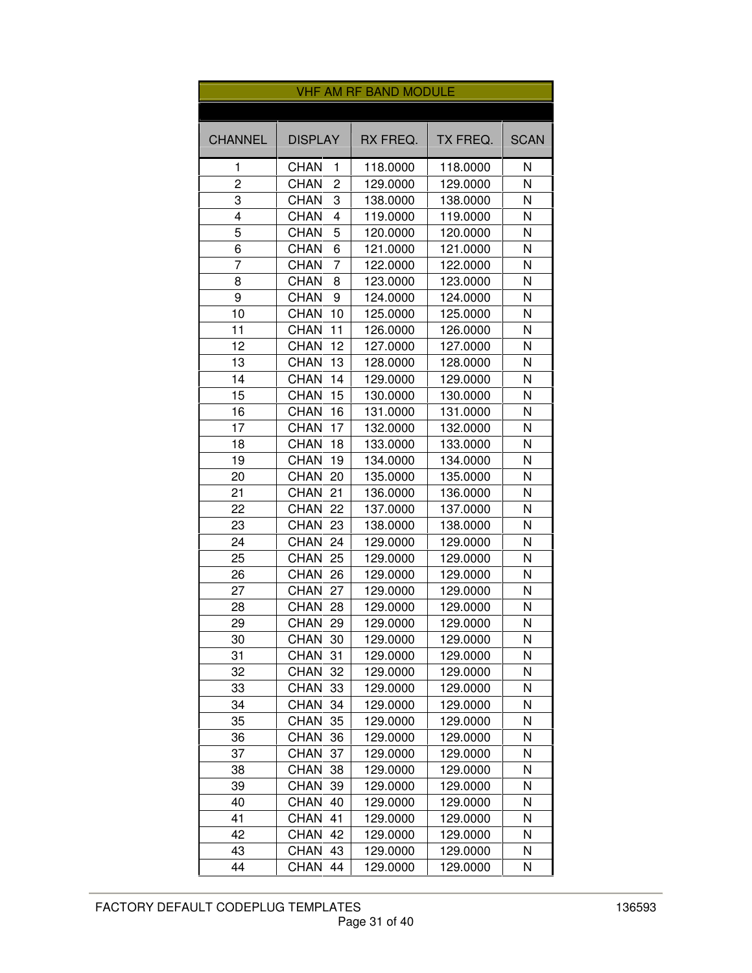|                |                               | <b>VHF AM RF BAND MODULE</b> |          |             |
|----------------|-------------------------------|------------------------------|----------|-------------|
|                |                               |                              |          |             |
| <b>CHANNEL</b> | <b>DISPLAY</b>                | RX FREQ.                     | TX FREQ. | <b>SCAN</b> |
| 1              | <b>CHAN</b><br>1              | 118.0000                     | 118.0000 | Ν           |
| 2              | <b>CHAN</b><br>2              | 129.0000                     | 129.0000 | N           |
| 3              | 3<br><b>CHAN</b>              | 138.0000                     | 138.0000 | N           |
| 4              | $\overline{4}$<br><b>CHAN</b> | 119.0000                     | 119.0000 | N           |
| 5              | 5<br><b>CHAN</b>              | 120.0000                     | 120.0000 | N           |
| 6              | <b>CHAN</b><br>6              | 121.0000                     | 121.0000 | Ν           |
| 7              | <b>CHAN</b><br>7              | 122.0000                     | 122.0000 | N           |
| 8              | <b>CHAN</b><br>8              | 123.0000                     | 123.0000 | N           |
| 9              | <b>CHAN</b><br>9              | 124.0000                     | 124.0000 | Ν           |
| 10             | <b>CHAN</b><br>10             | 125.0000                     | 125.0000 | N           |
| 11             | <b>CHAN</b><br>11             | 126.0000                     | 126.0000 | N           |
| 12             | <b>CHAN</b><br>12             | 127.0000                     | 127.0000 | N           |
| 13             | <b>CHAN</b><br>13             | 128.0000                     | 128.0000 | N           |
| 14             | 14<br><b>CHAN</b>             | 129.0000                     | 129.0000 | N           |
| 15             | CHAN<br>15                    | 130.0000                     | 130.0000 | N           |
| 16             | <b>CHAN</b><br>16             | 131.0000                     | 131.0000 | Ν           |
| 17             | <b>CHAN</b><br>17             | 132.0000                     | 132.0000 | N           |
| 18             | <b>CHAN</b><br>18             | 133.0000                     | 133.0000 | N           |
| 19             | <b>CHAN</b><br>19             | 134.0000                     | 134.0000 | N           |
| 20             | <b>CHAN</b><br>20             | 135.0000                     | 135.0000 | N           |
| 21             | <b>CHAN</b><br>21             | 136.0000                     | 136.0000 | Ν           |
| 22             | <b>CHAN</b><br>22             | 137.0000                     | 137.0000 | N           |
| 23             | <b>CHAN</b><br>23             | 138.0000                     | 138.0000 | N           |
| 24             | <b>CHAN</b><br>24             | 129.0000                     | 129.0000 | N           |
| 25             | <b>CHAN</b><br>25             | 129.0000                     | 129.0000 | N           |
| 26             | CHAN<br>26                    | 129.0000                     | 129.0000 | Ν           |
| 27             | <b>CHAN</b><br>27             | 129.0000                     | 129.0000 | N           |
| 28             | <b>CHAN</b><br>28             | 129.0000                     | 129.0000 | N           |
| 29             | CHAN<br>29                    | 129.0000                     | 129.0000 | N           |
| 30             | <b>CHAN</b><br>30             | 129.0000                     | 129.0000 | N           |
| 31             | <b>CHAN</b><br>31             | 129.0000                     | 129.0000 | N           |
| 32             | <b>CHAN</b><br>32             | 129.0000                     | 129.0000 | N           |
| 33             | <b>CHAN</b><br>33             | 129.0000                     | 129.0000 | Ν           |
| 34             | <b>CHAN</b><br>34             | 129.0000                     | 129.0000 | N           |
| 35             | <b>CHAN</b><br>35             | 129.0000                     | 129.0000 | Ν           |
| 36             | <b>CHAN</b><br>36             | 129.0000                     | 129.0000 | N           |
| 37             | <b>CHAN</b><br>37             | 129.0000                     | 129.0000 | N           |
| 38             | <b>CHAN</b><br>38             | 129.0000                     | 129.0000 | N           |
| 39             | CHAN<br>39                    | 129.0000                     | 129.0000 | N           |
| 40             | <b>CHAN</b><br>40             | 129.0000                     | 129.0000 | Ν           |
| 41             | CHAN<br>41                    | 129.0000                     | 129.0000 | N           |
| 42             | <b>CHAN</b><br>42             | 129.0000                     | 129.0000 | N           |
| 43             | <b>CHAN</b><br>43             | 129.0000                     | 129.0000 | N           |
| 44             | <b>CHAN</b><br>44             | 129.0000                     | 129.0000 | Ν           |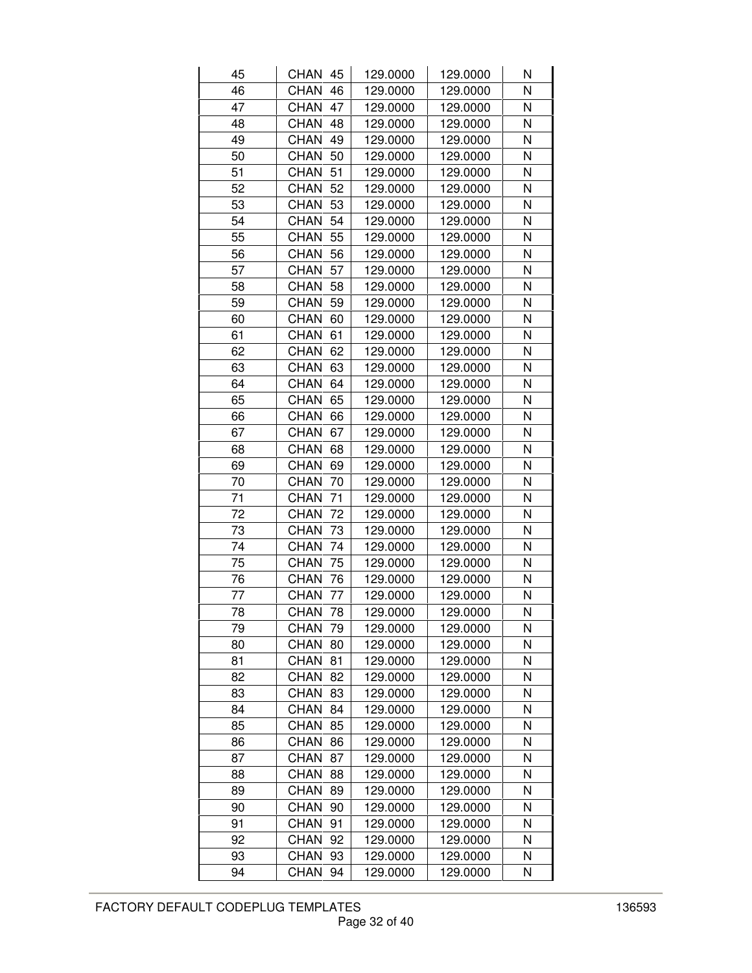| 45 | CHAN 45           | 129.0000 | 129.0000 | Ν |
|----|-------------------|----------|----------|---|
| 46 | <b>CHAN</b><br>46 | 129.0000 | 129.0000 | N |
| 47 | <b>CHAN</b><br>47 | 129.0000 | 129.0000 | N |
| 48 | <b>CHAN</b><br>48 | 129.0000 | 129.0000 | Ν |
| 49 | <b>CHAN</b><br>49 | 129.0000 | 129.0000 | N |
| 50 | <b>CHAN</b><br>50 | 129.0000 | 129.0000 | N |
| 51 | <b>CHAN</b><br>51 | 129.0000 | 129.0000 | N |
| 52 | <b>CHAN</b><br>52 | 129.0000 | 129.0000 | N |
| 53 | <b>CHAN</b><br>53 | 129.0000 | 129.0000 | N |
| 54 | CHAN<br>54        | 129.0000 | 129.0000 | N |
| 55 | <b>CHAN</b><br>55 | 129.0000 | 129.0000 | N |
| 56 | <b>CHAN</b><br>56 | 129.0000 | 129.0000 | N |
| 57 | <b>CHAN</b><br>57 | 129.0000 | 129.0000 | N |
| 58 | <b>CHAN</b><br>58 | 129.0000 | 129.0000 | Ν |
| 59 | <b>CHAN</b><br>59 | 129.0000 | 129.0000 | N |
| 60 | <b>CHAN</b><br>60 | 129.0000 | 129.0000 | N |
| 61 | <b>CHAN</b><br>61 | 129.0000 | 129.0000 | N |
| 62 | <b>CHAN</b><br>62 | 129.0000 | 129.0000 | Ν |
| 63 | <b>CHAN</b><br>63 | 129.0000 | 129.0000 | N |
| 64 | <b>CHAN</b><br>64 | 129.0000 | 129.0000 | Ν |
| 65 | <b>CHAN</b><br>65 | 129.0000 | 129.0000 | N |
| 66 | <b>CHAN</b><br>66 | 129.0000 | 129.0000 | N |
| 67 | <b>CHAN</b><br>67 | 129.0000 | 129.0000 | N |
| 68 | <b>CHAN</b><br>68 | 129.0000 | 129.0000 | Ν |
| 69 | <b>CHAN</b><br>69 | 129.0000 | 129.0000 | N |
| 70 | <b>CHAN</b><br>70 | 129.0000 | 129.0000 | N |
| 71 | 71<br>CHAN        | 129.0000 | 129.0000 | Ν |
| 72 | <b>CHAN</b><br>72 | 129.0000 | 129.0000 | N |
| 73 | <b>CHAN</b><br>73 | 129.0000 | 129.0000 | Ν |
| 74 | <b>CHAN</b><br>74 | 129.0000 | 129.0000 | N |
| 75 | <b>CHAN</b><br>75 | 129.0000 | 129.0000 | Ν |
| 76 | <b>CHAN</b><br>76 | 129.0000 | 129.0000 | Ν |
| 77 | <b>CHAN</b><br>77 | 129.0000 | 129.0000 | N |
| 78 | CHAN<br>78        | 129.0000 | 129.0000 | Ν |
| 79 | <b>CHAN</b><br>79 | 129.0000 | 129.0000 | Ν |
| 80 | <b>CHAN</b><br>80 | 129.0000 | 129.0000 | Ν |
| 81 | CHAN<br>81        | 129.0000 | 129.0000 | Ν |
| 82 | <b>CHAN</b><br>82 | 129.0000 | 129.0000 | Ν |
| 83 | <b>CHAN</b><br>83 | 129.0000 | 129.0000 | N |
| 84 | <b>CHAN</b><br>84 | 129.0000 | 129.0000 | N |
| 85 | <b>CHAN</b><br>85 | 129.0000 | 129.0000 | Ν |
| 86 | CHAN<br>86        | 129.0000 | 129.0000 | Ν |
| 87 | <b>CHAN</b><br>87 | 129.0000 | 129.0000 | Ν |
| 88 | CHAN<br>88        | 129.0000 | 129.0000 | N |
| 89 | CHAN<br>89        | 129.0000 | 129.0000 | Ν |
| 90 | CHAN<br>90        | 129.0000 | 129.0000 | Ν |
| 91 | <b>CHAN</b><br>91 | 129.0000 | 129.0000 | Ν |
| 92 | <b>CHAN</b><br>92 | 129.0000 | 129.0000 | Ν |
| 93 | <b>CHAN</b><br>93 | 129.0000 | 129.0000 | N |
| 94 | CHAN<br>94        | 129.0000 | 129.0000 | Ν |
|    |                   |          |          |   |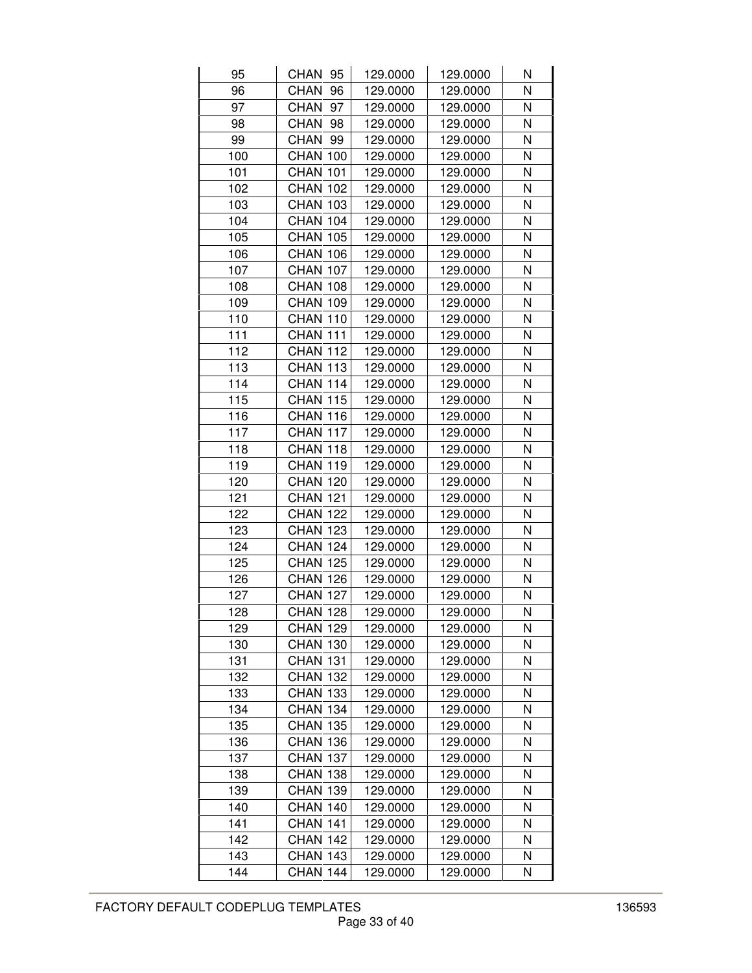| 95  | CHAN 95         | 129.0000 | 129.0000 | N |
|-----|-----------------|----------|----------|---|
| 96  | CHAN<br>96      | 129.0000 | 129.0000 | N |
| 97  | CHAN<br>97      | 129.0000 | 129.0000 | N |
| 98  | CHAN<br>98      | 129.0000 | 129.0000 | N |
| 99  | CHAN 99         | 129.0000 | 129.0000 | N |
| 100 | <b>CHAN 100</b> | 129.0000 | 129.0000 | N |
| 101 | <b>CHAN 101</b> | 129.0000 | 129.0000 | N |
| 102 | <b>CHAN 102</b> | 129.0000 | 129.0000 | N |
| 103 | <b>CHAN 103</b> | 129.0000 | 129.0000 | N |
| 104 | <b>CHAN 104</b> | 129.0000 | 129.0000 | N |
| 105 | <b>CHAN 105</b> | 129.0000 | 129.0000 | N |
| 106 | <b>CHAN 106</b> | 129.0000 | 129.0000 | N |
| 107 | <b>CHAN 107</b> | 129.0000 | 129.0000 | N |
| 108 | <b>CHAN 108</b> | 129.0000 | 129.0000 | N |
| 109 | <b>CHAN 109</b> | 129.0000 | 129.0000 | N |
| 110 | <b>CHAN 110</b> | 129.0000 | 129.0000 | N |
| 111 | <b>CHAN 111</b> | 129.0000 | 129.0000 | N |
| 112 | <b>CHAN 112</b> | 129.0000 | 129.0000 | N |
| 113 | <b>CHAN 113</b> | 129.0000 | 129.0000 | N |
| 114 | CHAN 114        | 129.0000 | 129.0000 | N |
| 115 | <b>CHAN 115</b> | 129.0000 | 129.0000 | N |
| 116 | <b>CHAN 116</b> | 129.0000 | 129.0000 | N |
| 117 | <b>CHAN 117</b> | 129.0000 | 129.0000 | N |
| 118 | <b>CHAN 118</b> | 129.0000 | 129.0000 | N |
| 119 | <b>CHAN 119</b> | 129.0000 | 129.0000 | N |
| 120 | <b>CHAN 120</b> | 129.0000 | 129.0000 | N |
| 121 | <b>CHAN 121</b> | 129.0000 | 129.0000 | N |
| 122 | <b>CHAN 122</b> | 129.0000 | 129.0000 | N |
| 123 | <b>CHAN 123</b> | 129.0000 | 129.0000 | N |
| 124 | <b>CHAN 124</b> | 129.0000 | 129.0000 | N |
| 125 | <b>CHAN 125</b> | 129.0000 | 129.0000 | N |
| 126 | <b>CHAN 126</b> | 129.0000 | 129.0000 | N |
| 127 | <b>CHAN 127</b> | 129.0000 | 129.0000 | N |
| 128 | <b>CHAN 128</b> | 129.0000 | 129.0000 | N |
| 129 | <b>CHAN 129</b> | 129.0000 | 129.0000 | Ν |
| 130 | <b>CHAN 130</b> | 129.0000 | 129.0000 | Ν |
| 131 | <b>CHAN 131</b> | 129.0000 | 129.0000 | N |
| 132 | <b>CHAN 132</b> | 129.0000 | 129.0000 | Ν |
| 133 | <b>CHAN 133</b> | 129.0000 | 129.0000 | N |
| 134 | <b>CHAN 134</b> | 129.0000 | 129.0000 | N |
| 135 | <b>CHAN 135</b> | 129.0000 | 129.0000 | N |
| 136 | <b>CHAN 136</b> | 129.0000 | 129.0000 | N |
| 137 | <b>CHAN 137</b> | 129.0000 | 129.0000 | Ν |
| 138 | <b>CHAN 138</b> | 129.0000 | 129.0000 | N |
| 139 | <b>CHAN 139</b> | 129.0000 | 129.0000 | N |
| 140 | <b>CHAN 140</b> | 129.0000 | 129.0000 | N |
| 141 | <b>CHAN 141</b> | 129.0000 | 129.0000 | N |
| 142 | CHAN 142        | 129.0000 | 129.0000 | Ν |
| 143 | <b>CHAN 143</b> | 129.0000 | 129.0000 | N |
| 144 | <b>CHAN 144</b> | 129.0000 | 129.0000 | N |
|     |                 |          |          |   |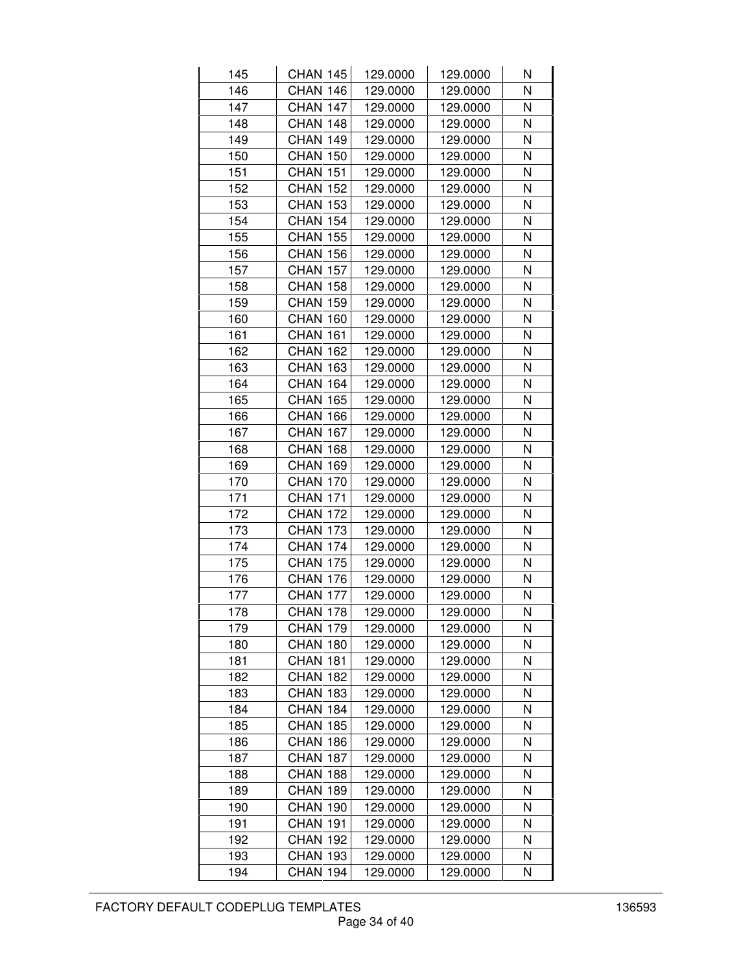| 145 | <b>CHAN 145</b> | 129.0000 | 129.0000 | N |
|-----|-----------------|----------|----------|---|
| 146 | <b>CHAN 146</b> | 129.0000 | 129.0000 | N |
| 147 | <b>CHAN 147</b> | 129.0000 | 129.0000 | N |
| 148 | <b>CHAN 148</b> | 129.0000 | 129.0000 | N |
| 149 | <b>CHAN 149</b> | 129.0000 | 129.0000 | N |
| 150 | <b>CHAN 150</b> | 129.0000 | 129.0000 | N |
| 151 | <b>CHAN 151</b> | 129.0000 | 129.0000 | N |
| 152 | <b>CHAN 152</b> | 129.0000 | 129.0000 | N |
| 153 | <b>CHAN 153</b> | 129.0000 | 129.0000 | N |
| 154 | <b>CHAN 154</b> | 129.0000 | 129.0000 | N |
| 155 | <b>CHAN 155</b> | 129.0000 | 129.0000 | N |
| 156 | <b>CHAN 156</b> | 129.0000 | 129.0000 | N |
| 157 | <b>CHAN 157</b> | 129.0000 | 129.0000 | N |
| 158 | <b>CHAN 158</b> | 129.0000 | 129.0000 | Ν |
| 159 | <b>CHAN 159</b> | 129.0000 | 129.0000 | N |
| 160 | <b>CHAN 160</b> | 129.0000 | 129.0000 | N |
| 161 | <b>CHAN 161</b> | 129.0000 | 129.0000 | N |
| 162 | <b>CHAN 162</b> | 129.0000 | 129.0000 | N |
| 163 | <b>CHAN 163</b> | 129.0000 | 129.0000 | N |
| 164 | <b>CHAN 164</b> | 129.0000 | 129.0000 | N |
| 165 | <b>CHAN 165</b> | 129.0000 | 129.0000 | N |
| 166 | <b>CHAN 166</b> | 129.0000 | 129.0000 | N |
| 167 | <b>CHAN 167</b> | 129.0000 | 129.0000 | N |
| 168 | <b>CHAN 168</b> | 129.0000 | 129.0000 | N |
| 169 | <b>CHAN 169</b> | 129.0000 | 129.0000 | N |
| 170 | <b>CHAN 170</b> | 129.0000 | 129.0000 | N |
| 171 | <b>CHAN 171</b> | 129.0000 | 129.0000 | N |
| 172 | <b>CHAN 172</b> | 129.0000 | 129.0000 | N |
| 173 | <b>CHAN 173</b> | 129.0000 | 129.0000 | N |
| 174 | <b>CHAN 174</b> | 129.0000 | 129.0000 | N |
| 175 | <b>CHAN 175</b> | 129.0000 | 129.0000 | N |
| 176 | <b>CHAN 176</b> | 129.0000 | 129.0000 | N |
| 177 | <b>CHAN 177</b> | 129.0000 | 129.0000 | N |
| 178 | CHAN 178        | 129.0000 | 129.0000 | N |
| 179 | <b>CHAN 179</b> | 129.0000 | 129.0000 | Ν |
| 180 | <b>CHAN 180</b> | 129.0000 | 129.0000 | Ν |
| 181 | <b>CHAN 181</b> | 129.0000 | 129.0000 | N |
| 182 | CHAN 182        | 129.0000 | 129.0000 | Ν |
| 183 | <b>CHAN 183</b> | 129.0000 | 129.0000 | N |
| 184 | <b>CHAN 184</b> | 129.0000 | 129.0000 | N |
| 185 | <b>CHAN 185</b> | 129.0000 | 129.0000 | N |
| 186 | <b>CHAN 186</b> | 129.0000 | 129.0000 | N |
| 187 | <b>CHAN 187</b> | 129.0000 | 129.0000 | N |
| 188 | <b>CHAN 188</b> | 129.0000 | 129.0000 | N |
| 189 | <b>CHAN 189</b> | 129.0000 | 129.0000 | N |
| 190 | <b>CHAN 190</b> | 129.0000 | 129.0000 | N |
| 191 | <b>CHAN 191</b> | 129.0000 | 129.0000 | N |
| 192 | CHAN 192        | 129.0000 | 129.0000 | Ν |
| 193 | <b>CHAN 193</b> | 129.0000 | 129.0000 | N |
| 194 | <b>CHAN 194</b> | 129.0000 | 129.0000 | N |
|     |                 |          |          |   |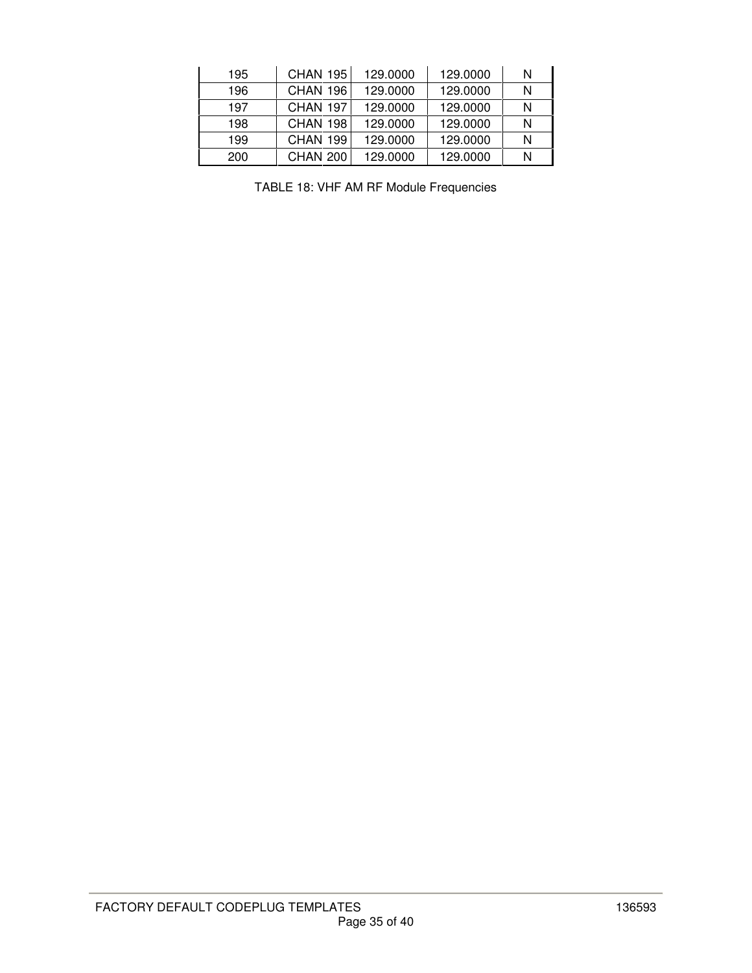| 195 | <b>CHAN 195</b> | 129,0000 | 129,0000 | N |
|-----|-----------------|----------|----------|---|
| 196 | CHAN 196        | 129,0000 | 129,0000 | N |
| 197 | CHAN 197        | 129,0000 | 129,0000 | N |
| 198 | CHAN 198        | 129,0000 | 129,0000 | N |
| 199 | CHAN 199        | 129,0000 | 129,0000 | N |
| 200 | <b>CHAN 200</b> | 129,0000 | 129,0000 | N |

TABLE 18: VHF AM RF Module Frequencies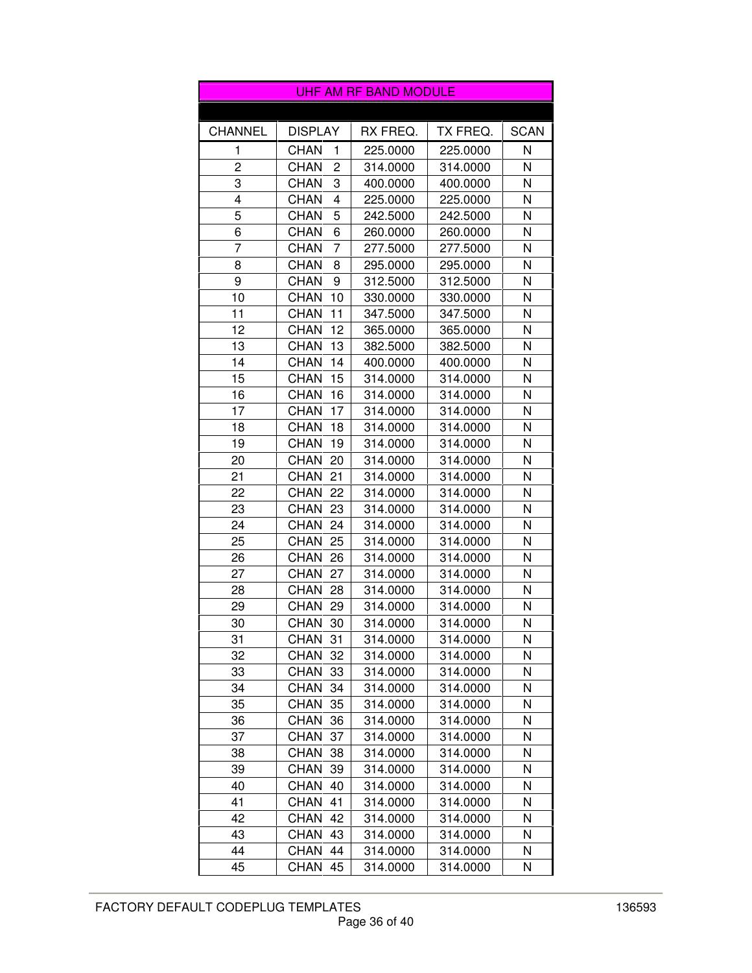|                |                   | <b>UHF AM RF BAND MODULE</b> |          |             |
|----------------|-------------------|------------------------------|----------|-------------|
|                |                   |                              |          |             |
| <b>CHANNEL</b> | <b>DISPLAY</b>    | RX FREQ.                     | TX FREQ. | <b>SCAN</b> |
| 1              | <b>CHAN</b><br>1  | 225.0000                     | 225.0000 | N           |
| 2              | <b>CHAN</b><br>2  | 314.0000                     | 314.0000 | N           |
| 3              | 3<br><b>CHAN</b>  | 400.0000                     | 400.0000 | N           |
| 4              | <b>CHAN</b><br>4  | 225.0000                     | 225.0000 | N           |
| 5              | 5<br><b>CHAN</b>  | 242.5000                     | 242.5000 | N           |
| 6              | 6<br><b>CHAN</b>  | 260.0000                     | 260.0000 | N           |
| 7              | <b>CHAN</b><br>7  | 277.5000                     | 277.5000 | N           |
| 8              | <b>CHAN</b><br>8  | 295.0000                     | 295.0000 | N           |
| 9              | <b>CHAN</b><br>9  | 312.5000                     | 312.5000 | N           |
| 10             | <b>CHAN</b><br>10 | 330.0000                     | 330.0000 | N           |
| 11             | <b>CHAN</b><br>11 | 347.5000                     | 347.5000 | N           |
| 12             | <b>CHAN</b><br>12 | 365.0000                     | 365.0000 | N           |
| 13             | <b>CHAN</b><br>13 | 382.5000                     | 382.5000 | N           |
| 14             | <b>CHAN</b><br>14 | 400.0000                     | 400.0000 | N           |
| 15             | <b>CHAN</b><br>15 | 314.0000                     | 314.0000 | N           |
| 16             | 16<br><b>CHAN</b> | 314.0000                     | 314.0000 | N           |
| 17             | <b>CHAN</b><br>17 | 314.0000                     | 314.0000 | N           |
| 18             | <b>CHAN</b><br>18 | 314.0000                     | 314.0000 | N           |
| 19             | <b>CHAN</b><br>19 | 314.0000                     | 314.0000 | N           |
| 20             | <b>CHAN</b><br>20 | 314.0000                     | 314.0000 | N           |
| 21             | <b>CHAN</b><br>21 | 314.0000                     | 314.0000 | N           |
| 22             | <b>CHAN</b><br>22 | 314.0000                     | 314.0000 | N           |
| 23             | <b>CHAN</b><br>23 | 314.0000                     | 314.0000 | Ν           |
| 24             | <b>CHAN</b><br>24 | 314.0000                     | 314.0000 | N           |
| 25             | <b>CHAN</b><br>25 | 314.0000                     | 314.0000 | N           |
| 26             | <b>CHAN</b><br>26 | 314.0000                     | 314.0000 | N           |
| 27             | <b>CHAN</b><br>27 | 314.0000                     | 314.0000 | N           |
| 28             | CHAN 28           | 314.0000                     | 314.0000 | N           |
| 29             | <b>CHAN</b><br>29 | 314.0000                     | 314.0000 | N           |
| 30             | <b>CHAN</b><br>30 | 314.0000                     | 314.0000 | N           |
| 31             | <b>CHAN</b><br>31 | 314.0000                     | 314.0000 | Ν           |
| 32             | <b>CHAN</b><br>32 | 314.0000                     | 314.0000 | N           |
| 33             | <b>CHAN</b><br>33 | 314.0000                     | 314.0000 | Ν           |
| 34             | <b>CHAN</b><br>34 | 314.0000                     | 314.0000 | N           |
| 35             | CHAN<br>35        | 314.0000                     | 314.0000 | Ν           |
| 36             | <b>CHAN</b><br>36 | 314.0000                     | 314.0000 | Ν           |
| 37             | <b>CHAN</b><br>37 | 314.0000                     | 314.0000 | N           |
| 38             | <b>CHAN</b><br>38 | 314.0000                     | 314.0000 | Ν           |
| 39             | <b>CHAN</b><br>39 | 314.0000                     | 314.0000 | N           |
| 40             | <b>CHAN</b><br>40 | 314.0000                     | 314.0000 | Ν           |
| 41             | <b>CHAN</b><br>41 | 314.0000                     | 314.0000 | Ν           |
| 42             | <b>CHAN</b><br>42 | 314.0000                     | 314.0000 | Ν           |
| 43             | <b>CHAN</b><br>43 | 314.0000                     | 314.0000 | Ν           |
| 44             | <b>CHAN</b><br>44 | 314.0000                     | 314.0000 | Ν           |
| 45             | <b>CHAN</b><br>45 | 314.0000                     | 314.0000 | Ν           |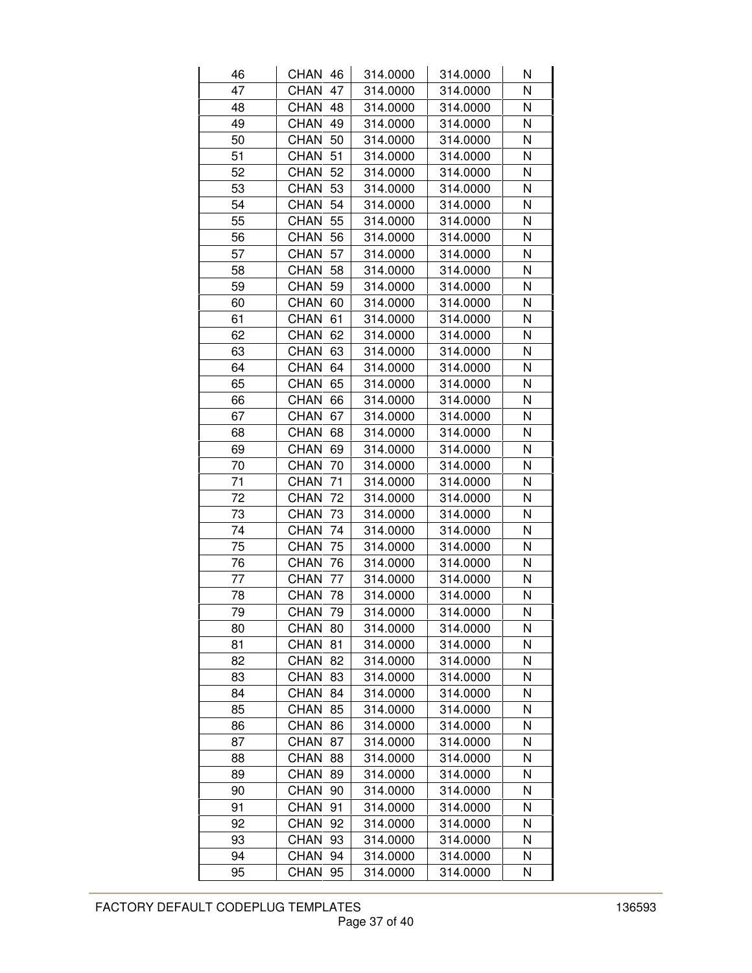| 46 | CHAN 46           | 314.0000 | 314.0000 | Ν |
|----|-------------------|----------|----------|---|
| 47 | 47<br><b>CHAN</b> | 314.0000 | 314.0000 | N |
| 48 | CHAN<br>48        | 314.0000 | 314.0000 | N |
| 49 | <b>CHAN</b><br>49 | 314.0000 | 314.0000 | N |
| 50 | CHAN<br>50        | 314.0000 | 314.0000 | N |
| 51 | CHAN<br>51        | 314.0000 | 314.0000 | N |
| 52 | <b>CHAN</b><br>52 | 314.0000 | 314.0000 | N |
| 53 | <b>CHAN</b><br>53 | 314.0000 | 314.0000 | N |
| 54 | <b>CHAN</b><br>54 | 314.0000 | 314.0000 | N |
| 55 | <b>CHAN</b><br>55 | 314.0000 | 314.0000 | N |
| 56 | CHAN<br>56        | 314.0000 | 314.0000 | N |
| 57 | CHAN<br>57        | 314.0000 | 314.0000 | N |
| 58 | <b>CHAN</b><br>58 | 314.0000 | 314.0000 | N |
| 59 | <b>CHAN</b><br>59 | 314.0000 | 314.0000 | N |
| 60 | CHAN<br>60        | 314.0000 | 314.0000 | N |
| 61 | <b>CHAN</b><br>61 | 314.0000 | 314.0000 | N |
| 62 | CHAN<br>62        | 314.0000 | 314.0000 | N |
| 63 | CHAN<br>63        | 314.0000 | 314.0000 | N |
| 64 | CHAN<br>64        | 314.0000 | 314.0000 | N |
| 65 | CHAN<br>65        | 314.0000 | 314.0000 | N |
| 66 | CHAN<br>66        | 314.0000 | 314.0000 | N |
| 67 | <b>CHAN</b><br>67 | 314.0000 | 314.0000 | N |
| 68 | <b>CHAN</b><br>68 | 314.0000 | 314.0000 | N |
| 69 | CHAN<br>69        | 314.0000 | 314.0000 | N |
| 70 | <b>CHAN</b><br>70 | 314.0000 | 314.0000 | N |
| 71 | <b>CHAN</b><br>71 | 314.0000 | 314.0000 | N |
| 72 | CHAN<br>72        | 314.0000 | 314.0000 | N |
| 73 | <b>CHAN</b><br>73 | 314.0000 | 314.0000 | N |
| 74 | <b>CHAN</b><br>74 | 314.0000 | 314.0000 | N |
| 75 | <b>CHAN</b><br>75 | 314.0000 | 314.0000 | N |
| 76 | <b>CHAN</b><br>76 | 314.0000 | 314.0000 | N |
| 77 | <b>CHAN</b><br>77 | 314.0000 | 314.0000 | N |
| 78 | <b>CHAN</b><br>78 | 314.0000 | 314.0000 | N |
| 79 | CHAN<br>79        | 314.0000 | 314.0000 | N |
| 80 | CHAN<br>80        | 314.0000 | 314.0000 | Ν |
| 81 | <b>CHAN</b><br>81 | 314.0000 | 314.0000 | Ν |
| 82 | CHAN<br>82        | 314.0000 | 314.0000 | N |
| 83 | <b>CHAN</b><br>83 | 314.0000 | 314.0000 | Ν |
| 84 | <b>CHAN</b><br>84 | 314.0000 | 314.0000 | N |
| 85 | CHAN<br>85        | 314.0000 | 314.0000 | N |
| 86 | <b>CHAN</b><br>86 | 314.0000 | 314.0000 | N |
| 87 | CHAN<br>87        | 314.0000 | 314.0000 | Ν |
| 88 | <b>CHAN</b><br>88 | 314.0000 | 314.0000 | N |
| 89 | CHAN<br>89        | 314.0000 | 314.0000 | N |
| 90 | CHAN<br>90        | 314.0000 | 314.0000 | N |
| 91 | CHAN<br>91        | 314.0000 | 314.0000 | N |
| 92 | CHAN<br>92        | 314.0000 | 314.0000 | N |
| 93 | CHAN<br>93        | 314.0000 | 314.0000 | Ν |
| 94 | <b>CHAN</b><br>94 | 314.0000 | 314.0000 | N |
| 95 | CHAN<br>95        | 314.0000 | 314.0000 | N |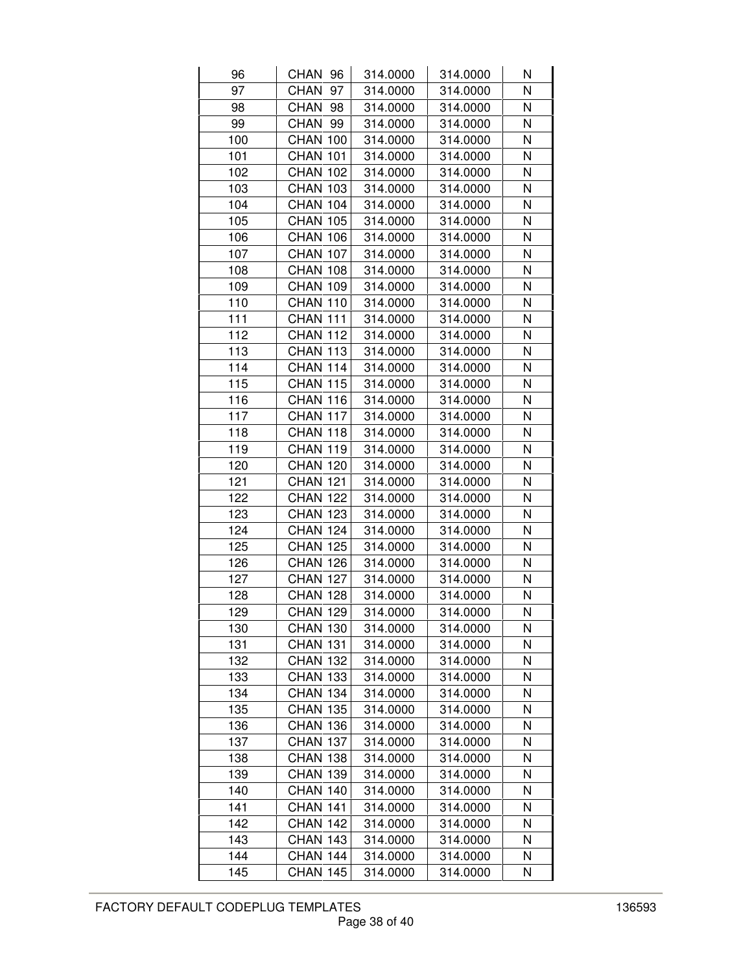| 96  | CHAN 96         | 314.0000 | 314.0000 | Ν |
|-----|-----------------|----------|----------|---|
| 97  | CHAN<br>97      | 314.0000 | 314.0000 | N |
| 98  | CHAN<br>98      | 314.0000 | 314.0000 | N |
| 99  | CHAN<br>99      | 314.0000 | 314.0000 | N |
| 100 | <b>CHAN 100</b> | 314.0000 | 314.0000 | N |
| 101 | <b>CHAN 101</b> | 314.0000 | 314.0000 | N |
| 102 | <b>CHAN 102</b> | 314.0000 | 314.0000 | N |
| 103 | <b>CHAN 103</b> | 314.0000 | 314.0000 | N |
| 104 | <b>CHAN 104</b> | 314.0000 | 314.0000 | N |
| 105 | <b>CHAN 105</b> | 314.0000 | 314.0000 | N |
| 106 | <b>CHAN 106</b> | 314.0000 | 314.0000 | N |
| 107 | <b>CHAN 107</b> | 314.0000 | 314.0000 | N |
| 108 | <b>CHAN 108</b> | 314.0000 | 314.0000 | N |
| 109 | <b>CHAN 109</b> | 314.0000 | 314.0000 | N |
| 110 | <b>CHAN 110</b> | 314.0000 | 314.0000 | N |
| 111 | <b>CHAN 111</b> | 314.0000 | 314.0000 | N |
| 112 | <b>CHAN 112</b> | 314.0000 | 314.0000 | N |
| 113 | <b>CHAN 113</b> | 314.0000 | 314.0000 | N |
| 114 | <b>CHAN 114</b> | 314.0000 | 314.0000 | N |
| 115 | <b>CHAN 115</b> | 314.0000 | 314.0000 | N |
| 116 | <b>CHAN 116</b> | 314.0000 | 314.0000 | N |
| 117 | <b>CHAN 117</b> | 314.0000 | 314.0000 | N |
| 118 | <b>CHAN 118</b> | 314.0000 | 314.0000 | N |
| 119 | <b>CHAN 119</b> | 314.0000 | 314.0000 | N |
| 120 | <b>CHAN 120</b> | 314.0000 | 314.0000 | N |
| 121 | <b>CHAN 121</b> | 314.0000 | 314.0000 | N |
| 122 | <b>CHAN 122</b> | 314.0000 | 314.0000 | N |
| 123 | <b>CHAN 123</b> | 314.0000 | 314.0000 | N |
| 124 | <b>CHAN 124</b> | 314.0000 | 314.0000 | N |
| 125 | <b>CHAN 125</b> | 314.0000 | 314.0000 | N |
| 126 | <b>CHAN 126</b> | 314.0000 | 314.0000 | N |
| 127 | <b>CHAN 127</b> | 314.0000 | 314.0000 | N |
| 128 | <b>CHAN 128</b> | 314.0000 | 314.0000 | N |
| 129 | <b>CHAN 129</b> | 314.0000 | 314.0000 | N |
| 130 | <b>CHAN 130</b> | 314.0000 | 314.0000 | Ν |
| 131 | <b>CHAN 131</b> | 314.0000 | 314.0000 | N |
| 132 | <b>CHAN 132</b> | 314.0000 | 314.0000 | N |
| 133 | <b>CHAN 133</b> | 314.0000 | 314.0000 | Ν |
| 134 | <b>CHAN 134</b> | 314.0000 | 314.0000 | N |
| 135 | <b>CHAN 135</b> | 314.0000 | 314.0000 | N |
| 136 | <b>CHAN 136</b> | 314.0000 | 314.0000 | N |
| 137 | <b>CHAN 137</b> | 314.0000 | 314.0000 | N |
| 138 | <b>CHAN 138</b> | 314.0000 | 314.0000 | Ν |
| 139 | <b>CHAN 139</b> | 314.0000 | 314.0000 | N |
| 140 | <b>CHAN 140</b> | 314.0000 | 314.0000 | N |
| 141 | <b>CHAN 141</b> | 314.0000 | 314.0000 | N |
| 142 | <b>CHAN 142</b> | 314.0000 | 314.0000 | N |
| 143 | CHAN 143        | 314.0000 | 314.0000 | Ν |
| 144 | <b>CHAN 144</b> | 314.0000 | 314.0000 | N |
| 145 | <b>CHAN 145</b> | 314.0000 | 314.0000 | N |
|     |                 |          |          |   |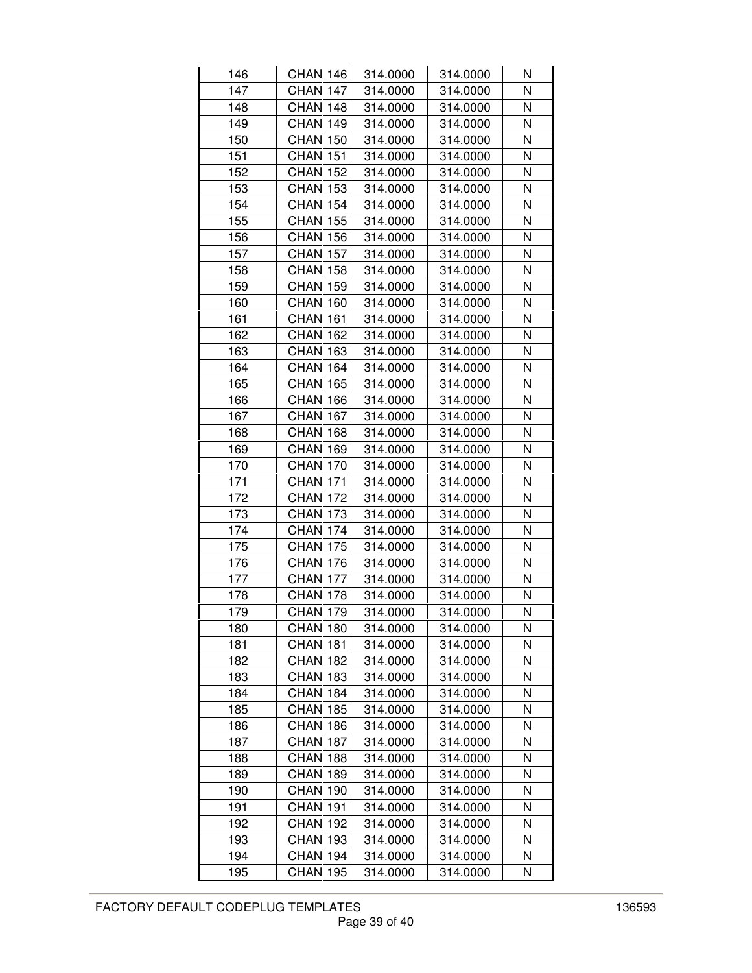| 146 | <b>CHAN 146</b> | 314.0000 | 314.0000 | Ν |
|-----|-----------------|----------|----------|---|
| 147 | CHAN 147        | 314.0000 | 314.0000 | N |
| 148 | CHAN 148        | 314.0000 | 314.0000 | N |
| 149 | <b>CHAN 149</b> | 314.0000 | 314.0000 | N |
| 150 | <b>CHAN 150</b> | 314.0000 | 314.0000 | N |
| 151 | <b>CHAN 151</b> | 314.0000 | 314.0000 | N |
| 152 | <b>CHAN 152</b> | 314.0000 | 314.0000 | N |
| 153 | <b>CHAN 153</b> | 314.0000 | 314.0000 | N |
| 154 | <b>CHAN 154</b> | 314.0000 | 314.0000 | N |
| 155 | <b>CHAN 155</b> | 314.0000 | 314.0000 | N |
| 156 | <b>CHAN 156</b> | 314.0000 | 314.0000 | N |
| 157 | <b>CHAN 157</b> | 314.0000 | 314.0000 | N |
| 158 | <b>CHAN 158</b> | 314.0000 | 314.0000 | N |
| 159 | <b>CHAN 159</b> | 314.0000 | 314.0000 | N |
| 160 | <b>CHAN 160</b> | 314.0000 | 314.0000 | N |
| 161 | <b>CHAN 161</b> | 314.0000 | 314.0000 | N |
| 162 | <b>CHAN 162</b> | 314.0000 | 314.0000 | N |
| 163 | <b>CHAN 163</b> | 314.0000 | 314.0000 | N |
| 164 | <b>CHAN 164</b> | 314.0000 | 314.0000 | N |
| 165 | <b>CHAN 165</b> | 314.0000 | 314.0000 | N |
| 166 | <b>CHAN 166</b> | 314.0000 | 314.0000 | N |
| 167 | <b>CHAN 167</b> | 314.0000 | 314.0000 | N |
| 168 | <b>CHAN 168</b> | 314.0000 | 314.0000 | N |
| 169 | <b>CHAN 169</b> | 314.0000 | 314.0000 | N |
| 170 | <b>CHAN 170</b> | 314.0000 | 314.0000 | N |
| 171 | <b>CHAN 171</b> | 314.0000 | 314.0000 | N |
| 172 | <b>CHAN 172</b> | 314.0000 | 314.0000 | N |
| 173 | <b>CHAN 173</b> | 314.0000 | 314.0000 | N |
| 174 | CHAN 174        | 314.0000 | 314.0000 | N |
| 175 | <b>CHAN 175</b> | 314.0000 | 314.0000 | N |
| 176 | <b>CHAN 176</b> | 314.0000 | 314.0000 | N |
| 177 | <b>CHAN 177</b> | 314.0000 | 314.0000 | N |
| 178 | <b>CHAN 178</b> | 314.0000 | 314.0000 | N |
| 179 | CHAN 179        | 314.0000 | 314.0000 | N |
| 180 | CHAN 180        | 314.0000 | 314.0000 | Ν |
| 181 | <b>CHAN 181</b> | 314.0000 | 314.0000 | N |
| 182 | <b>CHAN 182</b> | 314.0000 | 314.0000 | N |
| 183 | <b>CHAN 183</b> | 314.0000 | 314.0000 | Ν |
| 184 | <b>CHAN 184</b> | 314.0000 | 314.0000 | N |
| 185 | <b>CHAN 185</b> | 314.0000 | 314.0000 | N |
| 186 | <b>CHAN 186</b> | 314.0000 | 314.0000 | N |
| 187 | CHAN 187        | 314.0000 | 314.0000 | N |
| 188 | <b>CHAN 188</b> | 314.0000 | 314.0000 | Ν |
| 189 | <b>CHAN 189</b> | 314.0000 | 314.0000 | N |
| 190 | <b>CHAN 190</b> | 314.0000 | 314.0000 | N |
| 191 | <b>CHAN 191</b> | 314.0000 | 314.0000 | N |
| 192 | <b>CHAN 192</b> | 314.0000 | 314.0000 | N |
| 193 | CHAN 193        | 314.0000 | 314.0000 | Ν |
| 194 | <b>CHAN 194</b> | 314.0000 | 314.0000 | N |
| 195 | <b>CHAN 195</b> | 314.0000 | 314.0000 | N |
|     |                 |          |          |   |